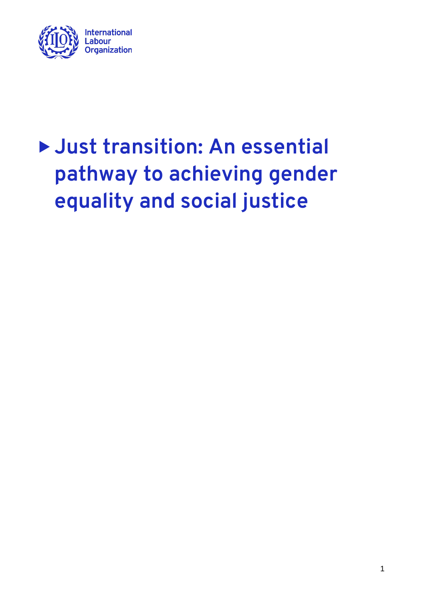

# **Just transition: An essential pathway to achieving gender equality and social justice**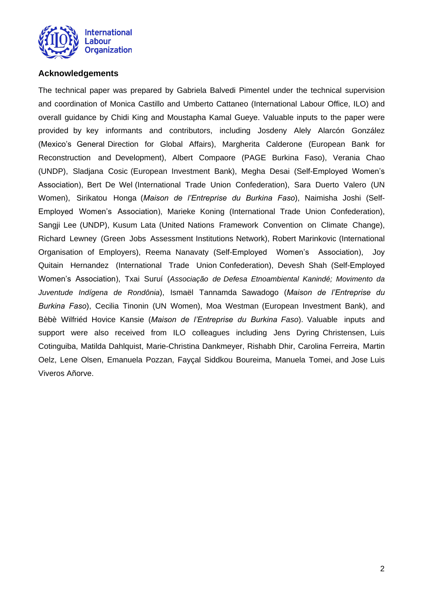

## <span id="page-1-0"></span>**Acknowledgements**

The technical paper was prepared by Gabriela Balvedi Pimentel under the technical supervision and coordination of Monica Castillo and Umberto Cattaneo (International Labour Office, ILO) and overall guidance by Chidi King and Moustapha Kamal Gueye. Valuable inputs to the paper were provided by key informants and contributors, including Josdeny Alely Alarcón González (Mexico's General Direction for Global Affairs), Margherita Calderone (European Bank for Reconstruction and Development), Albert Compaore (PAGE Burkina Faso), Verania Chao (UNDP), Sladjana Cosic (European Investment Bank), Megha Desai (Self-Employed Women's Association), Bert De Wel (International Trade Union Confederation), Sara Duerto Valero (UN Women), Sirikatou Honga (*Maison de l'Entreprise du Burkina Faso*), Naimisha Joshi (Self-Employed Women's Association), Marieke Koning (International Trade Union Confederation), Sangji Lee (UNDP), Kusum Lata (United Nations Framework Convention on Climate Change), Richard Lewney (Green Jobs Assessment Institutions Network), Robert Marinkovic (International Organisation of Employers), Reema Nanavaty (Self-Employed Women's Association), Joy Quitain Hernandez (International Trade Union Confederation), Devesh Shah (Self-Employed Women's Association), Txai Suruí (*Associação de Defesa Etnoambiental Kanindé; Movimento da Juventude Indígena de Rondônia*), Ismaël Tannamda Sawadogo (*Maison de l'Entreprise du Burkina Faso*), Cecilia Tinonin (UN Women), Moa Westman (European Investment Bank), and Bèbè Wilfriéd Hovice Kansie (*Maison de l'Entreprise du Burkina Faso*). Valuable inputs and support were also received from ILO colleagues including Jens Dyring Christensen, Luis Cotinguiba, Matilda Dahlquist, Marie-Christina Dankmeyer, Rishabh Dhir, Carolina Ferreira, Martin Oelz, Lene Olsen, Emanuela Pozzan, Fayçal Siddkou Boureima, Manuela Tomei, and Jose Luis Viveros Añorve.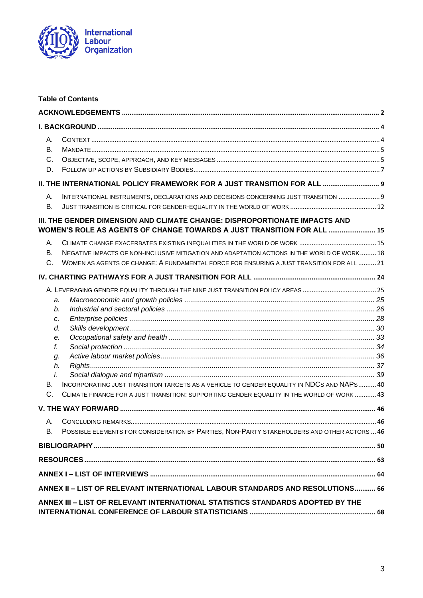

| <b>Table of Contents</b>                                                                                                                                                                                                                                  |  |  |  |
|-----------------------------------------------------------------------------------------------------------------------------------------------------------------------------------------------------------------------------------------------------------|--|--|--|
|                                                                                                                                                                                                                                                           |  |  |  |
|                                                                                                                                                                                                                                                           |  |  |  |
| А.<br><b>B.</b><br>C.<br>D.                                                                                                                                                                                                                               |  |  |  |
| II. THE INTERNATIONAL POLICY FRAMEWORK FOR A JUST TRANSITION FOR ALL  9                                                                                                                                                                                   |  |  |  |
| INTERNATIONAL INSTRUMENTS, DECLARATIONS AND DECISIONS CONCERNING JUST TRANSITION  9<br>А.<br><b>B.</b>                                                                                                                                                    |  |  |  |
| III. THE GENDER DIMENSION AND CLIMATE CHANGE: DISPROPORTIONATE IMPACTS AND<br>WOMEN'S ROLE AS AGENTS OF CHANGE TOWARDS A JUST TRANSITION FOR ALL  15                                                                                                      |  |  |  |
| А.<br>NEGATIVE IMPACTS OF NON-INCLUSIVE MITIGATION AND ADAPTATION ACTIONS IN THE WORLD OF WORK 18<br><b>B.</b><br>C.<br>WOMEN AS AGENTS OF CHANGE: A FUNDAMENTAL FORCE FOR ENSURING A JUST TRANSITION FOR ALL  21                                         |  |  |  |
|                                                                                                                                                                                                                                                           |  |  |  |
| a.<br>b.<br>c.<br>d.<br>е.<br>f.<br>g.<br>h.<br>i.<br>INCORPORATING JUST TRANSITION TARGETS AS A VEHICLE TO GENDER EQUALITY IN NDCS AND NAPS 40<br>В.<br>C.<br>CLIMATE FINANCE FOR A JUST TRANSITION: SUPPORTING GENDER EQUALITY IN THE WORLD OF WORK  43 |  |  |  |
|                                                                                                                                                                                                                                                           |  |  |  |
| А.<br>POSSIBLE ELEMENTS FOR CONSIDERATION BY PARTIES, NON-PARTY STAKEHOLDERS AND OTHER ACTORS  46<br>В.                                                                                                                                                   |  |  |  |
|                                                                                                                                                                                                                                                           |  |  |  |
|                                                                                                                                                                                                                                                           |  |  |  |
|                                                                                                                                                                                                                                                           |  |  |  |
| ANNEX II - LIST OF RELEVANT INTERNATIONAL LABOUR STANDARDS AND RESOLUTIONS 66                                                                                                                                                                             |  |  |  |
| ANNEX III - LIST OF RELEVANT INTERNATIONAL STATISTICS STANDARDS ADOPTED BY THE                                                                                                                                                                            |  |  |  |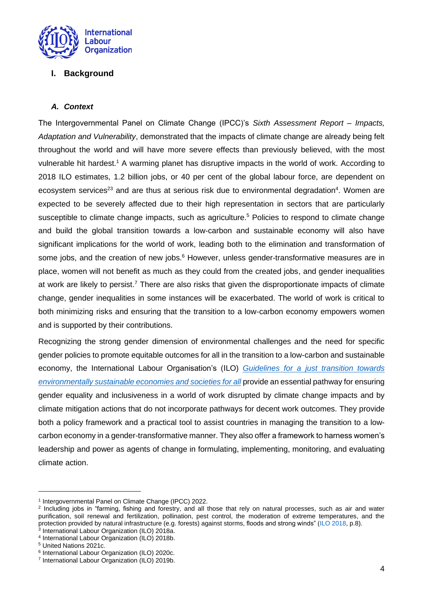

## <span id="page-3-0"></span>**I. Background**

## <span id="page-3-1"></span>*A. Context*

The Intergovernmental Panel on Climate Change (IPCC)'s *Sixth Assessment Report – Impacts, Adaptation and Vulnerability*, demonstrated that the impacts of climate change are already being felt throughout the world and will have more severe effects than previously believed, with the most vulnerable hit hardest.<sup>1</sup> A warming planet has disruptive impacts in the world of work. According to 2018 ILO estimates, 1.2 billion jobs, or 40 per cent of the global labour force, are dependent on ecosystem services<sup>23</sup> and are thus at serious risk due to environmental degradation<sup>4</sup>. Women are expected to be severely affected due to their high representation in sectors that are particularly susceptible to climate change impacts, such as agriculture.<sup>5</sup> Policies to respond to climate change and build the global transition towards a low-carbon and sustainable economy will also have significant implications for the world of work, leading both to the elimination and transformation of some jobs, and the creation of new jobs.<sup>6</sup> However, unless gender-transformative measures are in place, women will not benefit as much as they could from the created jobs, and gender inequalities at work are likely to persist.<sup>7</sup> There are also risks that given the disproportionate impacts of climate change, gender inequalities in some instances will be exacerbated. The world of work is critical to both minimizing risks and ensuring that the transition to a low-carbon economy empowers women and is supported by their contributions.

Recognizing the strong gender dimension of environmental challenges and the need for specific gender policies to promote equitable outcomes for all in the transition to a low-carbon and sustainable economy, the International Labour Organisation's (ILO) *[Guidelines for a just transition towards](https://www.ilo.org/wcmsp5/groups/public/@ed_emp/@emp_ent/documents/publication/wcms_432859.pdf)  [environmentally sustainable economies and societies](https://www.ilo.org/wcmsp5/groups/public/@ed_emp/@emp_ent/documents/publication/wcms_432859.pdf) for all* provide an essential pathway for ensuring gender equality and inclusiveness in a world of work disrupted by climate change impacts and by climate mitigation actions that do not incorporate pathways for decent work outcomes. They provide both a policy framework and a practical tool to assist countries in managing the transition to a lowcarbon economy in a gender-transformative manner. They also offer a framework to harness women's leadership and power as agents of change in formulating, implementing, monitoring, and evaluating climate action.

<sup>&</sup>lt;sup>1</sup> Intergovernmental Panel on Climate Change (IPCC) 2022.

<sup>2</sup> Including jobs in "farming, fishing and forestry, and all those that rely on natural processes, such as air and water purification, soil renewal and fertilization, pollination, pest control, the moderation of extreme temperatures, and the protection provided by natural infrastructure (e.g. forests) against storms, floods and strong winds" (ILO [2018,](https://www.ilo.org/wcmsp5/groups/public/---ed_emp/documents/publication/wcms_645572.pdf) p.8).

<sup>3</sup> International Labour Organization (ILO) 2018a. 4 International Labour Organization (ILO) 2018b.

<sup>5</sup> United Nations 2021c.

<sup>6</sup> International Labour Organization (ILO) 2020c.

<sup>7</sup> International Labour Organization (ILO) 2019b.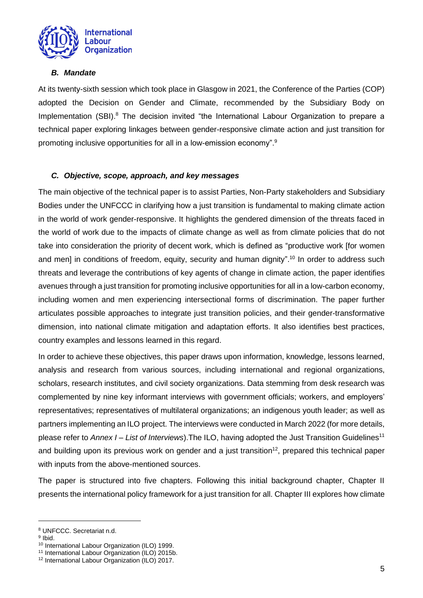

### <span id="page-4-0"></span>*B. Mandate*

At its twenty-sixth session which took place in Glasgow in 2021, the Conference of the Parties (COP) adopted the Decision on Gender and Climate, recommended by the Subsidiary Body on Implementation (SBI).<sup>8</sup> The decision invited "the International Labour Organization to prepare a technical paper exploring linkages between gender-responsive climate action and just transition for promoting inclusive opportunities for all in a low-emission economy".<sup>9</sup>

## <span id="page-4-1"></span>*C. Objective, scope, approach, and key messages*

The main objective of the technical paper is to assist Parties, Non-Party stakeholders and Subsidiary Bodies under the UNFCCC in clarifying how a just transition is fundamental to making climate action in the world of work gender-responsive. It highlights the gendered dimension of the threats faced in the world of work due to the impacts of climate change as well as from climate policies that do not take into consideration the priority of decent work, which is defined as "productive work [for women and men] in conditions of freedom, equity, security and human dignity". <sup>10</sup> In order to address such threats and leverage the contributions of key agents of change in climate action, the paper identifies avenues through a just transition for promoting inclusive opportunities for all in a low-carbon economy, including women and men experiencing intersectional forms of discrimination. The paper further articulates possible approaches to integrate just transition policies, and their gender-transformative dimension, into national climate mitigation and adaptation efforts. It also identifies best practices, country examples and lessons learned in this regard.

In order to achieve these objectives, this paper draws upon information, knowledge, lessons learned, analysis and research from various sources, including international and regional organizations, scholars, research institutes, and civil society organizations. Data stemming from desk research was complemented by nine key informant interviews with government officials; workers, and employers' representatives; representatives of multilateral organizations; an indigenous youth leader; as well as partners implementing an ILO project. The interviews were conducted in March 2022 (for more details, please refer to *Annex I – [List of Interviews](#page-63-0)*).The ILO, having adopted the Just Transition Guidelines<sup>11</sup> and building upon its previous work on gender and a just transition<sup>12</sup>, prepared this technical paper with inputs from the above-mentioned sources.

The paper is structured into five chapters. Following this initial background chapter, Chapter II presents the international policy framework for a just transition for all. Chapter III explores how climate

<sup>9</sup> Ibid.

<sup>8</sup> UNFCCC. Secretariat n.d.

<sup>10</sup> International Labour Organization (ILO) 1999.

<sup>11</sup> International Labour Organization (ILO) 2015b.

<sup>12</sup> International Labour Organization (ILO) 2017.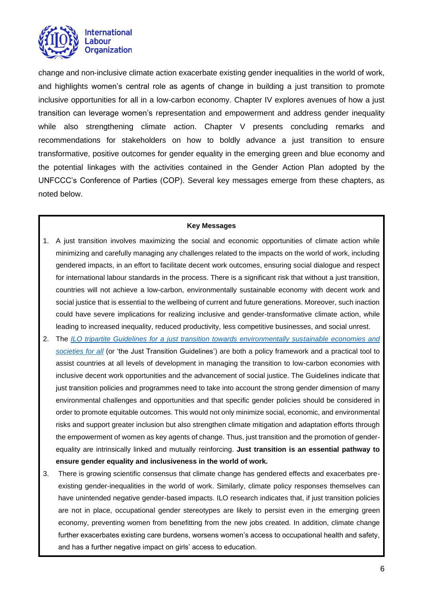

change and non-inclusive climate action exacerbate existing gender inequalities in the world of work, and highlights women's central role as agents of change in building a just transition to promote inclusive opportunities for all in a low-carbon economy. Chapter IV explores avenues of how a just transition can leverage women's representation and empowerment and address gender inequality while also strengthening climate action. Chapter V presents concluding remarks and recommendations for stakeholders on how to boldly advance a just transition to ensure transformative, positive outcomes for gender equality in the emerging green and blue economy and the potential linkages with the activities contained in the Gender Action Plan adopted by the UNFCCC's Conference of Parties (COP). Several key messages emerge from these chapters, as noted below.

#### **Key Messages**

- 1. A just transition involves maximizing the social and economic opportunities of climate action while minimizing and carefully managing any challenges related to the impacts on the world of work, including gendered impacts, in an effort to facilitate decent work outcomes, ensuring social dialogue and respect for international labour standards in the process. There is a significant risk that without a just transition, countries will not achieve a low-carbon, environmentally sustainable economy with decent work and social justice that is essential to the wellbeing of current and future generations. Moreover, such inaction could have severe implications for realizing inclusive and gender-transformative climate action, while leading to increased inequality, reduced productivity, less competitive businesses, and social unrest.
- 2. The *[ILO tripartite Guidelines for a just transition towards environmentally sustainable economies and](https://www.ilo.org/wcmsp5/groups/public/@ed_emp/@emp_ent/documents/publication/wcms_432859.pdf)  [societies for all](https://www.ilo.org/wcmsp5/groups/public/@ed_emp/@emp_ent/documents/publication/wcms_432859.pdf)* (or 'the Just Transition Guidelines') are both a policy framework and a practical tool to assist countries at all levels of development in managing the transition to low-carbon economies with inclusive decent work opportunities and the advancement of social justice. The Guidelines indicate that just transition policies and programmes need to take into account the strong gender dimension of many environmental challenges and opportunities and that specific gender policies should be considered in order to promote equitable outcomes. This would not only minimize social, economic, and environmental risks and support greater inclusion but also strengthen climate mitigation and adaptation efforts through the empowerment of women as key agents of change. Thus, just transition and the promotion of genderequality are intrinsically linked and mutually reinforcing. **Just transition is an essential pathway to ensure gender equality and inclusiveness in the world of work.**
- 3. There is growing scientific consensus that climate change has gendered effects and exacerbates preexisting gender-inequalities in the world of work. Similarly, climate policy responses themselves can have unintended negative gender-based impacts. ILO research indicates that, if just transition policies are not in place, occupational gender stereotypes are likely to persist even in the emerging green economy, preventing women from benefitting from the new jobs created. In addition, climate change further exacerbates existing care burdens, worsens women's access to occupational health and safety, and has a further negative impact on girls' access to education.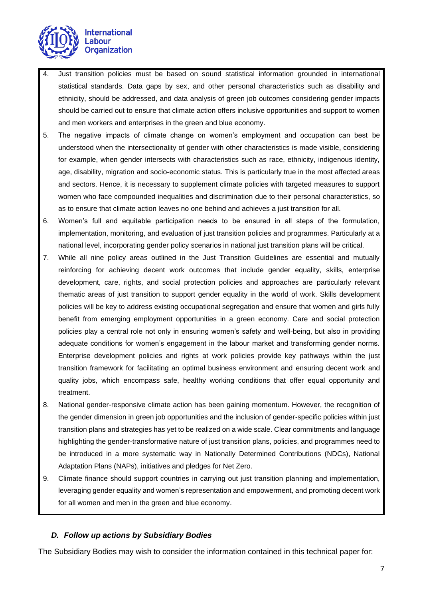

- 4. Just transition policies must be based on sound statistical information grounded in international statistical standards. Data gaps by sex, and other personal characteristics such as disability and ethnicity, should be addressed, and data analysis of green job outcomes considering gender impacts should be carried out to ensure that climate action offers inclusive opportunities and support to women and men workers and enterprises in the green and blue economy.
- 5. The negative impacts of climate change on women's employment and occupation can best be understood when the intersectionality of gender with other characteristics is made visible, considering for example, when gender intersects with characteristics such as race, ethnicity, indigenous identity, age, disability, migration and socio-economic status. This is particularly true in the most affected areas and sectors. Hence, it is necessary to supplement climate policies with targeted measures to support women who face compounded inequalities and discrimination due to their personal characteristics, so as to ensure that climate action leaves no one behind and achieves a just transition for all.
- 6. Women's full and equitable participation needs to be ensured in all steps of the formulation, implementation, monitoring, and evaluation of just transition policies and programmes. Particularly at a national level, incorporating gender policy scenarios in national just transition plans will be critical.
- 7. While all nine policy areas outlined in the Just Transition Guidelines are essential and mutually reinforcing for achieving decent work outcomes that include gender equality, skills, enterprise development, care, rights, and social protection policies and approaches are particularly relevant thematic areas of just transition to support gender equality in the world of work. Skills development policies will be key to address existing occupational segregation and ensure that women and girls fully benefit from emerging employment opportunities in a green economy. Care and social protection policies play a central role not only in ensuring women's safety and well-being, but also in providing adequate conditions for women's engagement in the labour market and transforming gender norms. Enterprise development policies and rights at work policies provide key pathways within the just transition framework for facilitating an optimal business environment and ensuring decent work and quality jobs, which encompass safe, healthy working conditions that offer equal opportunity and treatment.
- 8. National gender-responsive climate action has been gaining momentum. However, the recognition of the gender dimension in green job opportunities and the inclusion of gender-specific policies within just transition plans and strategies has yet to be realized on a wide scale. Clear commitments and language highlighting the gender-transformative nature of just transition plans, policies, and programmes need to be introduced in a more systematic way in Nationally Determined Contributions (NDCs), National Adaptation Plans (NAPs), initiatives and pledges for Net Zero.
- 9. Climate finance should support countries in carrying out just transition planning and implementation, leveraging gender equality and women's representation and empowerment, and promoting decent work for all women and men in the green and blue economy.

## <span id="page-6-0"></span>*D. Follow up actions by Subsidiary Bodies*

The Subsidiary Bodies may wish to consider the information contained in this technical paper for: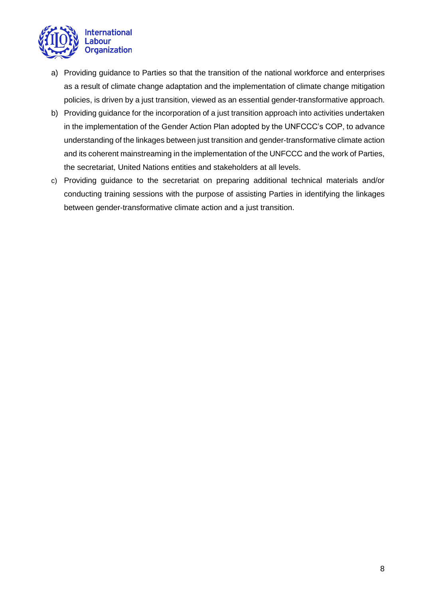

- a) Providing guidance to Parties so that the transition of the national workforce and enterprises as a result of climate change adaptation and the implementation of climate change mitigation policies, is driven by a just transition, viewed as an essential gender-transformative approach.
- b) Providing guidance for the incorporation of a just transition approach into activities undertaken in the implementation of the Gender Action Plan adopted by the UNFCCC's COP, to advance understanding of the linkages between just transition and gender-transformative climate action and its coherent mainstreaming in the implementation of the UNFCCC and the work of Parties, the secretariat, United Nations entities and stakeholders at all levels.
- c) Providing guidance to the secretariat on preparing additional technical materials and/or conducting training sessions with the purpose of assisting Parties in identifying the linkages between gender-transformative climate action and a just transition.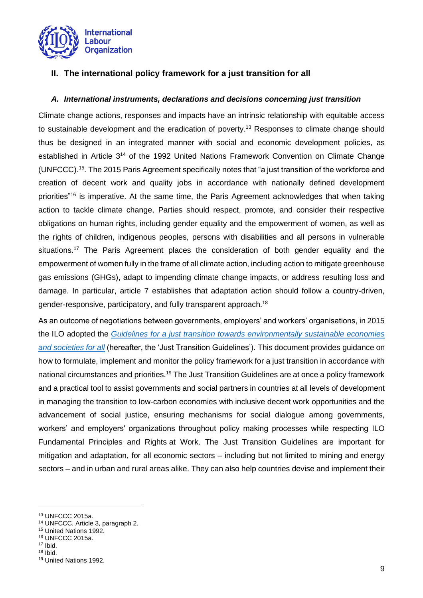

## <span id="page-8-0"></span>**II. The international policy framework for a just transition for all**

## <span id="page-8-1"></span>*A. International instruments, declarations and decisions concerning just transition*

Climate change actions, responses and impacts have an intrinsic relationship with equitable access to sustainable development and the eradication of poverty.<sup>13</sup> Responses to climate change should thus be designed in an integrated manner with social and economic development policies, as established in Article 3<sup>14</sup> of the 1992 United Nations Framework Convention on Climate Change (UNFCCC). <sup>15</sup>. The 2015 Paris Agreement specifically notes that "a just transition of the workforce and creation of decent work and quality jobs in accordance with nationally defined development priorities"<sup>16</sup> is imperative. At the same time, the Paris Agreement acknowledges that when taking action to tackle climate change, Parties should respect, promote, and consider their respective obligations on human rights, including gender equality and the empowerment of women, as well as the rights of children, indigenous peoples, persons with disabilities and all persons in vulnerable situations.<sup>17</sup> The Paris Agreement places the consideration of both gender equality and the empowerment of women fully in the frame of all climate action, including action to mitigate greenhouse gas emissions (GHGs), adapt to impending climate change impacts, or address resulting loss and damage. In particular, article 7 establishes that adaptation action should follow a country-driven, gender-responsive, participatory, and fully transparent approach.<sup>18</sup>

As an outcome of negotiations between governments, employers' and workers' organisations, in 2015 the ILO adopted the *[Guidelines for a just transition towards environmentally sustainable economies](https://www.ilo.org/wcmsp5/groups/public/@ed_emp/@emp_ent/documents/publication/wcms_432859.pdf)  [and societies for all](https://www.ilo.org/wcmsp5/groups/public/@ed_emp/@emp_ent/documents/publication/wcms_432859.pdf)* (hereafter, the 'Just Transition Guidelines'). This document provides guidance on how to formulate, implement and monitor the policy framework for a just transition in accordance with national circumstances and priorities.<sup>19</sup> The Just Transition Guidelines are at once a policy framework and a practical tool to assist governments and social partners in countries at all levels of development in managing the transition to low-carbon economies with inclusive decent work opportunities and the advancement of social justice, ensuring mechanisms for social dialogue among governments, workers' and employers' organizations throughout policy making processes while respecting ILO Fundamental Principles and Rights at Work. The Just Transition Guidelines are important for mitigation and adaptation, for all economic sectors – including but not limited to mining and energy sectors – and in urban and rural areas alike. They can also help countries devise and implement their

<sup>13</sup> UNFCCC 2015a.

<sup>14</sup> UNFCCC, Article 3, paragraph 2.

<sup>15</sup> United Nations 1992.

<sup>16</sup> UNFCCC 2015a.

<sup>17</sup> Ibid.

 $18$  Ibid.

<sup>19</sup> United Nations 1992.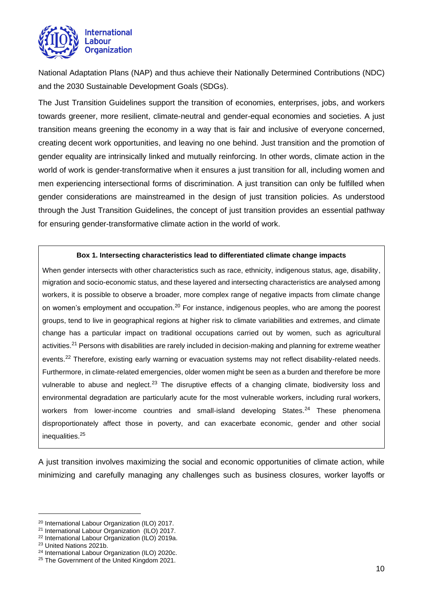

National Adaptation Plans (NAP) and thus achieve their Nationally Determined Contributions (NDC) and the 2030 Sustainable Development Goals (SDGs).

The Just Transition Guidelines support the transition of economies, enterprises, jobs, and workers towards greener, more resilient, climate-neutral and gender-equal economies and societies. A just transition means greening the economy in a way that is fair and inclusive of everyone concerned, creating decent work opportunities, and leaving no one behind. Just transition and the promotion of gender equality are intrinsically linked and mutually reinforcing. In other words, climate action in the world of work is gender-transformative when it ensures a just transition for all, including women and men experiencing intersectional forms of discrimination. A just transition can only be fulfilled when gender considerations are mainstreamed in the design of just transition policies. As understood through the Just Transition Guidelines, the concept of just transition provides an essential pathway for ensuring gender-transformative climate action in the world of work.

#### **Box 1. Intersecting characteristics lead to differentiated climate change impacts**

When gender intersects with other characteristics such as race, ethnicity, indigenous status, age, disability, migration and socio-economic status, and these layered and intersecting characteristics are analysed among workers, it is possible to observe a broader, more complex range of negative impacts from climate change on women's employment and occupation.<sup>20</sup> For instance, indigenous peoples, who are among the poorest groups, tend to live in geographical regions at higher risk to climate variabilities and extremes, and climate change has a particular impact on traditional occupations carried out by women, such as agricultural activities.<sup>21</sup> Persons with disabilities are rarely included in decision-making and planning for extreme weather events.<sup>22</sup> Therefore, existing early warning or evacuation systems may not reflect disability-related needs. Furthermore, in climate-related emergencies, older women might be seen as a burden and therefore be more vulnerable to abuse and neglect.<sup>23</sup> The disruptive effects of a changing climate, biodiversity loss and environmental degradation are particularly acute for the most vulnerable workers, including rural workers, workers from lower-income countries and small-island developing States.<sup>24</sup> These phenomena disproportionately affect those in poverty, and can exacerbate economic, gender and other social inequalities.<sup>25</sup>

A just transition involves maximizing the social and economic opportunities of climate action, while minimizing and carefully managing any challenges such as business closures, worker layoffs or

<sup>20</sup> International Labour Organization (ILO) 2017.

<sup>21</sup> International Labour Organization (ILO) 2017.

<sup>22</sup> International Labour Organization (ILO) 2019a.

<sup>23</sup> United Nations 2021b.

<sup>24</sup> International Labour Organization (ILO) 2020c.

<sup>&</sup>lt;sup>25</sup> The Government of the United Kingdom 2021.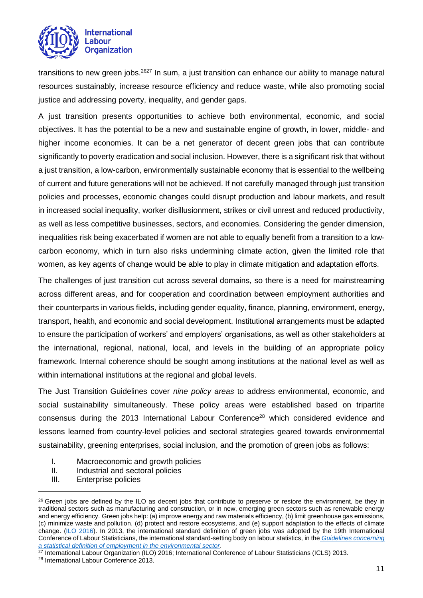

transitions to new green jobs.<sup>2627</sup> In sum, a just transition can enhance our ability to manage natural resources sustainably, increase resource efficiency and reduce waste, while also promoting social justice and addressing poverty, inequality, and gender gaps.

A just transition presents opportunities to achieve both environmental, economic, and social objectives. It has the potential to be a new and sustainable engine of growth, in lower, middle- and higher income economies. It can be a net generator of decent green jobs that can contribute significantly to poverty eradication and social inclusion. However, there is a significant risk that without a just transition, a low-carbon, environmentally sustainable economy that is essential to the wellbeing of current and future generations will not be achieved. If not carefully managed through just transition policies and processes, economic changes could disrupt production and labour markets, and result in increased social inequality, worker disillusionment, strikes or civil unrest and reduced productivity, as well as less competitive businesses, sectors, and economies. Considering the gender dimension, inequalities risk being exacerbated if women are not able to equally benefit from a transition to a lowcarbon economy, which in turn also risks undermining climate action, given the limited role that women, as key agents of change would be able to play in climate mitigation and adaptation efforts.

The challenges of just transition cut across several domains, so there is a need for mainstreaming across different areas, and for cooperation and coordination between employment authorities and their counterparts in various fields, including gender equality, finance, planning, environment, energy, transport, health, and economic and social development. Institutional arrangements must be adapted to ensure the participation of workers' and employers' organisations, as well as other stakeholders at the international, regional, national, local, and levels in the building of an appropriate policy framework. Internal coherence should be sought among institutions at the national level as well as within international institutions at the regional and global levels.

The Just Transition Guidelines cover *nine policy areas* to address environmental, economic, and social sustainability simultaneously. These policy areas were established based on tripartite consensus during the 2013 International Labour Conference<sup>28</sup> which considered evidence and lessons learned from country-level policies and sectoral strategies geared towards environmental sustainability, greening enterprises, social inclusion, and the promotion of green jobs as follows:

- I. Macroeconomic and growth policies
- II. Industrial and sectoral policies
- III. Enterprise policies

 $26$  Green jobs are defined by the ILO as decent jobs that contribute to preserve or restore the environment, be they in traditional sectors such as manufacturing and construction, or in new, emerging green sectors such as renewable energy and energy efficiency. Green jobs help: (a) improve energy and raw materials efficiency, (b) limit greenhouse gas emissions, (c) minimize waste and pollution, (d) protect and restore ecosystems, and (e) support adaptation to the effects of climate change. [\(ILO 2016\)](https://www.ilo.org/global/topics/green-jobs/news/WCMS_220248/lang--en/index.htm). In 2013, the international standard definition of green jobs was adopted by the 19th International Conference of Labour Statisticians, the international standard-setting body on labour statistics, in the *[Guidelines concerning](https://www.ilo.org/wcmsp5/groups/public/---dgreports/---stat/documents/normativeinstrument/wcms_230736.pdf)  [a statistical definition of employment in the environmental sector](https://www.ilo.org/wcmsp5/groups/public/---dgreports/---stat/documents/normativeinstrument/wcms_230736.pdf)*.

 $27$  International Labour Organization (ILO) 2016; International Conference of Labour Statisticians (ICLS) 2013.

<sup>28</sup> International Labour Conference 2013.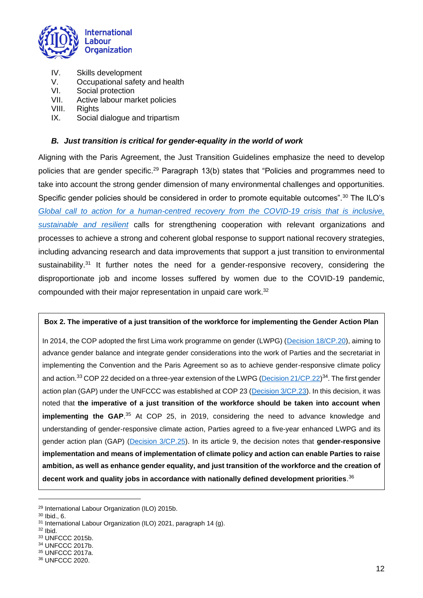

- IV. Skills development
- V. Occupational safety and health<br>VI. Social protection
- Social protection
- VII. Active labour market policies
- VIII. Rights
- IX. Social dialogue and tripartism

## <span id="page-11-0"></span>*B. Just transition is critical for gender-equality in the world of work*

Aligning with the Paris Agreement, the Just Transition Guidelines emphasize the need to develop policies that are gender specific.<sup>29</sup> Paragraph 13(b) states that "Policies and programmes need to take into account the strong gender dimension of many environmental challenges and opportunities. Specific gender policies should be considered in order to promote equitable outcomes".<sup>30</sup> The ILO's *[Global call to action for a human-centred recovery from the COVID-19 crisis that is inclusive,](https://www.ilo.org/wcmsp5/groups/public/---ed_norm/---relconf/documents/meetingdocument/wcms_806092.pdf)  [sustainable and resilient](https://www.ilo.org/wcmsp5/groups/public/---ed_norm/---relconf/documents/meetingdocument/wcms_806092.pdf)* calls for strengthening cooperation with relevant organizations and processes to achieve a strong and coherent global response to support national recovery strategies, including advancing research and data improvements that support a just transition to environmental sustainability.<sup>31</sup> It further notes the need for a gender-responsive recovery, considering the disproportionate job and income losses suffered by women due to the COVID-19 pandemic, compounded with their major representation in unpaid care work.<sup>32</sup>

#### **Box 2. The imperative of a just transition of the workforce for implementing the Gender Action Plan**

In 2014, the COP adopted the first Lima work programme on gender (LWPG) [\(Decision 18/CP.20\)](https://unfccc.int/documents/8613), aiming to advance gender balance and integrate gender considerations into the work of Parties and the secretariat in implementing the Convention and the Paris Agreement so as to achieve gender-responsive climate policy and action.<sup>33</sup> COP 22 decided on a three-year extension of the LWPG (<u>Decision 21/CP.22</u>)<sup>34</sup>. The first gender action plan (GAP) under the UNFCCC was established at COP 23 [\(Decision 3/CP.23\)](https://unfccc.int/sites/default/files/resource/decision_3_cp23.pdf). In this decision, it was noted that **the imperative of a just transition of the workforce should be taken into account when implementing the GAP.**<sup>35</sup> At COP 25, in 2019, considering the need to advance knowledge and understanding of gender-responsive climate action, Parties agreed to a five-year enhanced LWPG and its gender action plan (GAP) [\(Decision 3/CP.25\)](https://unfccc.int/sites/default/files/resource/cp2019_13a01E.pdf). In its article 9, the decision notes that **gender-responsive implementation and means of implementation of climate policy and action can enable Parties to raise ambition, as well as enhance gender equality, and just transition of the workforce and the creation of decent work and quality jobs in accordance with nationally defined development priorities**. 36

 $32$  Ibid.

<sup>29</sup> International Labour Organization (ILO) 2015b.

<sup>30</sup> Ibid., 6.

<sup>31</sup> International Labour Organization (ILO) 2021, paragraph 14 (g).

<sup>33</sup> UNFCCC 2015b.

<sup>34</sup> UNFCCC 2017b.

<sup>35</sup> UNFCCC 2017a.

<sup>36</sup> UNFCCC 2020.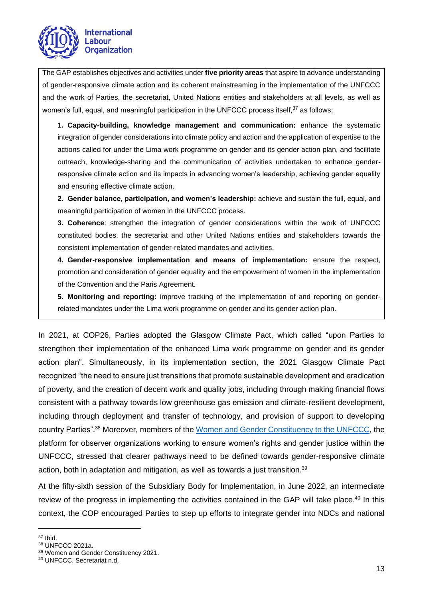

The GAP establishes objectives and activities under **five priority areas** that aspire to advance understanding of gender-responsive climate action and its coherent mainstreaming in the implementation of the UNFCCC and the work of Parties, the secretariat, United Nations entities and stakeholders at all levels, as well as women's full, equal, and meaningful participation in the UNFCCC process itself, $^{37}$  as follows:

**1. Capacity-building, knowledge management and communication:** enhance the systematic integration of gender considerations into climate policy and action and the application of expertise to the actions called for under the Lima work programme on gender and its gender action plan, and facilitate outreach, knowledge-sharing and the communication of activities undertaken to enhance genderresponsive climate action and its impacts in advancing women's leadership, achieving gender equality and ensuring effective climate action.

**2. Gender balance, participation, and women's leadership:** achieve and sustain the full, equal, and meaningful participation of women in the UNFCCC process.

**3. Coherence**: strengthen the integration of gender considerations within the work of UNFCCC constituted bodies, the secretariat and other United Nations entities and stakeholders towards the consistent implementation of gender-related mandates and activities.

**4. Gender-responsive implementation and means of implementation:** ensure the respect, promotion and consideration of gender equality and the empowerment of women in the implementation of the Convention and the Paris Agreement.

**5. Monitoring and reporting:** improve tracking of the implementation of and reporting on genderrelated mandates under the Lima work programme on gender and its gender action plan.

In 2021, at COP26, Parties adopted the Glasgow Climate Pact, which called "upon Parties to strengthen their implementation of the enhanced Lima work programme on gender and its gender action plan". Simultaneously, in its implementation section, the 2021 Glasgow Climate Pact recognized "the need to ensure just transitions that promote sustainable development and eradication of poverty, and the creation of decent work and quality jobs, including through making financial flows consistent with a pathway towards low greenhouse gas emission and climate-resilient development, including through deployment and transfer of technology, and provision of support to developing country Parties".<sup>38</sup> Moreover, members of the [Women and Gender Constituency to the UNFCCC,](https://womengenderclimate.org/) the platform for observer organizations working to ensure women's rights and gender justice within the UNFCCC, stressed that clearer pathways need to be defined towards gender-responsive climate action, both in adaptation and mitigation, as well as towards a just transition.<sup>39</sup>

At the fifty-sixth session of the Subsidiary Body for Implementation, in June 2022, an intermediate review of the progress in implementing the activities contained in the GAP will take place.<sup>40</sup> In this context, the COP encouraged Parties to step up efforts to integrate gender into NDCs and national

 $37$  Ibid.

<sup>38</sup> UNFCCC 2021a.

<sup>39</sup> Women and Gender Constituency 2021.

<sup>40</sup> UNFCCC. Secretariat n.d.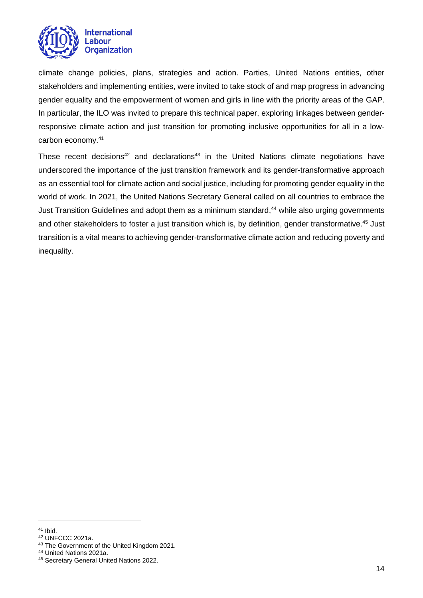

climate change policies, plans, strategies and action. Parties, United Nations entities, other stakeholders and implementing entities, were invited to take stock of and map progress in advancing gender equality and the empowerment of women and girls in line with the priority areas of the GAP. In particular, the ILO was invited to prepare this technical paper, exploring linkages between genderresponsive climate action and just transition for promoting inclusive opportunities for all in a lowcarbon economy.<sup>41</sup>

These recent decisions<sup>42</sup> and declarations<sup>43</sup> in the United Nations climate negotiations have underscored the importance of the just transition framework and its gender-transformative approach as an essential tool for climate action and social justice, including for promoting gender equality in the world of work. In 2021, the United Nations Secretary General called on all countries to embrace the Just Transition Guidelines and adopt them as a minimum standard, <sup>44</sup> while also urging governments and other stakeholders to foster a just transition which is, by definition, gender transformative. <sup>45</sup> Just transition is a vital means to achieving gender-transformative climate action and reducing poverty and inequality.

 $41$  Ibid.

<sup>42</sup> UNFCCC 2021a.

<sup>&</sup>lt;sup>43</sup> The Government of the United Kingdom 2021.

<sup>44</sup> United Nations 2021a.

<sup>45</sup> Secretary General United Nations 2022.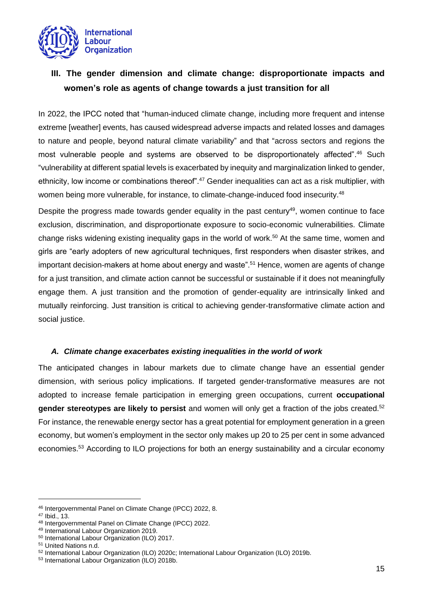

# <span id="page-14-0"></span>**III. The gender dimension and climate change: disproportionate impacts and women's role as agents of change towards a just transition for all**

In 2022, the IPCC noted that "human-induced climate change, including more frequent and intense extreme [weather] events, has caused widespread adverse impacts and related losses and damages to nature and people, beyond natural climate variability" and that "across sectors and regions the most vulnerable people and systems are observed to be disproportionately affected". <sup>46</sup> Such "vulnerability at different spatial levels is exacerbated by inequity and marginalization linked to gender, ethnicity, low income or combinations thereof".<sup>47</sup> Gender inequalities can act as a risk multiplier, with women being more vulnerable, for instance, to climate-change-induced food insecurity.<sup>48</sup>

Despite the progress made towards gender equality in the past century<sup>49</sup>, women continue to face exclusion, discrimination, and disproportionate exposure to socio-economic vulnerabilities. Climate change risks widening existing inequality gaps in the world of work. <sup>50</sup> At the same time, women and girls are "early adopters of new agricultural techniques, first responders when disaster strikes, and important decision-makers at home about energy and waste".<sup>51</sup> Hence, women are agents of change for a just transition, and climate action cannot be successful or sustainable if it does not meaningfully engage them. A just transition and the promotion of gender-equality are intrinsically linked and mutually reinforcing. Just transition is critical to achieving gender-transformative climate action and social justice.

## <span id="page-14-1"></span>*A. Climate change exacerbates existing inequalities in the world of work*

The anticipated changes in labour markets due to climate change have an essential gender dimension, with serious policy implications. If targeted gender-transformative measures are not adopted to increase female participation in emerging green occupations, current **occupational gender stereotypes are likely to persist** and women will only get a fraction of the jobs created.<sup>52</sup> For instance, the renewable energy sector has a great potential for employment generation in a green economy, but women's employment in the sector only makes up 20 to 25 per cent in some advanced economies.<sup>53</sup> According to ILO projections for both an energy sustainability and a circular economy

<sup>46</sup> Intergovernmental Panel on Climate Change (IPCC) 2022, 8.

<sup>47</sup> Ibid., 13.

<sup>48</sup> Intergovernmental Panel on Climate Change (IPCC) 2022.

<sup>49</sup> International Labour Organization 2019.

<sup>50</sup> International Labour Organization (ILO) 2017.

<sup>51</sup> United Nations n.d.

<sup>52</sup> International Labour Organization (ILO) 2020c; International Labour Organization (ILO) 2019b.

<sup>53</sup> International Labour Organization (ILO) 2018b.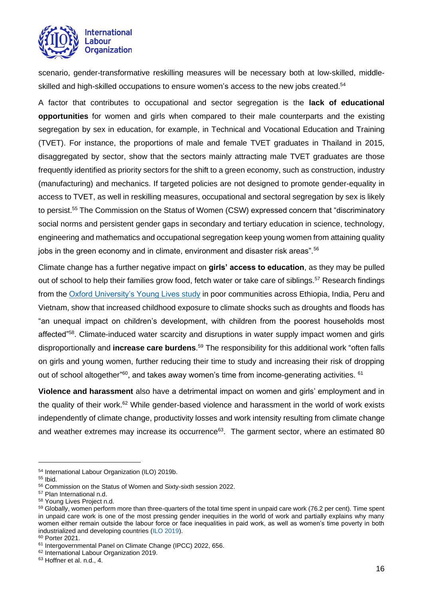

scenario, gender-transformative reskilling measures will be necessary both at low-skilled, middleskilled and high-skilled occupations to ensure women's access to the new jobs created.<sup>54</sup>

A factor that contributes to occupational and sector segregation is the **lack of educational opportunities** for women and girls when compared to their male counterparts and the existing segregation by sex in education, for example, in Technical and Vocational Education and Training (TVET). For instance, the proportions of male and female TVET graduates in Thailand in 2015, disaggregated by sector, show that the sectors mainly attracting male TVET graduates are those frequently identified as priority sectors for the shift to a green economy, such as construction, industry (manufacturing) and mechanics. If targeted policies are not designed to promote gender-equality in access to TVET, as well in reskilling measures, occupational and sectoral segregation by sex is likely to persist.<sup>55</sup> The Commission on the Status of Women (CSW) expressed concern that "discriminatory social norms and persistent gender gaps in secondary and tertiary education in science, technology, engineering and mathematics and occupational segregation keep young women from attaining quality jobs in the green economy and in climate, environment and disaster risk areas".<sup>56</sup>

Climate change has a further negative impact on **girls' access to education**, as they may be pulled out of school to help their families grow food, fetch water or take care of siblings.<sup>57</sup> Research findings from the [Oxford University's Young Lives study](https://www.younglives.org.uk/) in poor communities across Ethiopia, India, Peru and Vietnam, show that increased childhood exposure to climate shocks such as droughts and floods has "an unequal impact on children's development, with children from the poorest households most affected"<sup>58</sup>. Climate-induced water scarcity and disruptions in water supply impact women and girls disproportionally and **increase care burdens**. <sup>59</sup> The responsibility for this additional work "often falls on girls and young women, further reducing their time to study and increasing their risk of dropping out of school altogether" $\rm ^{60}$ , and takes away women's time from income-generating activities.  $\rm ^{61}$ 

**Violence and harassment** also have a detrimental impact on women and girls' employment and in the quality of their work. $62$  While gender-based violence and harassment in the world of work exists independently of climate change, productivity losses and work intensity resulting from climate change and weather extremes may increase its occurrence<sup>63</sup>. The garment sector, where an estimated 80

<sup>54</sup> International Labour Organization (ILO) 2019b.

<sup>55</sup> Ibid.

<sup>56</sup> Commission on the Status of Women and Sixty-sixth session 2022.

<sup>57</sup> Plan International n.d.

<sup>58</sup> Young Lives Project n.d.

<sup>59</sup> Globally, women perform more than three-quarters of the total time spent in unpaid care work (76.2 per cent). Time spent in unpaid care work is one of the most pressing gender inequities in the world of work and partially explains why many women either remain outside the labour force or face inequalities in paid work, as well as women's time poverty in both industrialized and developing countries [\(ILO 2019\)](https://www.ilo.org/global/publications/books/WCMS_674831/lang--en/index.htm).

<sup>60</sup> Porter 2021.

<sup>61</sup> Intergovernmental Panel on Climate Change (IPCC) 2022, 656.

<sup>62</sup> International Labour Organization 2019.

<sup>63</sup> Hoffner et al. n.d., 4.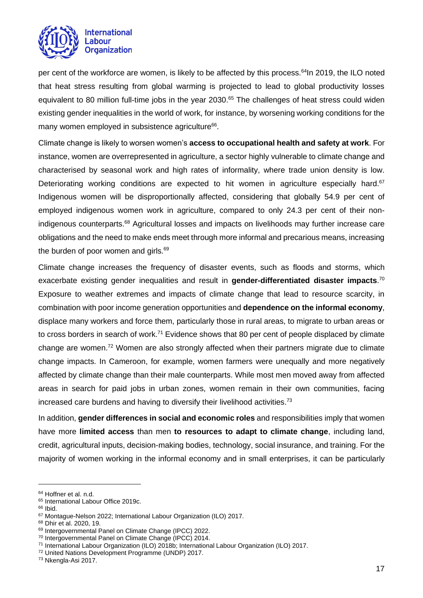

per cent of the workforce are women, is likely to be affected by this process.<sup>64</sup>In 2019, the ILO noted that heat stress resulting from global warming is projected to lead to global productivity losses equivalent to 80 million full-time jobs in the year 2030. <sup>65</sup> The challenges of heat stress could widen existing gender inequalities in the world of work, for instance, by worsening working conditions for the many women employed in subsistence agriculture<sup>66</sup>.

Climate change is likely to worsen women's **access to occupational health and safety at work**. For instance, women are overrepresented in agriculture, a sector highly vulnerable to climate change and characterised by seasonal work and high rates of informality, where trade union density is low. Deteriorating working conditions are expected to hit women in agriculture especially hard.<sup>67</sup> Indigenous women will be disproportionally affected, considering that globally 54.9 per cent of employed indigenous women work in agriculture, compared to only 24.3 per cent of their nonindigenous counterparts.<sup>68</sup> Agricultural losses and impacts on livelihoods may further increase care obligations and the need to make ends meet through more informal and precarious means, increasing the burden of poor women and girls.<sup>69</sup>

Climate change increases the frequency of disaster events, such as floods and storms, which exacerbate existing gender inequalities and result in **gender-differentiated disaster impacts**. 70 Exposure to weather extremes and impacts of climate change that lead to resource scarcity, in combination with poor income generation opportunities and **dependence on the informal economy**, displace many workers and force them, particularly those in rural areas, to migrate to urban areas or to cross borders in search of work.<sup>71</sup> Evidence shows that 80 per cent of people displaced by climate change are women.<sup>72</sup> Women are also strongly affected when their partners migrate due to climate change impacts. In Cameroon, for example, women farmers were unequally and more negatively affected by climate change than their male counterparts. While most men moved away from affected areas in search for paid jobs in urban zones, women remain in their own communities, facing increased care burdens and having to diversify their livelihood activities.<sup>73</sup>

In addition, **gender differences in social and economic roles** and responsibilities imply that women have more **limited access** than men **to resources to adapt to climate change**, including land, credit, agricultural inputs, decision-making bodies, technology, social insurance, and training. For the majority of women working in the informal economy and in small enterprises, it can be particularly

<sup>64</sup> Hoffner et al. n.d.

<sup>&</sup>lt;sup>65</sup> International Labour Office 2019c.

<sup>66</sup> Ibid.

<sup>67</sup> Montague-Nelson 2022; International Labour Organization (ILO) 2017.

<sup>68</sup> Dhir et al. 2020, 19.

<sup>69</sup> Intergovernmental Panel on Climate Change (IPCC) 2022.

<sup>70</sup> Intergovernmental Panel on Climate Change (IPCC) 2014.

<sup>71</sup> International Labour Organization (ILO) 2018b; International Labour Organization (ILO) 2017.

<sup>72</sup> United Nations Development Programme (UNDP) 2017.

<sup>73</sup> Nkengla-Asi 2017.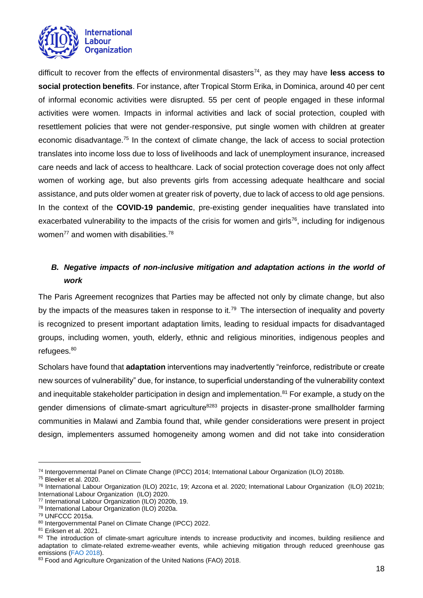

difficult to recover from the effects of environmental disasters<sup>74</sup>, as they may have **less access to social protection benefits**. For instance, after Tropical Storm Erika, in Dominica, around 40 per cent of informal economic activities were disrupted. 55 per cent of people engaged in these informal activities were women. Impacts in informal activities and lack of social protection, coupled with resettlement policies that were not gender-responsive, put single women with children at greater economic disadvantage.<sup>75</sup> In the context of climate change, the lack of access to social protection translates into income loss due to loss of livelihoods and lack of unemployment insurance, increased care needs and lack of access to healthcare. Lack of social protection coverage does not only affect women of working age, but also prevents girls from accessing adequate healthcare and social assistance, and puts older women at greater risk of poverty, due to lack of access to old age pensions. In the context of the **COVID-19 pandemic**, pre-existing gender inequalities have translated into exacerbated vulnerability to the impacts of the crisis for women and girls<sup>76</sup>, including for indigenous women<sup>77</sup> and women with disabilities.<sup>78</sup>

## <span id="page-17-0"></span>*B. Negative impacts of non-inclusive mitigation and adaptation actions in the world of work*

The Paris Agreement recognizes that Parties may be affected not only by climate change, but also by the impacts of the measures taken in response to it.<sup>79</sup> The intersection of inequality and poverty is recognized to present important adaptation limits, leading to residual impacts for disadvantaged groups, including women, youth, elderly, ethnic and religious minorities, indigenous peoples and refugees.<sup>80</sup>

Scholars have found that **adaptation** interventions may inadvertently "reinforce, redistribute or create new sources of vulnerability" due, for instance, to superficial understanding of the vulnerability context and inequitable stakeholder participation in design and implementation.<sup>81</sup> For example, a study on the gender dimensions of climate-smart agriculture<sup>8283</sup> projects in disaster-prone smallholder farming communities in Malawi and Zambia found that, while gender considerations were present in project design, implementers assumed homogeneity among women and did not take into consideration

<sup>74</sup> Intergovernmental Panel on Climate Change (IPCC) 2014; International Labour Organization (ILO) 2018b.

<sup>75</sup> Bleeker et al. 2020.

<sup>76</sup> International Labour Organization (ILO) 2021c, 19; Azcona et al. 2020; International Labour Organization (ILO) 2021b; International Labour Organization (ILO) 2020.

<sup>77</sup> International Labour Organization (ILO) 2020b, 19.

<sup>78</sup> International Labour Organization (ILO) 2020a.

<sup>79</sup> UNFCCC 2015a.

<sup>80</sup> Intergovernmental Panel on Climate Change (IPCC) 2022.

<sup>81</sup> Eriksen et al. 2021.

<sup>&</sup>lt;sup>82</sup> The introduction of climate-smart agriculture intends to increase productivity and incomes, building resilience and adaptation to climate-related extreme-weather events, while achieving mitigation through reduced greenhouse gas emissions [\(FAO 2018\)](https://www.fao.org/policy-support/tools-and-publications/resources-details/en/c/1177085/).

<sup>83</sup> Food and Agriculture Organization of the United Nations (FAO) 2018.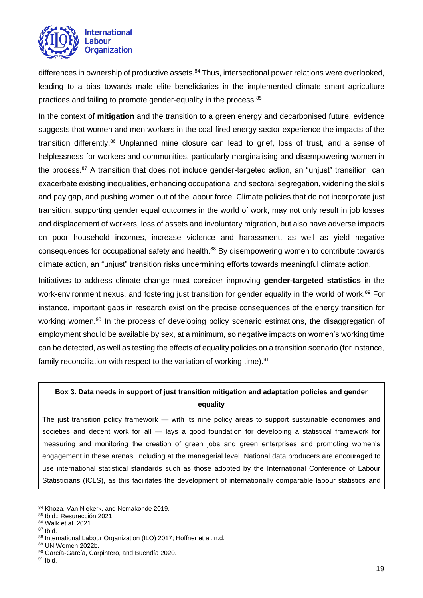

differences in ownership of productive assets.<sup>84</sup> Thus, intersectional power relations were overlooked, leading to a bias towards male elite beneficiaries in the implemented climate smart agriculture practices and failing to promote gender-equality in the process. 85

In the context of **mitigation** and the transition to a green energy and decarbonised future, evidence suggests that women and men workers in the coal-fired energy sector experience the impacts of the transition differently.<sup>86</sup> Unplanned mine closure can lead to grief, loss of trust, and a sense of helplessness for workers and communities, particularly marginalising and disempowering women in the process.<sup>87</sup> A transition that does not include gender-targeted action, an "unjust" transition, can exacerbate existing inequalities, enhancing occupational and sectoral segregation, widening the skills and pay gap, and pushing women out of the labour force. Climate policies that do not incorporate just transition, supporting gender equal outcomes in the world of work, may not only result in job losses and displacement of workers, loss of assets and involuntary migration, but also have adverse impacts on poor household incomes, increase violence and harassment, as well as yield negative consequences for occupational safety and health.<sup>88</sup> By disempowering women to contribute towards climate action, an "unjust" transition risks undermining efforts towards meaningful climate action.

Initiatives to address climate change must consider improving **gender-targeted statistics** in the work-environment nexus, and fostering just transition for gender equality in the world of work.<sup>89</sup> For instance, important gaps in research exist on the precise consequences of the energy transition for working women.<sup>90</sup> In the process of developing policy scenario estimations, the disaggregation of employment should be available by sex, at a minimum, so negative impacts on women's working time can be detected, as well as testing the effects of equality policies on a transition scenario (for instance, family reconciliation with respect to the variation of working time).<sup>91</sup>

## **Box 3. Data needs in support of just transition mitigation and adaptation policies and gender equality**

The just transition policy framework — with its nine policy areas to support sustainable economies and societies and decent work for all — lays a good foundation for developing a statistical framework for measuring and monitoring the creation of green jobs and green enterprises and promoting women's engagement in these arenas, including at the managerial level. National data producers are encouraged to use international statistical standards such as those adopted by the International Conference of Labour Statisticians (ICLS), as this facilitates the development of internationally comparable labour statistics and

<sup>84</sup> Khoza, Van Niekerk, and Nemakonde 2019.

<sup>85</sup> Ibid.; Resurección 2021.

<sup>86</sup> Walk et al. 2021.

<sup>87</sup> Ibid.

<sup>88</sup> International Labour Organization (ILO) 2017; Hoffner et al. n.d.

<sup>89</sup> UN Women 2022b.

<sup>90</sup> García-García, Carpintero, and Buendía 2020.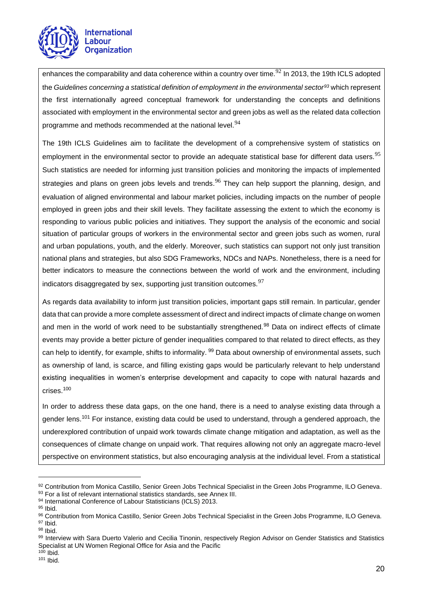

enhances the comparability and data coherence within a country over time.<sup>92</sup> In 2013, the 19th ICLS adopted the *[Guidelines concerning a statistical definition of employment in the environmental sector](https://www.ilo.org/wcmsp5/groups/public/---dgreports/---stat/documents/normativeinstrument/wcms_230736.pdf)<sup>93</sup>* which represent the first internationally agreed conceptual framework for understanding the concepts and definitions associated with employment in the environmental sector and green jobs as well as the related data collection programme and methods recommended at the national level.<sup>94</sup>

The 19th ICLS Guidelines aim to facilitate the development of a comprehensive system of statistics on employment in the environmental sector to provide an adequate statistical base for different data users.<sup>95</sup> Such statistics are needed for informing just transition policies and monitoring the impacts of implemented strategies and plans on green jobs levels and trends.<sup>96</sup> They can help support the planning, design, and evaluation of aligned environmental and labour market policies, including impacts on the number of people employed in green jobs and their skill levels. They facilitate assessing the extent to which the economy is responding to various public policies and initiatives. They support the analysis of the economic and social situation of particular groups of workers in the environmental sector and green jobs such as women, rural and urban populations, youth, and the elderly. Moreover, such statistics can support not only just transition national plans and strategies, but also SDG Frameworks, NDCs and NAPs. Nonetheless, there is a need for better indicators to measure the connections between the world of work and the environment, including indicators disaggregated by sex, supporting just transition outcomes.  $97$ 

As regards data availability to inform just transition policies, important gaps still remain. In particular, gender data that can provide a more complete assessment of direct and indirect impacts of climate change on women and men in the world of work need to be substantially strengthened.<sup>98</sup> Data on indirect effects of climate events may provide a better picture of gender inequalities compared to that related to direct effects, as they can help to identify, for example, shifts to informality. <sup>99</sup> Data about ownership of environmental assets, such as ownership of land, is scarce, and filling existing gaps would be particularly relevant to help understand existing inequalities in women's enterprise development and capacity to cope with natural hazards and crises.<sup>100</sup>

In order to address these data gaps, on the one hand, there is a need to analyse existing data through a gender lens.<sup>101</sup> For instance, existing data could be used to understand, through a gendered approach, the underexplored contribution of unpaid work towards climate change mitigation and adaptation, as well as the consequences of climate change on unpaid work. That requires allowing not only an aggregate macro-level perspective on environment statistics, but also encouraging analysis at the individual level. From a statistical

<sup>92</sup> Contribution from Monica Castillo, Senior Green Jobs Technical Specialist in the Green Jobs Programme, ILO Geneva.

<sup>93</sup> For a list of relevant international statistics standards, see Annex III.

<sup>94</sup> International Conference of Labour Statisticians (ICLS) 2013.

<sup>95</sup> Ibid.

<sup>96</sup> Contribution from Monica Castillo, Senior Green Jobs Technical Specialist in the Green Jobs Programme, ILO Geneva. <sup>97</sup> Ibid.

<sup>98</sup> Ibid.

<sup>99</sup> Interview with Sara Duerto Valerio and Cecilia Tinonin, respectively Region Advisor on Gender Statistics and Statistics Specialist at UN Women Regional Office for Asia and the Pacific

 $100$  Ibid.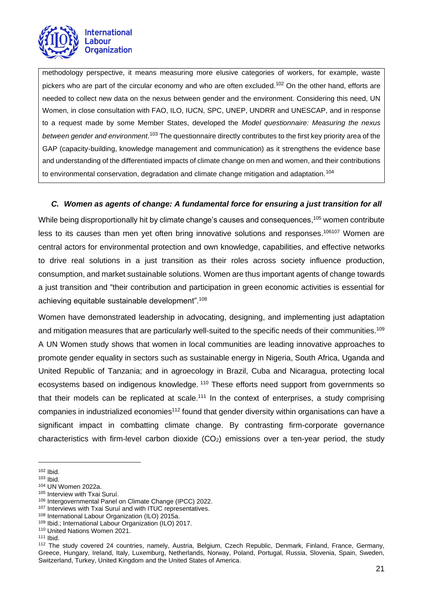

methodology perspective, it means measuring more elusive categories of workers, for example, waste pickers who are part of the circular economy and who are often excluded.<sup>102</sup> On the other hand, efforts are needed to collect new data on the nexus between gender and the environment. Considering this need, UN Women, in close consultation with FAO, ILO, IUCN, SPC, UNEP, UNDRR and UNESCAP, and in response to a request made by some Member States, developed the *Model questionnaire: Measuring the nexus between gender and environment*. <sup>103</sup> The questionnaire directly contributes to the first key priority area of the GAP (capacity-building, knowledge management and communication) as it strengthens the evidence base and understanding of the differentiated impacts of climate change on men and women, and their contributions to environmental conservation, degradation and climate change mitigation and adaptation.<sup>104</sup>

## *C. Women as agents of change: A fundamental force for ensuring a just transition for all*

<span id="page-20-0"></span>While being disproportionally hit by climate change's causes and consequences, <sup>105</sup> women contribute less to its causes than men yet often bring innovative solutions and responses.<sup>106107</sup> Women are central actors for environmental protection and own knowledge, capabilities, and effective networks to drive real solutions in a just transition as their roles across society influence production, consumption, and market sustainable solutions. Women are thus important agents of change towards a just transition and "their contribution and participation in green economic activities is essential for achieving equitable sustainable development".<sup>108</sup>

Women have demonstrated leadership in advocating, designing, and implementing just adaptation and mitigation measures that are particularly well-suited to the specific needs of their communities.<sup>109</sup> A UN Women study shows that women in local communities are leading innovative approaches to promote gender equality in sectors such as sustainable energy in Nigeria, South Africa, Uganda and United Republic of Tanzania; and in agroecology in Brazil, Cuba and Nicaragua, protecting local ecosystems based on indigenous knowledge. <sup>110</sup> These efforts need support from governments so that their models can be replicated at scale.<sup>111</sup> In the context of enterprises, a study comprising companies in industrialized economies<sup>112</sup> found that gender diversity within organisations can have a significant impact in combatting climate change. By contrasting firm-corporate governance characteristics with firm-level carbon dioxide  $(CO<sub>2</sub>)$  emissions over a ten-year period, the study

<sup>102</sup> Ibid.

<sup>103</sup> Ibid.

<sup>104</sup> UN Women 2022a.

<sup>105</sup> Interview with Txai Suruí.

<sup>106</sup> Intergovernmental Panel on Climate Change (IPCC) 2022.

<sup>&</sup>lt;sup>107</sup> Interviews with Txai Suruí and with ITUC representatives.

<sup>108</sup> International Labour Organization (ILO) 2015a.

<sup>109</sup> Ibid.; International Labour Organization (ILO) 2017.

<sup>110</sup> United Nations Women 2021.

 $111$  Ibid.

<sup>112</sup> The study covered 24 countries, namely, Austria, Belgium, Czech Republic, Denmark, Finland, France, Germany, Greece, Hungary, Ireland, Italy, Luxemburg, Netherlands, Norway, Poland, Portugal, Russia, Slovenia, Spain, Sweden, Switzerland, Turkey, United Kingdom and the United States of America.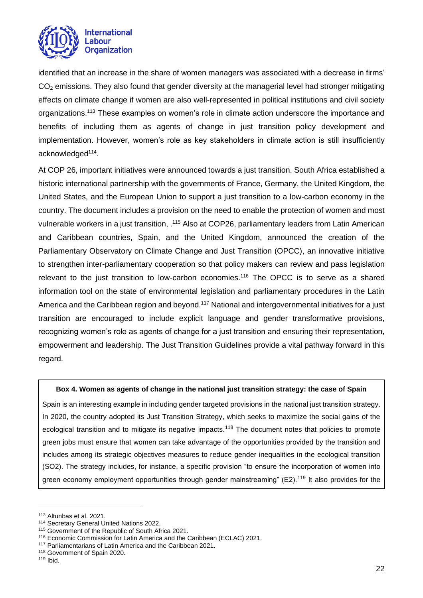

identified that an increase in the share of women managers was associated with a decrease in firms' CO<sub>2</sub> emissions. They also found that gender diversity at the managerial level had stronger mitigating effects on climate change if women are also well-represented in political institutions and civil society organizations.<sup>113</sup> These examples on women's role in climate action underscore the importance and benefits of including them as agents of change in just transition policy development and implementation. However, women's role as key stakeholders in climate action is still insufficiently acknowledged<sup>114</sup>.

At COP 26, important initiatives were announced towards a just transition. South Africa established a historic international partnership with the governments of France, Germany, the United Kingdom, the United States, and the European Union to support a just transition to a low-carbon economy in the country. The document includes a provision on the need to enable the protection of women and most vulnerable workers in a just transition, .<sup>115</sup> Also at COP26, parliamentary leaders from Latin American and Caribbean countries, Spain, and the United Kingdom, announced the creation of the Parliamentary Observatory on Climate Change and Just Transition (OPCC), an innovative initiative to strengthen inter-parliamentary cooperation so that policy makers can review and pass legislation relevant to the just transition to low-carbon economies.<sup>116</sup> The OPCC is to serve as a shared information tool on the state of environmental legislation and parliamentary procedures in the Latin America and the Caribbean region and beyond.<sup>117</sup> National and intergovernmental initiatives for a just transition are encouraged to include explicit language and gender transformative provisions, recognizing women's role as agents of change for a just transition and ensuring their representation, empowerment and leadership. The Just Transition Guidelines provide a vital pathway forward in this regard.

#### **Box 4. Women as agents of change in the national just transition strategy: the case of Spain**

Spain is an interesting example in including gender targeted provisions in the national just transition strategy. In 2020, the country adopted its Just Transition Strategy, which seeks to maximize the social gains of the ecological transition and to mitigate its negative impacts.<sup>118</sup> The document notes that policies to promote green jobs must ensure that women can take advantage of the opportunities provided by the transition and includes among its strategic objectives measures to reduce gender inequalities in the ecological transition (SO2). The strategy includes, for instance, a specific provision "to ensure the incorporation of women into green economy employment opportunities through gender mainstreaming" (E2).<sup>119</sup> It also provides for the

<sup>113</sup> Altunbas et al. 2021.

<sup>114</sup> Secretary General United Nations 2022.

<sup>&</sup>lt;sup>115</sup> Government of the Republic of South Africa 2021.

<sup>116</sup> Economic Commission for Latin America and the Caribbean (ECLAC) 2021.

<sup>117</sup> Parliamentarians of Latin America and the Caribbean 2021.

<sup>118</sup> Government of Spain 2020.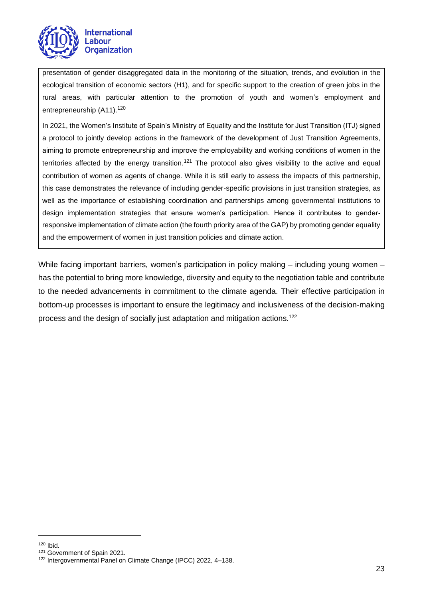

presentation of gender disaggregated data in the monitoring of the situation, trends, and evolution in the ecological transition of economic sectors (H1), and for specific support to the creation of green jobs in the rural areas, with particular attention to the promotion of youth and women's employment and entrepreneurship (A11).<sup>120</sup>

In 2021, the Women's Institute of Spain's Ministry of Equality and the Institute for Just Transition (ITJ) signed a protocol to jointly develop actions in the framework of the development of Just Transition Agreements, aiming to promote entrepreneurship and improve the employability and working conditions of women in the territories affected by the energy transition.<sup>121</sup> The protocol also gives visibility to the active and equal contribution of women as agents of change. While it is still early to assess the impacts of this partnership, this case demonstrates the relevance of including gender-specific provisions in just transition strategies, as well as the importance of establishing coordination and partnerships among governmental institutions to design implementation strategies that ensure women's participation. Hence it contributes to genderresponsive implementation of climate action (the fourth priority area of the GAP) by promoting gender equality and the empowerment of women in just transition policies and climate action.

While facing important barriers, women's participation in policy making – including young women – has the potential to bring more knowledge, diversity and equity to the negotiation table and contribute to the needed advancements in commitment to the climate agenda. Their effective participation in bottom-up processes is important to ensure the legitimacy and inclusiveness of the decision-making process and the design of socially just adaptation and mitigation actions. 122

<sup>120</sup> Ibid.

<sup>121</sup> Government of Spain 2021.

<sup>122</sup> Intergovernmental Panel on Climate Change (IPCC) 2022, 4–138.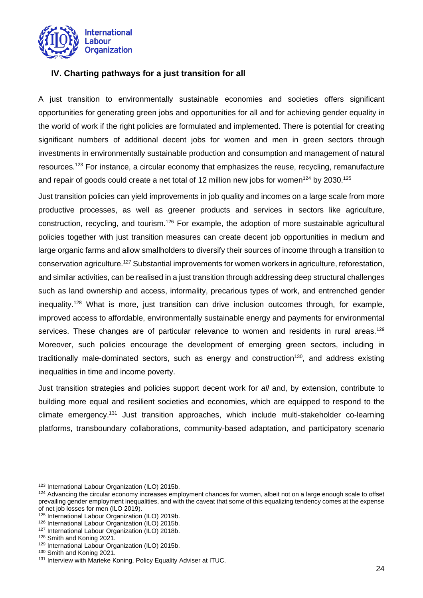

## <span id="page-23-0"></span>**IV. Charting pathways for a just transition for all**

A just transition to environmentally sustainable economies and societies offers significant opportunities for generating green jobs and opportunities for all and for achieving gender equality in the world of work if the right policies are formulated and implemented. There is potential for creating significant numbers of additional decent jobs for women and men in green sectors through investments in environmentally sustainable production and consumption and management of natural resources.<sup>123</sup> For instance, a circular economy that emphasizes the reuse, recycling, remanufacture and repair of goods could create a net total of 12 million new jobs for women $^{124}$  by 2030. $^{125}$ 

Just transition policies can yield improvements in job quality and incomes on a large scale from more productive processes, as well as greener products and services in sectors like agriculture, construction, recycling, and tourism.<sup>126</sup> For example, the adoption of more sustainable agricultural policies together with just transition measures can create decent job opportunities in medium and large organic farms and allow smallholders to diversify their sources of income through a transition to conservation agriculture.<sup>127</sup> Substantial improvements for women workers in agriculture, reforestation, and similar activities, can be realised in a just transition through addressing deep structural challenges such as land ownership and access, informality, precarious types of work, and entrenched gender inequality.<sup>128</sup> What is more, just transition can drive inclusion outcomes through, for example, improved access to affordable, environmentally sustainable energy and payments for environmental services. These changes are of particular relevance to women and residents in rural areas.<sup>129</sup> Moreover, such policies encourage the development of emerging green sectors, including in traditionally male-dominated sectors, such as energy and construction<sup>130</sup>, and address existing inequalities in time and income poverty.

Just transition strategies and policies support decent work for *all* and, by extension, contribute to building more equal and resilient societies and economies, which are equipped to respond to the climate emergency.<sup>131</sup> Just transition approaches, which include multi-stakeholder co-learning platforms, transboundary collaborations, community-based adaptation, and participatory scenario

<sup>123</sup> International Labour Organization (ILO) 2015b.

<sup>&</sup>lt;sup>124</sup> Advancing the circular economy increases employment chances for women, albeit not on a large enough scale to offset prevailing gender employment inequalities, and with the caveat that some of this equalizing tendency comes at the expense of net job losses for men (ILO 2019).

<sup>125</sup> International Labour Organization (ILO) 2019b.

<sup>126</sup> International Labour Organization (ILO) 2015b.

<sup>127</sup> International Labour Organization (ILO) 2018b.

<sup>128</sup> Smith and Koning 2021.

<sup>129</sup> International Labour Organization (ILO) 2015b.

<sup>130</sup> Smith and Koning 2021.

<sup>&</sup>lt;sup>131</sup> Interview with Marieke Koning, Policy Equality Adviser at ITUC.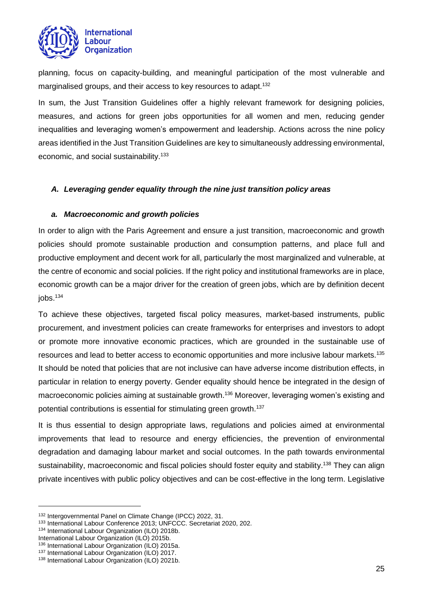

planning, focus on capacity-building, and meaningful participation of the most vulnerable and marginalised groups, and their access to key resources to adapt.<sup>132</sup>

In sum, the Just Transition Guidelines offer a highly relevant framework for designing policies, measures, and actions for green jobs opportunities for all women and men, reducing gender inequalities and leveraging women's empowerment and leadership. Actions across the nine policy areas identified in the Just Transition Guidelines are key to simultaneously addressing environmental, economic, and social sustainability.<sup>133</sup>

#### <span id="page-24-0"></span>*A. Leveraging gender equality through the nine just transition policy areas*

## <span id="page-24-1"></span>*a. Macroeconomic and growth policies*

In order to align with the Paris Agreement and ensure a just transition, macroeconomic and growth policies should promote sustainable production and consumption patterns, and place full and productive employment and decent work for all, particularly the most marginalized and vulnerable, at the centre of economic and social policies. If the right policy and institutional frameworks are in place, economic growth can be a major driver for the creation of green jobs, which are by definition decent  $j$ obs. $134$ 

To achieve these objectives, targeted fiscal policy measures, market-based instruments, public procurement, and investment policies can create frameworks for enterprises and investors to adopt or promote more innovative economic practices, which are grounded in the sustainable use of resources and lead to better access to economic opportunities and more inclusive labour markets.<sup>135</sup> It should be noted that policies that are not inclusive can have adverse income distribution effects, in particular in relation to energy poverty. Gender equality should hence be integrated in the design of macroeconomic policies aiming at sustainable growth.<sup>136</sup> Moreover, leveraging women's existing and potential contributions is essential for stimulating green growth.<sup>137</sup>

It is thus essential to design appropriate laws, regulations and policies aimed at environmental improvements that lead to resource and energy efficiencies, the prevention of environmental degradation and damaging labour market and social outcomes. In the path towards environmental sustainability, macroeconomic and fiscal policies should foster equity and stability.<sup>138</sup> They can align private incentives with public policy objectives and can be cost-effective in the long term. Legislative

<sup>132</sup> Intergovernmental Panel on Climate Change (IPCC) 2022, 31.

<sup>133</sup> International Labour Conference 2013; UNFCCC. Secretariat 2020, 202.

<sup>134</sup> International Labour Organization (ILO) 2018b.

International Labour Organization (ILO) 2015b.

<sup>136</sup> International Labour Organization (ILO) 2015a.

<sup>137</sup> International Labour Organization (ILO) 2017.

<sup>138</sup> International Labour Organization (ILO) 2021b.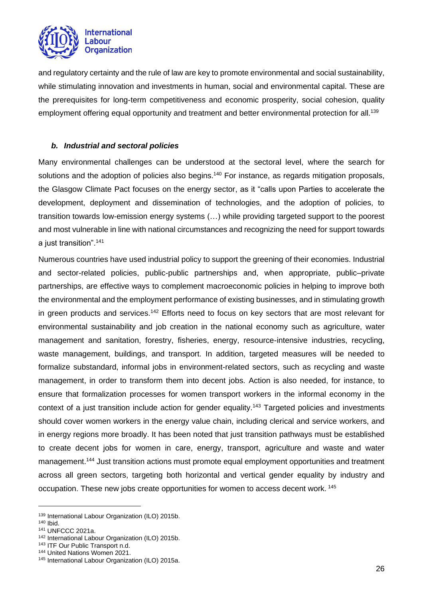

and regulatory certainty and the rule of law are key to promote environmental and social sustainability, while stimulating innovation and investments in human, social and environmental capital. These are the prerequisites for long-term competitiveness and economic prosperity, social cohesion, quality employment offering equal opportunity and treatment and better environmental protection for all.<sup>139</sup>

## <span id="page-25-0"></span>*b. Industrial and sectoral policies*

Many environmental challenges can be understood at the sectoral level, where the search for solutions and the adoption of policies also begins.<sup>140</sup> For instance, as regards mitigation proposals, the Glasgow Climate Pact focuses on the energy sector, as it "calls upon Parties to accelerate the development, deployment and dissemination of technologies, and the adoption of policies, to transition towards low-emission energy systems (…) while providing targeted support to the poorest and most vulnerable in line with national circumstances and recognizing the need for support towards a just transition".<sup>141</sup>

Numerous countries have used industrial policy to support the greening of their economies. Industrial and sector-related policies, public-public partnerships and, when appropriate, public–private partnerships, are effective ways to complement macroeconomic policies in helping to improve both the environmental and the employment performance of existing businesses, and in stimulating growth in green products and services.<sup>142</sup> Efforts need to focus on key sectors that are most relevant for environmental sustainability and job creation in the national economy such as agriculture, water management and sanitation, forestry, fisheries, energy, resource-intensive industries, recycling, waste management, buildings, and transport. In addition, targeted measures will be needed to formalize substandard, informal jobs in environment-related sectors, such as recycling and waste management, in order to transform them into decent jobs. Action is also needed, for instance, to ensure that formalization processes for women transport workers in the informal economy in the context of a just transition include action for gender equality.<sup>143</sup> Targeted policies and investments should cover women workers in the energy value chain, including clerical and service workers, and in energy regions more broadly. It has been noted that just transition pathways must be established to create decent jobs for women in care, energy, transport, agriculture and waste and water management.<sup>144</sup> Just transition actions must promote equal employment opportunities and treatment across all green sectors, targeting both horizontal and vertical gender equality by industry and occupation. These new jobs create opportunities for women to access decent work. <sup>145</sup>

<sup>139</sup> International Labour Organization (ILO) 2015b.

<sup>140</sup> Ibid.

<sup>141</sup> UNFCCC 2021a.

<sup>142</sup> International Labour Organization (ILO) 2015b.

<sup>143</sup> ITF Our Public Transport n.d.

<sup>144</sup> United Nations Women 2021.

<sup>145</sup> International Labour Organization (ILO) 2015a.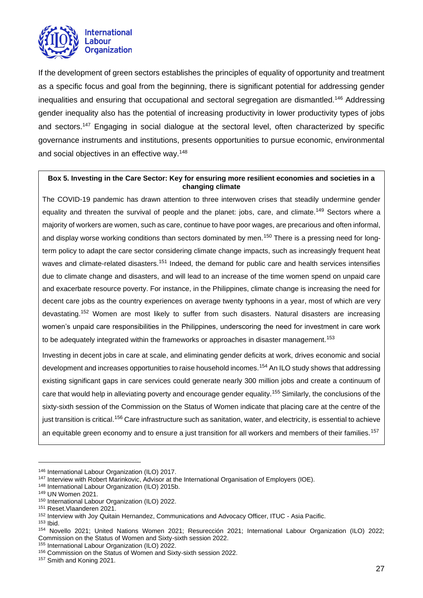

If the development of green sectors establishes the principles of equality of opportunity and treatment as a specific focus and goal from the beginning, there is significant potential for addressing gender inequalities and ensuring that occupational and sectoral segregation are dismantled.<sup>146</sup> Addressing gender inequality also has the potential of increasing productivity in lower productivity types of jobs and sectors.<sup>147</sup> Engaging in social dialogue at the sectoral level, often characterized by specific governance instruments and institutions, presents opportunities to pursue economic, environmental and social objectives in an effective way.<sup>148</sup>

#### **Box 5. Investing in the Care Sector: Key for ensuring more resilient economies and societies in a changing climate**

The COVID-19 pandemic has drawn attention to three interwoven crises that steadily undermine gender equality and threaten the survival of people and the planet: jobs, care, and climate.<sup>149</sup> Sectors where a majority of workers are women, such as care, continue to have poor wages, are precarious and often informal, and display worse working conditions than sectors dominated by men.<sup>150</sup> There is a pressing need for longterm policy to adapt the care sector considering climate change impacts, such as increasingly frequent heat waves and climate-related disasters.<sup>151</sup> Indeed, the demand for public care and health services intensifies due to climate change and disasters, and will lead to an increase of the time women spend on unpaid care and exacerbate resource poverty. For instance, in the Philippines, climate change is increasing the need for decent care jobs as the country experiences on average twenty typhoons in a year, most of which are very devastating.<sup>152</sup> Women are most likely to suffer from such disasters. Natural disasters are increasing women's unpaid care responsibilities in the Philippines, underscoring the need for investment in care work to be adequately integrated within the frameworks or approaches in disaster management.<sup>153</sup>

Investing in decent jobs in care at scale, and eliminating gender deficits at work, drives economic and social development and increases opportunities to raise household incomes.<sup>154</sup> An ILO study shows that addressing existing significant gaps in care services could generate nearly 300 million jobs and create a continuum of care that would help in alleviating poverty and encourage gender equality.<sup>155</sup> Similarly, the conclusions of the sixty-sixth session of the Commission on the Status of Women indicate that placing care at the centre of the just transition is critical.<sup>156</sup> Care infrastructure such as sanitation, water, and electricity, is essential to achieve an equitable green economy and to ensure a just transition for all workers and members of their families.<sup>157</sup>

<sup>146</sup> International Labour Organization (ILO) 2017.

<sup>&</sup>lt;sup>147</sup> Interview with Robert Marinkovic, Advisor at the International Organisation of Employers (IOE).

<sup>148</sup> International Labour Organization (ILO) 2015b.

<sup>149</sup> UN Women 2021.

<sup>150</sup> International Labour Organization (ILO) 2022.

<sup>151</sup> Reset.Vlaanderen 2021.

<sup>152</sup> Interview with Joy Quitain Hernandez, Communications and Advocacy Officer, ITUC - Asia Pacific.

<sup>153</sup> Ibid.

<sup>154</sup> Novello 2021; United Nations Women 2021; Resurección 2021; International Labour Organization (ILO) 2022; Commission on the Status of Women and Sixty-sixth session 2022.

<sup>155</sup> International Labour Organization (ILO) 2022.

<sup>156</sup> Commission on the Status of Women and Sixty-sixth session 2022.

<sup>157</sup> Smith and Koning 2021.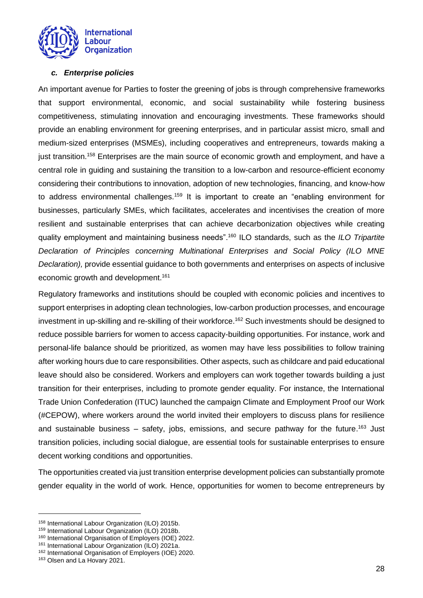

## <span id="page-27-0"></span>*c. Enterprise policies*

An important avenue for Parties to foster the greening of jobs is through comprehensive frameworks that support environmental, economic, and social sustainability while fostering business competitiveness, stimulating innovation and encouraging investments. These frameworks should provide an enabling environment for greening enterprises, and in particular assist micro, small and medium-sized enterprises (MSMEs), including cooperatives and entrepreneurs, towards making a just transition.<sup>158</sup> Enterprises are the main source of economic growth and employment, and have a central role in guiding and sustaining the transition to a low-carbon and resource-efficient economy considering their contributions to innovation, adoption of new technologies, financing, and know-how to address environmental challenges.<sup>159</sup> It is important to create an "enabling environment for businesses, particularly SMEs, which facilitates, accelerates and incentivises the creation of more resilient and sustainable enterprises that can achieve decarbonization objectives while creating quality employment and maintaining business needs".<sup>160</sup> ILO standards, such as the *ILO Tripartite Declaration of Principles concerning Multinational Enterprises and Social Policy (ILO MNE Declaration),* provide essential guidance to both governments and enterprises on aspects of inclusive economic growth and development. 161

Regulatory frameworks and institutions should be coupled with economic policies and incentives to support enterprises in adopting clean technologies, low-carbon production processes, and encourage investment in up-skilling and re-skilling of their workforce.<sup>162</sup> Such investments should be designed to reduce possible barriers for women to access capacity-building opportunities. For instance, work and personal-life balance should be prioritized, as women may have less possibilities to follow training after working hours due to care responsibilities. Other aspects, such as childcare and paid educational leave should also be considered. Workers and employers can work together towards building a just transition for their enterprises, including to promote gender equality. For instance, the International Trade Union Confederation (ITUC) launched the campaign Climate and Employment Proof our Work (#CEPOW), where workers around the world invited their employers to discuss plans for resilience and sustainable business – safety, jobs, emissions, and secure pathway for the future. <sup>163</sup> Just transition policies, including social dialogue, are essential tools for sustainable enterprises to ensure decent working conditions and opportunities.

The opportunities created via just transition enterprise development policies can substantially promote gender equality in the world of work. Hence, opportunities for women to become entrepreneurs by

<sup>158</sup> International Labour Organization (ILO) 2015b.

<sup>159</sup> International Labour Organization (ILO) 2018b.

<sup>160</sup> International Organisation of Employers (IOE) 2022.

<sup>161</sup> International Labour Organization (ILO) 2021a.

<sup>162</sup> International Organisation of Employers (IOE) 2020.

<sup>163</sup> Olsen and La Hovary 2021.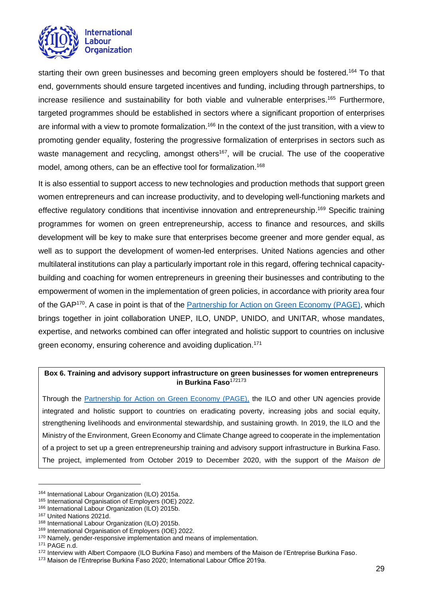

starting their own green businesses and becoming green employers should be fostered.<sup>164</sup> To that end, governments should ensure targeted incentives and funding, including through partnerships, to increase resilience and sustainability for both viable and vulnerable enterprises. <sup>165</sup> Furthermore, targeted programmes should be established in sectors where a significant proportion of enterprises are informal with a view to promote formalization.<sup>166</sup> In the context of the just transition, with a view to promoting gender equality, fostering the progressive formalization of enterprises in sectors such as waste management and recycling, amongst others<sup>167</sup>, will be crucial. The use of the cooperative model, among others, can be an effective tool for formalization.<sup>168</sup>

It is also essential to support access to new technologies and production methods that support green women entrepreneurs and can increase productivity, and to developing well-functioning markets and effective regulatory conditions that incentivise innovation and entrepreneurship.<sup>169</sup> Specific training programmes for women on green entrepreneurship, access to finance and resources, and skills development will be key to make sure that enterprises become greener and more gender equal, as well as to support the development of women-led enterprises. United Nations agencies and other multilateral institutions can play a particularly important role in this regard, offering technical capacitybuilding and coaching for women entrepreneurs in greening their businesses and contributing to the empowerment of women in the implementation of green policies, in accordance with priority area four of the GAP<sup>170</sup>. A case in point is that of the **Partnership for Action on Green Economy (PAGE)**, which brings together in joint collaboration UNEP, ILO, UNDP, UNIDO, and UNITAR, whose mandates, expertise, and networks combined can offer integrated and holistic support to countries on inclusive green economy, ensuring coherence and avoiding duplication.<sup>171</sup>

#### **Box 6. Training and advisory support infrastructure on green businesses for women entrepreneurs**  in Burkina Faso<sup>172173</sup>

Through the [Partnership for Action on Green Economy \(PAGE\),](https://www.un-page.org/) the ILO and other UN agencies provide integrated and holistic support to countries on eradicating poverty, increasing jobs and social equity, strengthening livelihoods and environmental stewardship, and sustaining growth. In 2019, the ILO and the Ministry of the Environment, Green Economy and Climate Change agreed to cooperate in the implementation of a project to set up a green entrepreneurship training and advisory support infrastructure in Burkina Faso. The project, implemented from October 2019 to December 2020, with the support of the *Maison de* 

<sup>164</sup> International Labour Organization (ILO) 2015a.

<sup>165</sup> International Organisation of Employers (IOE) 2022.

<sup>166</sup> International Labour Organization (ILO) 2015b.

<sup>167</sup> United Nations 2021d.

<sup>168</sup> International Labour Organization (ILO) 2015b.

<sup>169</sup> International Organisation of Employers (IOE) 2022.

<sup>&</sup>lt;sup>170</sup> Namely, gender-responsive implementation and means of implementation.

<sup>171</sup> PAGE n.d.

<sup>172</sup> Interview with Albert Compaore (ILO Burkina Faso) and members of the Maison de l'Entreprise Burkina Faso.

<sup>173</sup> Maison de l'Entreprise Burkina Faso 2020; International Labour Office 2019a.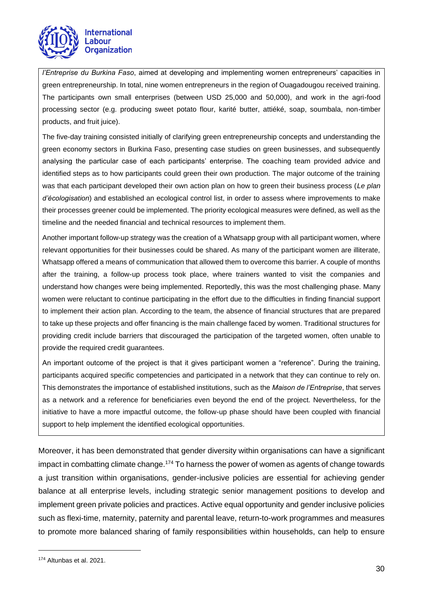

*l'Entreprise du Burkina Faso*, aimed at developing and implementing women entrepreneurs' capacities in green entrepreneurship. In total, nine women entrepreneurs in the region of Ouagadougou received training. The participants own small enterprises (between USD 25,000 and 50,000), and work in the agri-food processing sector (e.g. producing sweet potato flour, karité butter, attiéké, soap, soumbala, non-timber products, and fruit juice).

The five-day training consisted initially of clarifying green entrepreneurship concepts and understanding the green economy sectors in Burkina Faso, presenting case studies on green businesses, and subsequently analysing the particular case of each participants' enterprise. The coaching team provided advice and identified steps as to how participants could green their own production. The major outcome of the training was that each participant developed their own action plan on how to green their business process (*Le plan d'écologisation*) and established an ecological control list, in order to assess where improvements to make their processes greener could be implemented. The priority ecological measures were defined, as well as the timeline and the needed financial and technical resources to implement them.

Another important follow-up strategy was the creation of a Whatsapp group with all participant women, where relevant opportunities for their businesses could be shared. As many of the participant women are illiterate, Whatsapp offered a means of communication that allowed them to overcome this barrier. A couple of months after the training, a follow-up process took place, where trainers wanted to visit the companies and understand how changes were being implemented. Reportedly, this was the most challenging phase. Many women were reluctant to continue participating in the effort due to the difficulties in finding financial support to implement their action plan. According to the team, the absence of financial structures that are prepared to take up these projects and offer financing is the main challenge faced by women. Traditional structures for providing credit include barriers that discouraged the participation of the targeted women, often unable to provide the required credit guarantees.

An important outcome of the project is that it gives participant women a "reference". During the training, participants acquired specific competencies and participated in a network that they can continue to rely on. This demonstrates the importance of established institutions, such as the *Maison de l'Entreprise*, that serves as a network and a reference for beneficiaries even beyond the end of the project. Nevertheless, for the initiative to have a more impactful outcome, the follow-up phase should have been coupled with financial support to help implement the identified ecological opportunities.

<span id="page-29-0"></span>Moreover, it has been demonstrated that gender diversity within organisations can have a significant impact in combatting climate change.<sup>174</sup> To harness the power of women as agents of change towards a just transition within organisations, gender-inclusive policies are essential for achieving gender balance at all enterprise levels, including strategic senior management positions to develop and implement green private policies and practices. Active equal opportunity and gender inclusive policies such as flexi-time, maternity, paternity and parental leave, return-to-work programmes and measures to promote more balanced sharing of family responsibilities within households, can help to ensure

<sup>174</sup> Altunbas et al. 2021.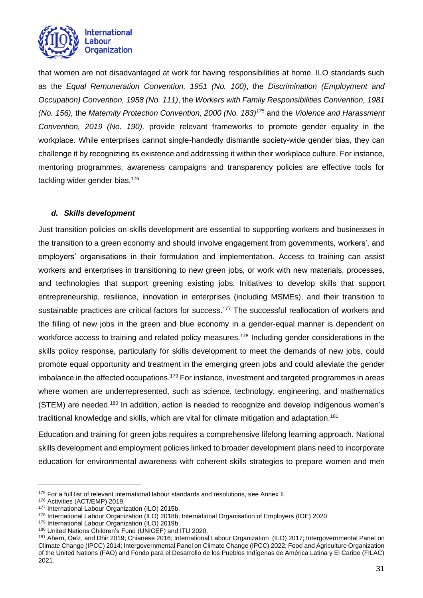

that women are not disadvantaged at work for having responsibilities at home. ILO standards such as the *Equal Remuneration Convention, 1951 (No. 100)*, the *Discrimination (Employment and Occupation) Convention, 1958 (No. 111)*, the *Workers with Family Responsibilities Convention, 1981 (No. 156),* the *Maternity Protection Convention, 2000 (No. 183)<sup>175</sup>* and the *Violence and Harassment Convention, 2019 (No. 190),* provide relevant frameworks to promote gender equality in the workplace. While enterprises cannot single-handedly dismantle society-wide gender bias, they can challenge it by recognizing its existence and addressing it within their workplace culture. For instance, mentoring programmes, awareness campaigns and transparency policies are effective tools for tackling wider gender bias.<sup>176</sup>

## *d. Skills development*

Just transition policies on skills development are essential to supporting workers and businesses in the transition to a green economy and should involve engagement from governments, workers', and employers' organisations in their formulation and implementation. Access to training can assist workers and enterprises in transitioning to new green jobs, or work with new materials, processes, and technologies that support greening existing jobs. Initiatives to develop skills that support entrepreneurship, resilience, innovation in enterprises (including MSMEs), and their transition to sustainable practices are critical factors for success.<sup>177</sup> The successful reallocation of workers and the filling of new jobs in the green and blue economy in a gender-equal manner is dependent on workforce access to training and related policy measures.<sup>178</sup> Including gender considerations in the skills policy response, particularly for skills development to meet the demands of new jobs, could promote equal opportunity and treatment in the emerging green jobs and could alleviate the gender imbalance in the affected occupations.<sup>179</sup> For instance, investment and targeted programmes in areas where women are underrepresented, such as science, technology, engineering, and mathematics (STEM) are needed.<sup>180</sup> In addition, action is needed to recognize and develop indigenous women's traditional knowledge and skills, which are vital for climate mitigation and adaptation.<sup>181</sup>

Education and training for green jobs requires a comprehensive lifelong learning approach. National skills development and employment policies linked to broader development plans need to incorporate education for environmental awareness with coherent skills strategies to prepare women and men

<sup>175</sup> For a full list of relevant international labour standards and resolutions, see Annex II.

<sup>176</sup> Activities (ACT/EMP) 2019.

<sup>177</sup> International Labour Organization (ILO) 2015b.

<sup>178</sup> International Labour Organization (ILO) 2018b; International Organisation of Employers (IOE) 2020.

<sup>179</sup> International Labour Organization (ILO) 2019b.

<sup>180</sup> United Nations Children's Fund (UNICEF) and ITU 2020.

<sup>181</sup> Ahern, Oelz, and Dhir 2019; Chianese 2016; International Labour Organization (ILO) 2017; Intergovernmental Panel on Climate Change (IPCC) 2014; Intergovernmental Panel on Climate Change (IPCC) 2022; Food and Agriculture Organization of the United Nations (FAO) and Fondo para el Desarrollo de los Pueblos Indígenas de América Latina y El Caribe (FILAC) 2021.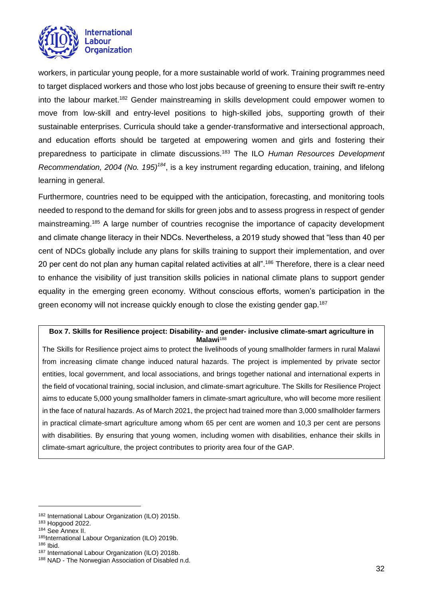

workers, in particular young people, for a more sustainable world of work. Training programmes need to target displaced workers and those who lost jobs because of greening to ensure their swift re-entry into the labour market.<sup>182</sup> Gender mainstreaming in skills development could empower women to move from low-skill and entry-level positions to high-skilled jobs, supporting growth of their sustainable enterprises. Curricula should take a gender-transformative and intersectional approach, and education efforts should be targeted at empowering women and girls and fostering their preparedness to participate in climate discussions.<sup>183</sup> The ILO *Human Resources Development Recommendation, 2004 (No. 195)<sup>184</sup>*, is a key instrument regarding education, training, and lifelong learning in general.

Furthermore, countries need to be equipped with the anticipation, forecasting, and monitoring tools needed to respond to the demand for skills for green jobs and to assess progress in respect of gender mainstreaming.<sup>185</sup> A large number of countries recognise the importance of capacity development and climate change literacy in their NDCs. Nevertheless, a 2019 study showed that "less than 40 per cent of NDCs globally include any plans for skills training to support their implementation, and over 20 per cent do not plan any human capital related activities at all".<sup>186</sup> Therefore, there is a clear need to enhance the visibility of just transition skills policies in national climate plans to support gender equality in the emerging green economy. Without conscious efforts, women's participation in the green economy will not increase quickly enough to close the existing gender gap.<sup>187</sup>

#### **Box 7. Skills for Resilience project: Disability- and gender- inclusive climate-smart agriculture in Malawi**<sup>188</sup>

The Skills for Resilience project aims to protect the livelihoods of young smallholder farmers in rural Malawi from increasing climate change induced natural hazards. The project is implemented by private sector entities, local government, and local associations, and brings together national and international experts in the field of vocational training, social inclusion, and climate-smart agriculture. The Skills for Resilience Project aims to educate 5,000 young smallholder famers in climate-smart agriculture, who will become more resilient in the face of natural hazards. As of March 2021, the project had trained more than 3,000 smallholder farmers in practical climate-smart agriculture among whom 65 per cent are women and 10,3 per cent are persons with disabilities. By ensuring that young women, including women with disabilities, enhance their skills in climate-smart agriculture, the project contributes to priority area four of the GAP.

<sup>182</sup> International Labour Organization (ILO) 2015b.

<sup>183</sup> Hopgood 2022.

<sup>184</sup> See Annex II.

<sup>185</sup>International Labour Organization (ILO) 2019b.

<sup>186</sup> Ibid.

<sup>187</sup> International Labour Organization (ILO) 2018b. 188 NAD - The Norwegian Association of Disabled n.d.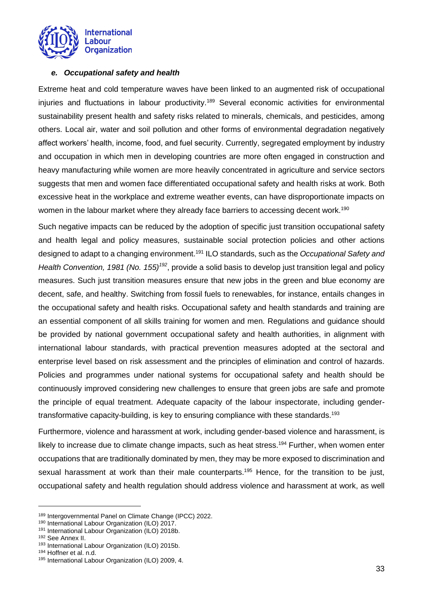

#### <span id="page-32-0"></span>*e. Occupational safety and health*

Extreme heat and cold temperature waves have been linked to an augmented risk of occupational injuries and fluctuations in labour productivity.<sup>189</sup> Several economic activities for environmental sustainability present health and safety risks related to minerals, chemicals, and pesticides, among others. Local air, water and soil pollution and other forms of environmental degradation negatively affect workers' health, income, food, and fuel security. Currently, segregated employment by industry and occupation in which men in developing countries are more often engaged in construction and heavy manufacturing while women are more heavily concentrated in agriculture and service sectors suggests that men and women face differentiated occupational safety and health risks at work. Both excessive heat in the workplace and extreme weather events, can have disproportionate impacts on women in the labour market where they already face barriers to accessing decent work.<sup>190</sup>

Such negative impacts can be reduced by the adoption of specific just transition occupational safety and health legal and policy measures, sustainable social protection policies and other actions designed to adapt to a changing environment.<sup>191</sup> ILO standards, such as the *Occupational Safety and Health Convention, 1981 (No. 155)<sup>192</sup>*, provide a solid basis to develop just transition legal and policy measures. Such just transition measures ensure that new jobs in the green and blue economy are decent, safe, and healthy. Switching from fossil fuels to renewables, for instance, entails changes in the occupational safety and health risks. Occupational safety and health standards and training are an essential component of all skills training for women and men. Regulations and guidance should be provided by national government occupational safety and health authorities, in alignment with international labour standards, with practical prevention measures adopted at the sectoral and enterprise level based on risk assessment and the principles of elimination and control of hazards. Policies and programmes under national systems for occupational safety and health should be continuously improved considering new challenges to ensure that green jobs are safe and promote the principle of equal treatment. Adequate capacity of the labour inspectorate, including gendertransformative capacity-building, is key to ensuring compliance with these standards.<sup>193</sup>

Furthermore, violence and harassment at work, including gender-based violence and harassment, is likely to increase due to climate change impacts, such as heat stress.<sup>194</sup> Further, when women enter occupations that are traditionally dominated by men, they may be more exposed to discrimination and sexual harassment at work than their male counterparts.<sup>195</sup> Hence, for the transition to be just, occupational safety and health regulation should address violence and harassment at work, as well

<sup>189</sup> Intergovernmental Panel on Climate Change (IPCC) 2022.

<sup>190</sup> International Labour Organization (ILO) 2017.

<sup>191</sup> International Labour Organization (ILO) 2018b.

<sup>192</sup> See Annex II.

<sup>193</sup> International Labour Organization (ILO) 2015b.

<sup>194</sup> Hoffner et al. n.d.

<sup>195</sup> International Labour Organization (ILO) 2009, 4.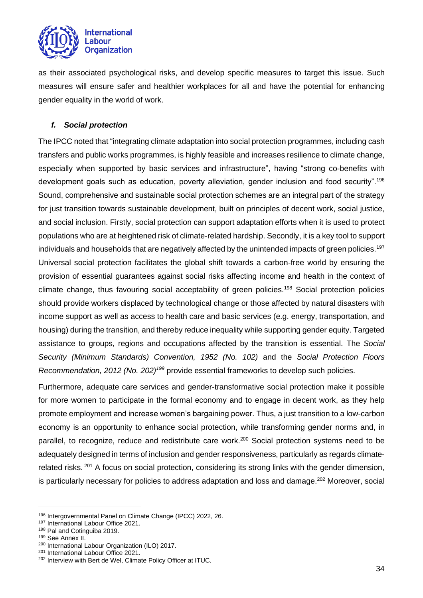

as their associated psychological risks, and develop specific measures to target this issue. Such measures will ensure safer and healthier workplaces for all and have the potential for enhancing gender equality in the world of work.

## <span id="page-33-0"></span>*f. Social protection*

The IPCC noted that "integrating climate adaptation into social protection programmes, including cash transfers and public works programmes, is highly feasible and increases resilience to climate change, especially when supported by basic services and infrastructure", having "strong co-benefits with development goals such as education, poverty alleviation, gender inclusion and food security".<sup>196</sup> Sound, comprehensive and sustainable social protection schemes are an integral part of the strategy for just transition towards sustainable development, built on principles of decent work, social justice, and social inclusion. Firstly, social protection can support adaptation efforts when it is used to protect populations who are at heightened risk of climate-related hardship. Secondly, it is a key tool to support individuals and households that are negatively affected by the unintended impacts of green policies.<sup>197</sup> Universal social protection facilitates the global shift towards a carbon-free world by ensuring the provision of essential guarantees against social risks affecting income and health in the context of climate change, thus favouring social acceptability of green policies.<sup>198</sup> Social protection policies should provide workers displaced by technological change or those affected by natural disasters with income support as well as access to health care and basic services (e.g. energy, transportation, and housing) during the transition, and thereby reduce inequality while supporting gender equity. Targeted assistance to groups, regions and occupations affected by the transition is essential. The *Social Security (Minimum Standards) Convention, 1952 (No. 102)* and the *Social Protection Floors Recommendation, 2012 (No. 202)<sup>199</sup>* provide essential frameworks to develop such policies.

Furthermore, adequate care services and gender-transformative social protection make it possible for more women to participate in the formal economy and to engage in decent work, as they help promote employment and increase women's bargaining power. Thus, a just transition to a low-carbon economy is an opportunity to enhance social protection, while transforming gender norms and, in parallel, to recognize, reduce and redistribute care work.<sup>200</sup> Social protection systems need to be adequately designed in terms of inclusion and gender responsiveness, particularly as regards climaterelated risks. <sup>201</sup> A focus on social protection, considering its strong links with the gender dimension, is particularly necessary for policies to address adaptation and loss and damage.<sup>202</sup> Moreover, social

<sup>196</sup> Intergovernmental Panel on Climate Change (IPCC) 2022, 26.

<sup>197</sup> International Labour Office 2021.

<sup>198</sup> Pal and Cotinguiba 2019.

<sup>199</sup> See Annex II.

<sup>200</sup> International Labour Organization (ILO) 2017.

<sup>&</sup>lt;sup>201</sup> International Labour Office 2021.

<sup>202</sup> Interview with Bert de Wel, Climate Policy Officer at ITUC.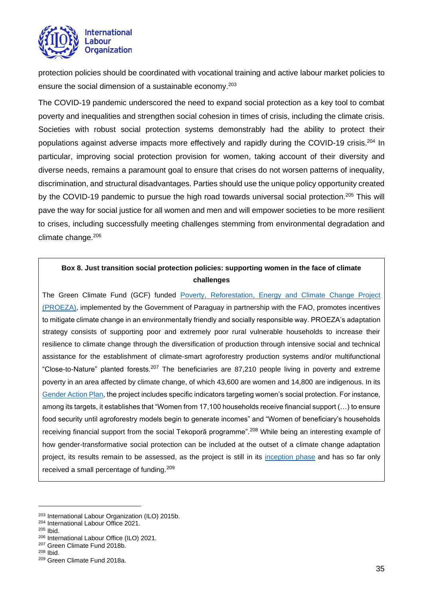

protection policies should be coordinated with vocational training and active labour market policies to ensure the social dimension of a sustainable economy.<sup>203</sup>

The COVID-19 pandemic underscored the need to expand social protection as a key tool to combat poverty and inequalities and strengthen social cohesion in times of crisis, including the climate crisis. Societies with robust social protection systems demonstrably had the ability to protect their populations against adverse impacts more effectively and rapidly during the COVID-19 crisis.<sup>204</sup> In particular, improving social protection provision for women, taking account of their diversity and diverse needs, remains a paramount goal to ensure that crises do not worsen patterns of inequality, discrimination, and structural disadvantages. Parties should use the unique policy opportunity created by the COVID-19 pandemic to pursue the high road towards universal social protection.<sup>205</sup> This will pave the way for social justice for all women and men and will empower societies to be more resilient to crises, including successfully meeting challenges stemming from environmental degradation and climate change.<sup>206</sup>

## **Box 8. Just transition social protection policies: supporting women in the face of climate challenges**

The Green Climate Fund (GCF) funded [Poverty, Reforestation, Energy and Climate Change Project](https://www.greenclimate.fund/sites/default/files/document/gender-action-plan-fp062-fao-paraguay.pdf)  [\(PROEZA\),](https://www.greenclimate.fund/sites/default/files/document/gender-action-plan-fp062-fao-paraguay.pdf) implemented by the Government of Paraguay in partnership with the FAO, promotes incentives to mitigate climate change in an environmentally friendly and socially responsible way. PROEZA's adaptation strategy consists of supporting poor and extremely poor rural vulnerable households to increase their resilience to climate change through the diversification of production through intensive social and technical assistance for the establishment of climate-smart agroforestry production systems and/or multifunctional "Close-to-Nature" planted forests.<sup>207</sup> The beneficiaries are 87,210 people living in poverty and extreme poverty in an area affected by climate change, of which 43,600 are women and 14,800 are indigenous. In its [Gender Action Plan,](https://www.greenclimate.fund/sites/default/files/document/gender-action-plan-fp062-fao-paraguay.pdf) the project includes specific indicators targeting women's social protection. For instance, among its targets, it establishes that "Women from 17,100 households receive financial support (…) to ensure food security until agroforestry models begin to generate incomes" and "Women of beneficiary's households receiving financial support from the social Tekoporã programme".<sup>208</sup> While being an interesting example of how gender-transformative social protection can be included at the outset of a climate change adaptation project, its results remain to be assessed, as the project is still in its [inception phase](https://www.greenclimate.fund/project/fp062#investment) and has so far only received a small percentage of funding.<sup>209</sup>

<sup>205</sup> Ibid.

<sup>208</sup> Ibid.

<sup>203</sup> International Labour Organization (ILO) 2015b.

<sup>204</sup> International Labour Office 2021.

<sup>206</sup> International Labour Office (ILO) 2021.

<sup>207</sup> Green Climate Fund 2018b.

<sup>209</sup> Green Climate Fund 2018a.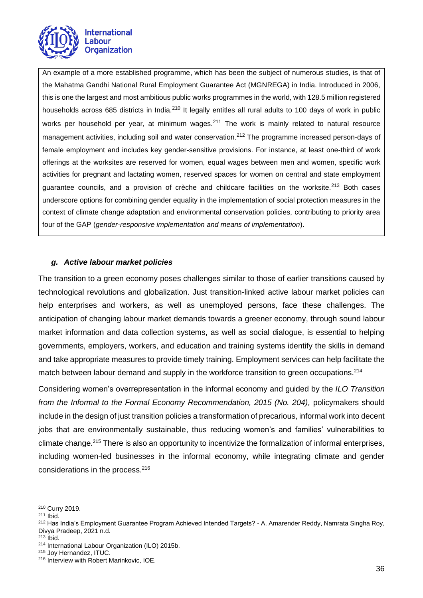

An example of a more established programme, which has been the subject of numerous studies, is that of the Mahatma Gandhi National Rural Employment Guarantee Act (MGNREGA) in India. Introduced in 2006, this is one the largest and most ambitious public works programmes in the world, with 128.5 million registered households across 685 districts in India.<sup>210</sup> It legally entitles all rural adults to 100 days of work in public works per household per year, at minimum wages.<sup>211</sup> The work is mainly related to natural resource management activities, including soil and water conservation.<sup>212</sup> The programme increased person-days of female employment and includes key gender-sensitive provisions. For instance, at least one-third of work offerings at the worksites are reserved for women, equal wages between men and women, specific work activities for pregnant and lactating women, reserved spaces for women on central and state employment guarantee councils, and a provision of crèche and childcare facilities on the worksite.<sup>213</sup> Both cases underscore options for combining gender equality in the implementation of social protection measures in the context of climate change adaptation and environmental conservation policies, contributing to priority area four of the GAP (*gender-responsive implementation and means of implementation*).

#### <span id="page-35-0"></span>*g. Active labour market policies*

The transition to a green economy poses challenges similar to those of earlier transitions caused by technological revolutions and globalization. Just transition-linked active labour market policies can help enterprises and workers, as well as unemployed persons, face these challenges. The anticipation of changing labour market demands towards a greener economy, through sound labour market information and data collection systems, as well as social dialogue, is essential to helping governments, employers, workers, and education and training systems identify the skills in demand and take appropriate measures to provide timely training. Employment services can help facilitate the match between labour demand and supply in the workforce transition to green occupations.<sup>214</sup>

Considering women's overrepresentation in the informal economy and guided by the *ILO Transition from the Informal to the Formal Economy Recommendation, 2015 (No. 204), policymakers should* include in the design of just transition policies a transformation of precarious, informal work into decent jobs that are environmentally sustainable, thus reducing women's and families' vulnerabilities to climate change.<sup>215</sup> There is also an opportunity to incentivize the formalization of informal enterprises, including women-led businesses in the informal economy, while integrating climate and gender considerations in the process.<sup>216</sup>

<sup>210</sup> Curry 2019.

<sup>211</sup> Ibid.

<sup>&</sup>lt;sup>212</sup> Has India's Employment Guarantee Program Achieved Intended Targets? - A. Amarender Reddy, Namrata Singha Roy, Divya Pradeep, 2021 n.d.

 $213$  Ibid.

<sup>214</sup> International Labour Organization (ILO) 2015b.

<sup>215</sup> Joy Hernandez, ITUC.

<sup>216</sup> Interview with Robert Marinkovic, IOE.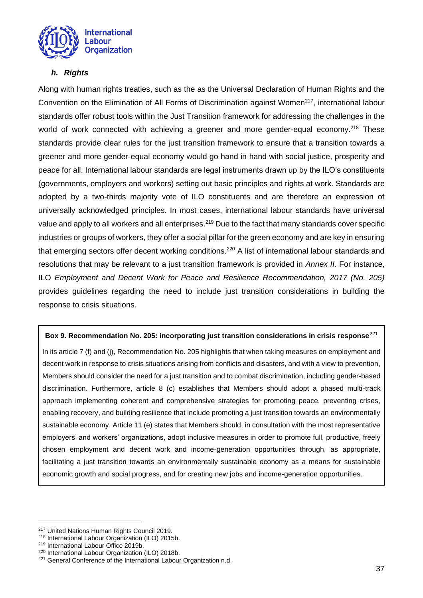

## <span id="page-36-0"></span>*h. Rights*

Along with human rights treaties, such as the as the Universal Declaration of Human Rights and the Convention on the Elimination of All Forms of Discrimination against Women<sup>217</sup>, international labour standards offer robust tools within the Just Transition framework for addressing the challenges in the world of work connected with achieving a greener and more gender-equal economy.<sup>218</sup> These standards provide clear rules for the just transition framework to ensure that a transition towards a greener and more gender-equal economy would go hand in hand with social justice, prosperity and peace for all. International labour standards are legal instruments drawn up by the ILO's constituents (governments, employers and workers) setting out basic principles and rights at work. Standards are adopted by a two-thirds majority vote of ILO constituents and are therefore an expression of universally acknowledged principles. In most cases, international labour standards have universal value and apply to all workers and all enterprises.<sup>219</sup> Due to the fact that many standards cover specific industries or groups of workers, they offer a social pillar for the green economy and are key in ensuring that emerging sectors offer decent working conditions.<sup>220</sup> A list of international labour standards and resolutions that may be relevant to a just transition framework is provided in *Annex II.* For instance, ILO *Employment and Decent Work for Peace and Resilience Recommendation, 2017 (No. 205)* provides guidelines regarding the need to include just transition considerations in building the response to crisis situations.

## **Box 9. Recommendation No. 205: incorporating just transition considerations in crisis response**<sup>221</sup>

In its article 7 (f) and (j), Recommendation No. 205 highlights that when taking measures on employment and decent work in response to crisis situations arising from conflicts and disasters, and with a view to prevention, Members should consider the need for a just transition and to combat discrimination, including gender-based discrimination. Furthermore, article 8 (c) establishes that Members should adopt a phased multi-track approach implementing coherent and comprehensive strategies for promoting peace, preventing crises, enabling recovery, and building resilience that include promoting a just transition towards an environmentally sustainable economy. Article 11 (e) states that Members should, in consultation with the most representative employers' and workers' organizations, adopt inclusive measures in order to promote full, productive, freely chosen employment and decent work and income-generation opportunities through, as appropriate, facilitating a just transition towards an environmentally sustainable economy as a means for sustainable economic growth and social progress, and for creating new jobs and income-generation opportunities.

<sup>217</sup> United Nations Human Rights Council 2019.

<sup>218</sup> International Labour Organization (ILO) 2015b.

<sup>219</sup> International Labour Office 2019b.

<sup>220</sup> International Labour Organization (ILO) 2018b.

<sup>&</sup>lt;sup>221</sup> General Conference of the International Labour Organization n.d.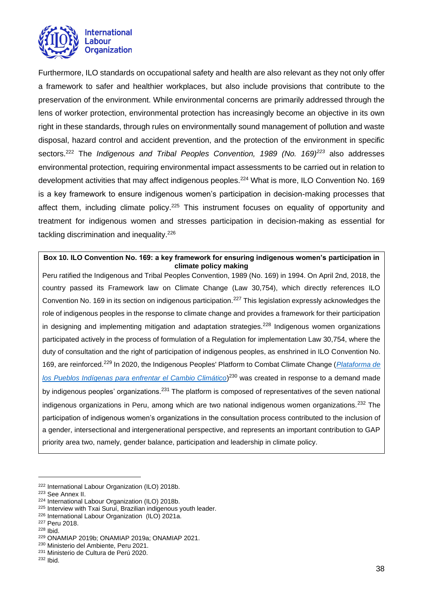

Furthermore, ILO standards on occupational safety and health are also relevant as they not only offer a framework to safer and healthier workplaces, but also include provisions that contribute to the preservation of the environment. While environmental concerns are primarily addressed through the lens of worker protection, environmental protection has increasingly become an objective in its own right in these standards, through rules on environmentally sound management of pollution and waste disposal, hazard control and accident prevention, and the protection of the environment in specific sectors.<sup>222</sup> The *Indigenous and Tribal Peoples Convention, 1989 (No. 169)<sup>223</sup>* also addresses environmental protection, requiring environmental impact assessments to be carried out in relation to development activities that may affect indigenous peoples.<sup>224</sup> What is more, ILO Convention No. 169 is a key framework to ensure indigenous women's participation in decision-making processes that affect them, including climate policy.<sup>225</sup> This instrument focuses on equality of opportunity and treatment for indigenous women and stresses participation in decision-making as essential for tackling discrimination and inequality.<sup>226</sup>

**Box 10. ILO Convention No. 169: a key framework for ensuring indigenous women's participation in climate policy making**

Peru ratified the Indigenous and Tribal Peoples Convention, 1989 (No. 169) in 1994. On April 2nd, 2018, the country passed its Framework law on Climate Change (Law 30,754), which directly references ILO Convention No. 169 in its section on indigenous participation.<sup>227</sup> This legislation expressly acknowledges the role of indigenous peoples in the response to climate change and provides a framework for their participation in designing and implementing mitigation and adaptation strategies.<sup>228</sup> Indigenous women organizations participated actively in the process of formulation of a Regulation for implementation Law 30,754, where the duty of consultation and the right of participation of indigenous peoples, as enshrined in ILO Convention No. 169, are reinforced.<sup>229</sup> In 2020, the Indigenous Peoples' Platform to Combat Climate Change (*[Plataforma de](https://www.gob.pe/institucion/minam/campañas/5066-plataforma-de-los-pueblos-indigenas-para-enfrentar-el-cambio)  [los Pueblos Indígenas para enfrentar el Cambio Climático](https://www.gob.pe/institucion/minam/campañas/5066-plataforma-de-los-pueblos-indigenas-para-enfrentar-el-cambio)*) <sup>230</sup> was created in response to a demand made by indigenous peoples' organizations.<sup>231</sup> The platform is composed of representatives of the seven national indigenous organizations in Peru, among which are two national indigenous women organizations.<sup>232</sup> The participation of indigenous women's organizations in the consultation process contributed to the inclusion of a gender, intersectional and intergenerational perspective, and represents an important contribution to GAP priority area two, namely, gender balance, participation and leadership in climate policy.

<span id="page-37-0"></span><sup>222</sup> International Labour Organization (ILO) 2018b.

<sup>223</sup> See Annex II.

<sup>224</sup> International Labour Organization (ILO) 2018b.

<sup>225</sup> Interview with Txai Suruí, Brazilian indigenous youth leader.

<sup>226</sup> International Labour Organization (ILO) 2021a.

<sup>227</sup> Peru 2018.

<sup>228</sup> Ibid.

<sup>229</sup> ONAMIAP 2019b; ONAMIAP 2019a; ONAMIAP 2021.

<sup>230</sup> Ministerio del Ambiente, Peru 2021.

<sup>231</sup> Ministerio de Cultura de Perú 2020.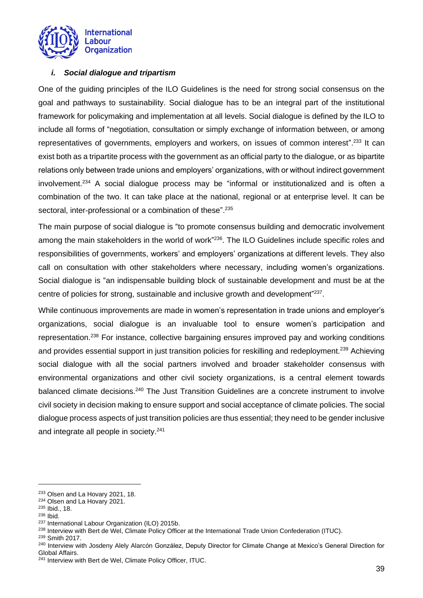

## *i. Social dialogue and tripartism*

One of the guiding principles of the ILO Guidelines is the need for strong social consensus on the goal and pathways to sustainability. Social dialogue has to be an integral part of the institutional framework for policymaking and implementation at all levels. Social dialogue is defined by the ILO to include all forms of "negotiation, consultation or simply exchange of information between, or among representatives of governments, employers and workers, on issues of common interest".<sup>233</sup> It can exist both as a tripartite process with the government as an official party to the dialogue, or as bipartite relations only between trade unions and employers' organizations, with or without indirect government involvement.<sup>234</sup> A social dialogue process may be "informal or institutionalized and is often a combination of the two. It can take place at the national, regional or at enterprise level. It can be sectoral, inter-professional or a combination of these".<sup>235</sup>

The main purpose of social dialogue is "to promote consensus building and democratic involvement among the main stakeholders in the world of work"<sup>236</sup>. The ILO Guidelines include specific roles and responsibilities of governments, workers' and employers' organizations at different levels. They also call on consultation with other stakeholders where necessary, including women's organizations. Social dialogue is "an indispensable building block of sustainable development and must be at the centre of policies for strong, sustainable and inclusive growth and development"<sup>237</sup>.

While continuous improvements are made in women's representation in trade unions and employer's organizations, social dialogue is an invaluable tool to ensure women's participation and representation.<sup>238</sup> For instance, collective bargaining ensures improved pay and working conditions and provides essential support in just transition policies for reskilling and redeployment.<sup>239</sup> Achieving social dialogue with all the social partners involved and broader stakeholder consensus with environmental organizations and other civil society organizations, is a central element towards balanced climate decisions.<sup>240</sup> The Just Transition Guidelines are a concrete instrument to involve civil society in decision making to ensure support and social acceptance of climate policies. The social dialogue process aspects of just transition policies are thus essential; they need to be gender inclusive and integrate all people in society.<sup>241</sup>

<sup>233</sup> Olsen and La Hovary 2021, 18.

<sup>234</sup> Olsen and La Hovary 2021.

<sup>235</sup> Ibid., 18.

<sup>236</sup> Ibid.

<sup>237</sup> International Labour Organization (ILO) 2015b.

<sup>&</sup>lt;sup>238</sup> Interview with Bert de Wel, Climate Policy Officer at the International Trade Union Confederation (ITUC).

<sup>239</sup> Smith 2017.

<sup>&</sup>lt;sup>240</sup> Interview with Josdeny Alely Alarcón González, Deputy Director for Climate Change at Mexico's General Direction for Global Affairs.

<sup>&</sup>lt;sup>241</sup> Interview with Bert de Wel, Climate Policy Officer, ITUC.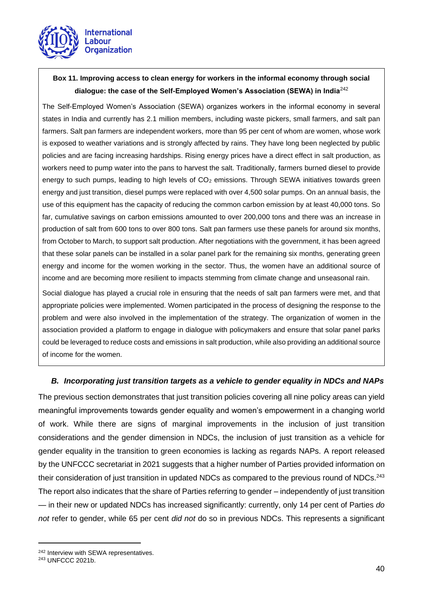

## **Box 11. Improving access to clean energy for workers in the informal economy through social dialogue: the case of the Self-Employed Women's Association (SEWA) in India**<sup>242</sup>

The Self-Employed Women's Association (SEWA) organizes workers in the informal economy in several states in India and currently has 2.1 million members, including waste pickers, small farmers, and salt pan farmers. Salt pan farmers are independent workers, more than 95 per cent of whom are women, whose work is exposed to weather variations and is strongly affected by rains. They have long been neglected by public policies and are facing increasing hardships. Rising energy prices have a direct effect in salt production, as workers need to pump water into the pans to harvest the salt. Traditionally, farmers burned diesel to provide energy to such pumps, leading to high levels of CO<sub>2</sub> emissions. Through SEWA initiatives towards green energy and just transition, diesel pumps were replaced with over 4,500 solar pumps. On an annual basis, the use of this equipment has the capacity of reducing the common carbon emission by at least 40,000 tons. So far, cumulative savings on carbon emissions amounted to over 200,000 tons and there was an increase in production of salt from 600 tons to over 800 tons. Salt pan farmers use these panels for around six months, from October to March, to support salt production. After negotiations with the government, it has been agreed that these solar panels can be installed in a solar panel park for the remaining six months, generating green energy and income for the women working in the sector. Thus, the women have an additional source of income and are becoming more resilient to impacts stemming from climate change and unseasonal rain.

Social dialogue has played a crucial role in ensuring that the needs of salt pan farmers were met, and that appropriate policies were implemented. Women participated in the process of designing the response to the problem and were also involved in the implementation of the strategy. The organization of women in the association provided a platform to engage in dialogue with policymakers and ensure that solar panel parks could be leveraged to reduce costs and emissions in salt production, while also providing an additional source of income for the women.

## <span id="page-39-0"></span>*B. Incorporating just transition targets as a vehicle to gender equality in NDCs and NAPs*

The previous section demonstrates that just transition policies covering all nine policy areas can yield meaningful improvements towards gender equality and women's empowerment in a changing world of work. While there are signs of marginal improvements in the inclusion of just transition considerations and the gender dimension in NDCs, the inclusion of just transition as a vehicle for gender equality in the transition to green economies is lacking as regards NAPs. A report released by the UNFCCC secretariat in 2021 suggests that a higher number of Parties provided information on their consideration of just transition in updated NDCs as compared to the previous round of NDCs.<sup>243</sup> The report also indicates that the share of Parties referring to gender – independently of just transition — in their new or updated NDCs has increased significantly: currently, only 14 per cent of Parties *do not* refer to gender, while 65 per cent *did not* do so in previous NDCs. This represents a significant

<sup>&</sup>lt;sup>242</sup> Interview with SEWA representatives.

<sup>243</sup> UNFCCC 2021b.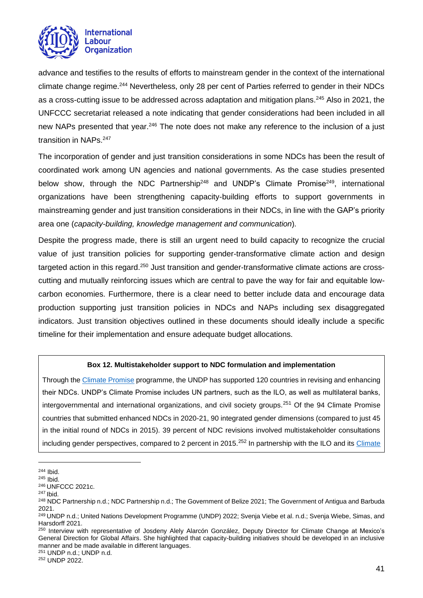

advance and testifies to the results of efforts to mainstream gender in the context of the international climate change regime.<sup>244</sup> Nevertheless, only 28 per cent of Parties referred to gender in their NDCs as a cross-cutting issue to be addressed across adaptation and mitigation plans.<sup>245</sup> Also in 2021, the UNFCCC secretariat released a note indicating that gender considerations had been included in all new NAPs presented that year.<sup>246</sup> The note does not make any reference to the inclusion of a just transition in NAPs.<sup>247</sup>

The incorporation of gender and just transition considerations in some NDCs has been the result of coordinated work among UN agencies and national governments. As the case studies presented below show, through the NDC Partnership<sup>248</sup> and UNDP's Climate Promise<sup>249</sup>, international organizations have been strengthening capacity-building efforts to support governments in mainstreaming gender and just transition considerations in their NDCs, in line with the GAP's priority area one (*capacity-building, knowledge management and communication*)*.*

Despite the progress made, there is still an urgent need to build capacity to recognize the crucial value of just transition policies for supporting gender-transformative climate action and design targeted action in this regard.<sup>250</sup> Just transition and gender-transformative climate actions are crosscutting and mutually reinforcing issues which are central to pave the way for fair and equitable lowcarbon economies. Furthermore, there is a clear need to better include data and encourage data production supporting just transition policies in NDCs and NAPs including sex disaggregated indicators. Just transition objectives outlined in these documents should ideally include a specific timeline for their implementation and ensure adequate budget allocations.

#### **Box 12. Multistakeholder support to NDC formulation and implementation**

Through the [Climate Promise](https://climatepromise.undp.org/what-we-do) programme, the UNDP has supported 120 countries in revising and enhancing their NDCs. UNDP's Climate Promise includes UN partners, such as the ILO, as well as multilateral banks, intergovernmental and international organizations, and civil society groups.<sup>251</sup> Of the 94 Climate Promise countries that submitted enhanced NDCs in 2020-21, 90 integrated gender dimensions (compared to just 45 in the initial round of NDCs in 2015). 39 percent of NDC revisions involved multistakeholder consultations including gender perspectives, compared to 2 percent in 2015.<sup>252</sup> In partnership with the ILO and its Climate

<sup>251</sup> UNDP n.d.; UNDP n.d.

<sup>252</sup> UNDP 2022.

<sup>244</sup> Ibid.

<sup>245</sup> Ibid.

<sup>246</sup> UNFCCC 2021c.

<sup>247</sup> Ibid.

<sup>&</sup>lt;sup>248</sup> NDC Partnership n.d.; NDC Partnership n.d.; The Government of Belize 2021; The Government of Antigua and Barbuda 2021.

<sup>249</sup> UNDP n.d.; United Nations Development Programme (UNDP) 2022; Svenja Viebe et al. n.d.; Svenja Wiebe, Simas, and Harsdorff 2021.

<sup>&</sup>lt;sup>250</sup> Interview with representative of Josdeny Alely Alarcón González, Deputy Director for Climate Change at Mexico's General Direction for Global Affairs. She highlighted that capacity-building initiatives should be developed in an inclusive manner and be made available in different languages.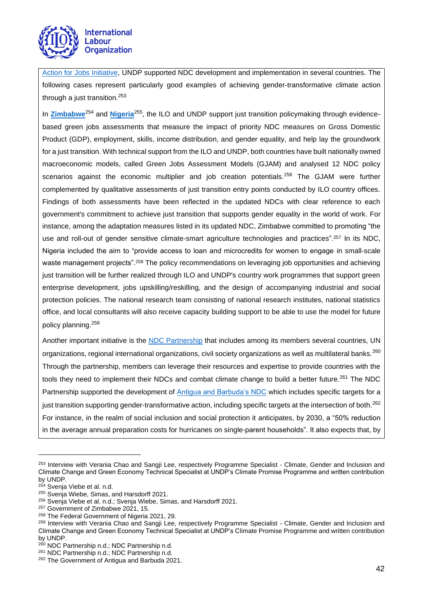

[Action for Jobs Initiative,](https://www.climateaction4jobs.org/) UNDP supported NDC development and implementation in several countries. The following cases represent particularly good examples of achieving gender-transformative climate action through a just transition. 253

In [Zimbabwe](https://www.ndcs.undp.org/content/ndc-support-programme/en/home/impact-and-learning/library/zimbabwe-green-jobs-assessment-just-transition.html)<sup>254</sup> and [Nigeria](https://www.ndcs.undp.org/content/ndc-support-programme/en/home/impact-and-learning/library/nigeria-green-jobs-assessment-report.html)<sup>255</sup>, the ILO and UNDP support just transition policymaking through evidencebased green jobs assessments that measure the impact of priority NDC measures on Gross Domestic Product (GDP), employment, skills, income distribution, and gender equality, and help lay the groundwork for a just transition. With technical support from the ILO and UNDP, both countries have built nationally owned macroeconomic models, called Green Jobs Assessment Models (GJAM) and analysed 12 NDC policy scenarios against the economic multiplier and job creation potentials.<sup>256</sup> The GJAM were further complemented by qualitative assessments of just transition entry points conducted by ILO country offices. Findings of both assessments have been reflected in the updated NDCs with clear reference to each government's commitment to achieve just transition that supports gender equality in the world of work. For instance, among the adaptation measures listed in its updated NDC, Zimbabwe committed to promoting "the use and roll-out of gender sensitive climate-smart agriculture technologies and practices".<sup>257</sup> In its NDC, Nigeria included the aim to "provide access to loan and microcredits for women to engage in small-scale waste management projects".<sup>258</sup> The policy recommendations on leveraging job opportunities and achieving just transition will be further realized through ILO and UNDP's country work programmes that support green enterprise development, jobs upskilling/reskilling, and the design of accompanying industrial and social protection policies. The national research team consisting of national research institutes, national statistics office, and local consultants will also receive capacity building support to be able to use the model for future policy planning.<sup>259</sup>

Another important initiative is the [NDC Partnership](https://ndcpartnership.org/about-us) that includes among its members several countries, UN organizations, regional international organizations, civil society organizations as well as multilateral banks.<sup>260</sup> Through the partnership, members can leverage their resources and expertise to provide countries with the tools they need to implement their NDCs and combat climate change to build a better future.<sup>261</sup> The NDC Partnership supported the development of [Antigua and Barbuda's NDC](https://www4.unfccc.int/sites/ndcstaging/PublishedDocuments/Antigua%20and%20Barbuda%20First/ATG%20-%20UNFCCC%20NDC%20-%202021-09-02%20-%20Final.pdf) which includes specific targets for a just transition supporting gender-transformative action, including specific targets at the intersection of both.<sup>262</sup> For instance, in the realm of social inclusion and social protection it anticipates, by 2030, a "50% reduction in the average annual preparation costs for hurricanes on single-parent households". It also expects that, by

<sup>&</sup>lt;sup>253</sup> Interview with Verania Chao and Sangii Lee, respectively Programme Specialist - Climate, Gender and Inclusion and Climate Change and Green Economy Technical Specialist at UNDP's Climate Promise Programme and written contribution by UNDP.

 $^{54}$  Svenia Viebe et al. n.d.

<sup>&</sup>lt;sup>255</sup> Svenja Wiebe, Simas, and Harsdorff 2021.

<sup>&</sup>lt;sup>256</sup> Svenja Viebe et al. n.d.; Svenja Wiebe, Simas, and Harsdorff 2021.

<sup>&</sup>lt;sup>257</sup> Government of Zimbabwe 2021, 15.

<sup>258</sup> The Federal Government of Nigeria 2021, 29.

<sup>259</sup> Interview with Verania Chao and Sangji Lee, respectively Programme Specialist - Climate, Gender and Inclusion and Climate Change and Green Economy Technical Specialist at UNDP's Climate Promise Programme and written contribution by UNDP.

<sup>&</sup>lt;sup>260</sup> NDC Partnership n.d.; NDC Partnership n.d.

<sup>261</sup> NDC Partnership n.d.; NDC Partnership n.d.

<sup>&</sup>lt;sup>262</sup> The Government of Antigua and Barbuda 2021.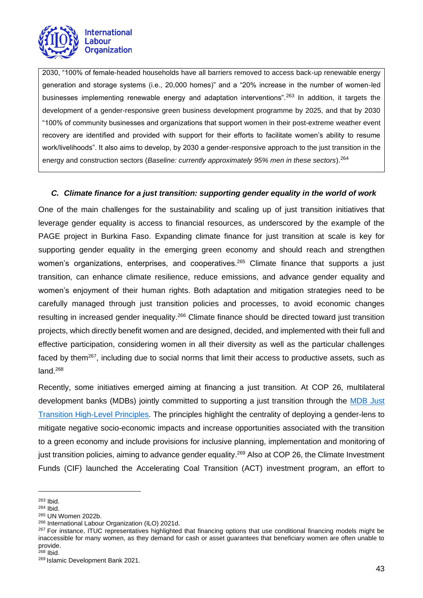

2030, "100% of female-headed households have all barriers removed to access back-up renewable energy generation and storage systems (i.e., 20,000 homes)" and a "20% increase in the number of women-led businesses implementing renewable energy and adaptation interventions".<sup>263</sup> In addition, it targets the development of a gender-responsive green business development programme by 2025, and that by 2030 "100% of community businesses and organizations that support women in their post-extreme weather event recovery are identified and provided with support for their efforts to facilitate women's ability to resume work/livelihoods". It also aims to develop, by 2030 a gender-responsive approach to the just transition in the energy and construction sectors (*Baseline: currently approximately 95% men in these sectors*).<sup>264</sup>

## <span id="page-42-0"></span>*C. Climate finance for a just transition: supporting gender equality in the world of work*

One of the main challenges for the sustainability and scaling up of just transition initiatives that leverage gender equality is access to financial resources, as underscored by the example of the PAGE project in Burkina Faso. Expanding climate finance for just transition at scale is key for supporting gender equality in the emerging green economy and should reach and strengthen women's organizations, enterprises, and cooperatives.<sup>265</sup> Climate finance that supports a just transition, can enhance climate resilience, reduce emissions, and advance gender equality and women's enjoyment of their human rights. Both adaptation and mitigation strategies need to be carefully managed through just transition policies and processes, to avoid economic changes resulting in increased gender inequality.<sup>266</sup> Climate finance should be directed toward just transition projects, which directly benefit women and are designed, decided, and implemented with their full and effective participation, considering women in all their diversity as well as the particular challenges faced by them<sup>267</sup>, including due to social norms that limit their access to productive assets, such as land.<sup>268</sup>

Recently, some initiatives emerged aiming at financing a just transition. At COP 26, multilateral development banks (MDBs) jointly committed to supporting a just transition through the [MDB Just](https://www.isdb.org/news/mdb-just-transition-high-level-principles)  [Transition High-Level Principles.](https://www.isdb.org/news/mdb-just-transition-high-level-principles) The principles highlight the centrality of deploying a gender-lens to mitigate negative socio-economic impacts and increase opportunities associated with the transition to a green economy and include provisions for inclusive planning, implementation and monitoring of just transition policies, aiming to advance gender equality.<sup>269</sup> Also at COP 26, the Climate Investment Funds (CIF) launched the Accelerating Coal Transition (ACT) investment program, an effort to

<sup>263</sup> Ibid.

<sup>264</sup> Ibid.

<sup>265</sup> UN Women 2022b.

<sup>266</sup> International Labour Organization (ILO) 2021d.

<sup>&</sup>lt;sup>267</sup> For instance, ITUC representatives highlighted that financing options that use conditional financing models might be inaccessible for many women, as they demand for cash or asset guarantees that beneficiary women are often unable to provide.

 $268$  Ibid.

<sup>269</sup> Islamic Development Bank 2021.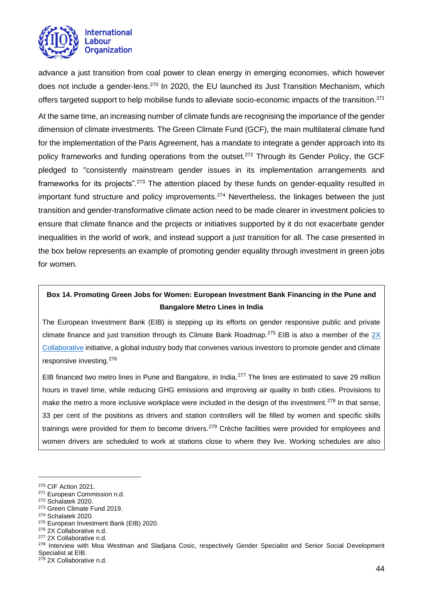

advance a just transition from coal power to clean energy in emerging economies, which however does not include a gender-lens.<sup>270</sup> In 2020, the EU launched its Just Transition Mechanism, which offers targeted support to help mobilise funds to alleviate socio-economic impacts of the transition.<sup>271</sup>

At the same time, an increasing number of climate funds are recognising the importance of the gender dimension of climate investments. The Green Climate Fund (GCF), the main multilateral climate fund for the implementation of the Paris Agreement, has a mandate to integrate a gender approach into its policy frameworks and funding operations from the outset.<sup>272</sup> Through its Gender Policy, the GCF pledged to "consistently mainstream gender issues in its implementation arrangements and frameworks for its projects".<sup>273</sup> The attention placed by these funds on gender-equality resulted in important fund structure and policy improvements.<sup>274</sup> Nevertheless, the linkages between the just transition and gender-transformative climate action need to be made clearer in investment policies to ensure that climate finance and the projects or initiatives supported by it do not exacerbate gender inequalities in the world of work, and instead support a just transition for all. The case presented in the box below represents an example of promoting gender equality through investment in green jobs for women.

## **Box 14. Promoting Green Jobs for Women: European Investment Bank Financing in the Pune and Bangalore Metro Lines in India**

The European Investment Bank (EIB) is stepping up its efforts on gender responsive public and private climate finance and just transition through its Climate Bank Roadmap.<sup>275</sup> EIB is also a member of the  $2X$ [Collaborative](https://www.2xcollaborative.org/) initiative, a global industry body that convenes various investors to promote gender and climate responsive investing.<sup>276</sup>

EIB financed two metro lines in Pune and Bangalore, in India.<sup>277</sup> The lines are estimated to save 29 million hours in travel time, while reducing GHG emissions and improving air quality in both cities. Provisions to make the metro a more inclusive workplace were included in the design of the investment.<sup>278</sup> In that sense, 33 per cent of the positions as drivers and station controllers will be filled by women and specific skills trainings were provided for them to become drivers.<sup>279</sup> Crèche facilities were provided for employees and women drivers are scheduled to work at stations close to where they live. Working schedules are also

<sup>270</sup> CIF Action 2021.

<sup>271</sup> European Commission n.d.

<sup>272</sup> Schalatek 2020.

<sup>273</sup> Green Climate Fund 2019.

<sup>274</sup> Schalatek 2020.

<sup>&</sup>lt;sup>275</sup> European Investment Bank (EIB) 2020.

<sup>276</sup> 2X Collaborative n.d.

<sup>&</sup>lt;sup>277</sup> 2X Collaborative n.d.

<sup>&</sup>lt;sup>278</sup> Interview with Moa Westman and Sladjana Cosic, respectively Gender Specialist and Senior Social Development Specialist at EIB.

<sup>&</sup>lt;sup>279</sup> 2X Collaborative n.d.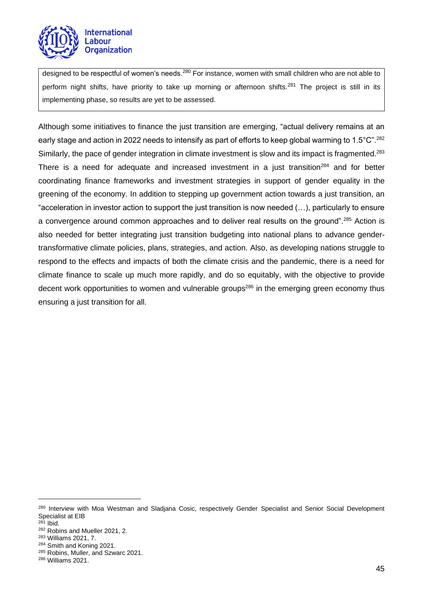

designed to be respectful of women's needs.<sup>280</sup> For instance, women with small children who are not able to perform night shifts, have priority to take up morning or afternoon shifts.<sup>281</sup> The project is still in its implementing phase, so results are yet to be assessed.

Although some initiatives to finance the just transition are emerging, "actual delivery remains at an early stage and action in 2022 needs to intensify as part of efforts to keep global warming to 1.5 $^{\circ}$ C".<sup>282</sup> Similarly, the pace of gender integration in climate investment is slow and its impact is fragmented.<sup>283</sup> There is a need for adequate and increased investment in a just transition<sup>284</sup> and for better coordinating finance frameworks and investment strategies in support of gender equality in the greening of the economy. In addition to stepping up government action towards a just transition, an "acceleration in investor action to support the just transition is now needed (…), particularly to ensure a convergence around common approaches and to deliver real results on the ground".<sup>285</sup> Action is also needed for better integrating just transition budgeting into national plans to advance gendertransformative climate policies, plans, strategies, and action. Also, as developing nations struggle to respond to the effects and impacts of both the climate crisis and the pandemic, there is a need for climate finance to scale up much more rapidly, and do so equitably, with the objective to provide decent work opportunities to women and vulnerable groups<sup>286</sup> in the emerging green economy thus ensuring a just transition for all.

<sup>&</sup>lt;sup>280</sup> Interview with Moa Westman and Sladjana Cosic, respectively Gender Specialist and Senior Social Development Specialist at EIB

<sup>281</sup> Ibid.

<sup>282</sup> Robins and Mueller 2021, 2.

<sup>283</sup> Williams 2021, 7.

<sup>284</sup> Smith and Koning 2021.

<sup>285</sup> Robins, Muller, and Szwarc 2021.

<sup>286</sup> Williams 2021.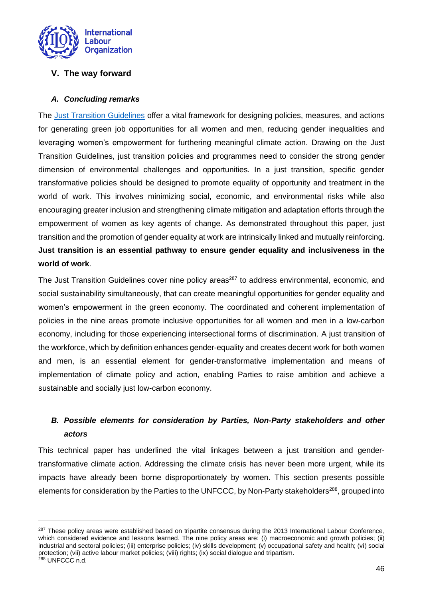

## <span id="page-45-0"></span>**V. The way forward**

## <span id="page-45-1"></span>*A. Concluding remarks*

The [Just Transition Guidelines](https://www.ilo.org/wcmsp5/groups/public/@ed_emp/@emp_ent/documents/publication/wcms_432859.pdf) offer a vital framework for designing policies, measures, and actions for generating green job opportunities for all women and men, reducing gender inequalities and leveraging women's empowerment for furthering meaningful climate action. Drawing on the Just Transition Guidelines, just transition policies and programmes need to consider the strong gender dimension of environmental challenges and opportunities. In a just transition, specific gender transformative policies should be designed to promote equality of opportunity and treatment in the world of work. This involves minimizing social, economic, and environmental risks while also encouraging greater inclusion and strengthening climate mitigation and adaptation efforts through the empowerment of women as key agents of change. As demonstrated throughout this paper, just transition and the promotion of gender equality at work are intrinsically linked and mutually reinforcing. **Just transition is an essential pathway to ensure gender equality and inclusiveness in the world of work**.

The Just Transition Guidelines cover nine policy areas<sup>287</sup> to address environmental, economic, and social sustainability simultaneously, that can create meaningful opportunities for gender equality and women's empowerment in the green economy. The coordinated and coherent implementation of policies in the nine areas promote inclusive opportunities for all women and men in a low-carbon economy, including for those experiencing intersectional forms of discrimination. A just transition of the workforce, which by definition enhances gender-equality and creates decent work for both women and men, is an essential element for gender-transformative implementation and means of implementation of climate policy and action, enabling Parties to raise ambition and achieve a sustainable and socially just low-carbon economy.

# <span id="page-45-2"></span>*B. Possible elements for consideration by Parties, Non-Party stakeholders and other actors*

This technical paper has underlined the vital linkages between a just transition and gendertransformative climate action. Addressing the climate crisis has never been more urgent, while its impacts have already been borne disproportionately by women. This section presents possible elements for consideration by the Parties to the UNFCCC, by Non-Party stakeholders<sup>288</sup>, grouped into

<sup>&</sup>lt;sup>287</sup> These policy areas were established based on tripartite consensus during the 2013 International Labour Conference, which considered evidence and lessons learned. The nine policy areas are: (i) macroeconomic and growth policies; (ii) industrial and sectoral policies; (iii) enterprise policies; (iv) skills development; (v) occupational safety and health; (vi) social protection; (vii) active labour market policies; (viii) rights; (ix) social dialogue and tripartism. <sup>288</sup> UNFCCC n.d.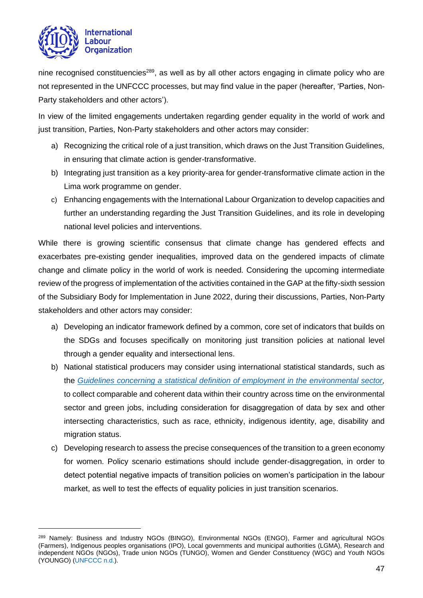

nine recognised constituencies<sup>289</sup>, as well as by all other actors engaging in climate policy who are not represented in the UNFCCC processes, but may find value in the paper (hereafter, 'Parties, Non-Party stakeholders and other actors').

In view of the limited engagements undertaken regarding gender equality in the world of work and just transition, Parties, Non-Party stakeholders and other actors may consider:

- a) Recognizing the critical role of a just transition, which draws on the Just Transition Guidelines, in ensuring that climate action is gender-transformative.
- b) Integrating just transition as a key priority-area for gender-transformative climate action in the Lima work programme on gender.
- c) Enhancing engagements with the International Labour Organization to develop capacities and further an understanding regarding the Just Transition Guidelines, and its role in developing national level policies and interventions.

While there is growing scientific consensus that climate change has gendered effects and exacerbates pre-existing gender inequalities, improved data on the gendered impacts of climate change and climate policy in the world of work is needed. Considering the upcoming intermediate review of the progress of implementation of the activities contained in the GAP at the fifty-sixth session of the Subsidiary Body for Implementation in June 2022, during their discussions, Parties, Non-Party stakeholders and other actors may consider:

- a) Developing an indicator framework defined by a common, core set of indicators that builds on the SDGs and focuses specifically on monitoring just transition policies at national level through a gender equality and intersectional lens.
- b) National statistical producers may consider using international statistical standards, such as the *[Guidelines concerning a statistical definition of employment in the environmental sector,](https://www.ilo.org/wcmsp5/groups/public/---dgreports/---stat/documents/normativeinstrument/wcms_230736.pdf)* to collect comparable and coherent data within their country across time on the environmental sector and green jobs, including consideration for disaggregation of data by sex and other intersecting characteristics, such as race, ethnicity, indigenous identity, age, disability and migration status.
- c) Developing research to assess the precise consequences of the transition to a green economy for women. Policy scenario estimations should include gender-disaggregation, in order to detect potential negative impacts of transition policies on women's participation in the labour market, as well to test the effects of equality policies in just transition scenarios.

<sup>289</sup> Namely: Business and Industry NGOs (BINGO), Environmental NGOs (ENGO), Farmer and agricultural NGOs (Farmers), Indigenous peoples organisations (IPO), Local governments and municipal authorities (LGMA), Research and independent NGOs (NGOs), Trade union NGOs (TUNGO), Women and Gender Constituency (WGC) and Youth NGOs (YOUNGO) [\(UNFCCC n.d.\)](https://unfccc.int/process-and-meetings/conferences/side-events-and-exhibits/admitted-ngos#eq-2).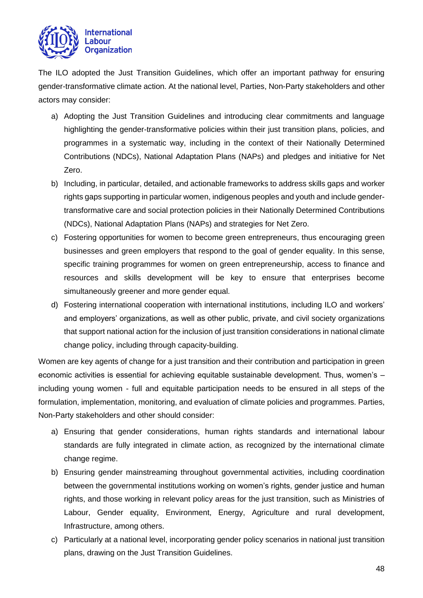

The ILO adopted the Just Transition Guidelines, which offer an important pathway for ensuring gender-transformative climate action. At the national level, Parties, Non-Party stakeholders and other actors may consider:

- a) Adopting the Just Transition Guidelines and introducing clear commitments and language highlighting the gender-transformative policies within their just transition plans, policies, and programmes in a systematic way, including in the context of their Nationally Determined Contributions (NDCs), National Adaptation Plans (NAPs) and pledges and initiative for Net Zero.
- b) Including, in particular, detailed, and actionable frameworks to address skills gaps and worker rights gaps supporting in particular women, indigenous peoples and youth and include gendertransformative care and social protection policies in their Nationally Determined Contributions (NDCs), National Adaptation Plans (NAPs) and strategies for Net Zero.
- c) Fostering opportunities for women to become green entrepreneurs, thus encouraging green businesses and green employers that respond to the goal of gender equality. In this sense, specific training programmes for women on green entrepreneurship, access to finance and resources and skills development will be key to ensure that enterprises become simultaneously greener and more gender equal.
- d) Fostering international cooperation with international institutions, including ILO and workers' and employers' organizations, as well as other public, private, and civil society organizations that support national action for the inclusion of just transition considerations in national climate change policy, including through capacity-building.

Women are key agents of change for a just transition and their contribution and participation in green economic activities is essential for achieving equitable sustainable development. Thus, women's – including young women - full and equitable participation needs to be ensured in all steps of the formulation, implementation, monitoring, and evaluation of climate policies and programmes. Parties, Non-Party stakeholders and other should consider:

- a) Ensuring that gender considerations, human rights standards and international labour standards are fully integrated in climate action, as recognized by the international climate change regime.
- b) Ensuring gender mainstreaming throughout governmental activities, including coordination between the governmental institutions working on women's rights, gender justice and human rights, and those working in relevant policy areas for the just transition, such as Ministries of Labour, Gender equality, Environment, Energy, Agriculture and rural development, Infrastructure, among others.
- c) Particularly at a national level, incorporating gender policy scenarios in national just transition plans, drawing on the Just Transition Guidelines.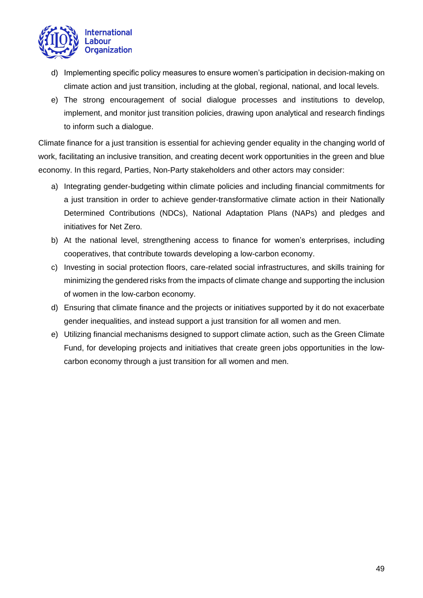

- d) Implementing specific policy measures to ensure women's participation in decision-making on climate action and just transition, including at the global, regional, national, and local levels.
- e) The strong encouragement of social dialogue processes and institutions to develop, implement, and monitor just transition policies, drawing upon analytical and research findings to inform such a dialogue.

Climate finance for a just transition is essential for achieving gender equality in the changing world of work, facilitating an inclusive transition, and creating decent work opportunities in the green and blue economy. In this regard, Parties, Non-Party stakeholders and other actors may consider:

- a) Integrating gender-budgeting within climate policies and including financial commitments for a just transition in order to achieve gender-transformative climate action in their Nationally Determined Contributions (NDCs), National Adaptation Plans (NAPs) and pledges and initiatives for Net Zero.
- b) At the national level, strengthening access to finance for women's enterprises, including cooperatives, that contribute towards developing a low-carbon economy.
- c) Investing in social protection floors, care-related social infrastructures, and skills training for minimizing the gendered risks from the impacts of climate change and supporting the inclusion of women in the low-carbon economy.
- d) Ensuring that climate finance and the projects or initiatives supported by it do not exacerbate gender inequalities, and instead support a just transition for all women and men.
- e) Utilizing financial mechanisms designed to support climate action, such as the Green Climate Fund, for developing projects and initiatives that create green jobs opportunities in the lowcarbon economy through a just transition for all women and men.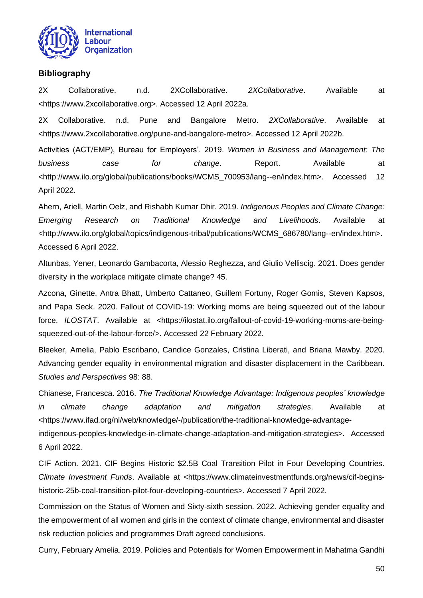

## <span id="page-49-0"></span>**Bibliography**

2X Collaborative. n.d. 2XCollaborative. *2XCollaborative*. Available at <https://www.2xcollaborative.org>. Accessed 12 April 2022a.

2X Collaborative. n.d. Pune and Bangalore Metro. *2XCollaborative*. Available at <https://www.2xcollaborative.org/pune-and-bangalore-metro>. Accessed 12 April 2022b.

Activities (ACT/EMP), Bureau for Employers'. 2019. *Women in Business and Management: The*  business case for change. Report. Available at <http://www.ilo.org/global/publications/books/WCMS\_700953/lang--en/index.htm>. Accessed 12 April 2022.

Ahern, Ariell, Martin Oelz, and Rishabh Kumar Dhir. 2019. *Indigenous Peoples and Climate Change: Emerging Research on Traditional Knowledge and Livelihoods*. Available at <http://www.ilo.org/global/topics/indigenous-tribal/publications/WCMS\_686780/lang--en/index.htm>. Accessed 6 April 2022.

Altunbas, Yener, Leonardo Gambacorta, Alessio Reghezza, and Giulio Velliscig. 2021. Does gender diversity in the workplace mitigate climate change? 45.

Azcona, Ginette, Antra Bhatt, Umberto Cattaneo, Guillem Fortuny, Roger Gomis, Steven Kapsos, and Papa Seck. 2020. Fallout of COVID-19: Working moms are being squeezed out of the labour force. *ILOSTAT*. Available at <https://ilostat.ilo.org/fallout-of-covid-19-working-moms-are-beingsqueezed-out-of-the-labour-force/>. Accessed 22 February 2022.

Bleeker, Amelia, Pablo Escribano, Candice Gonzales, Cristina Liberati, and Briana Mawby. 2020. Advancing gender equality in environmental migration and disaster displacement in the Caribbean. *Studies and Perspectives* 98: 88.

Chianese, Francesca. 2016. *The Traditional Knowledge Advantage: Indigenous peoples' knowledge in climate change adaptation and mitigation strategies*. Available at <https://www.ifad.org/nl/web/knowledge/-/publication/the-traditional-knowledge-advantage-

indigenous-peoples-knowledge-in-climate-change-adaptation-and-mitigation-strategies>. Accessed 6 April 2022.

CIF Action. 2021. CIF Begins Historic \$2.5B Coal Transition Pilot in Four Developing Countries. *Climate Investment Funds*. Available at <https://www.climateinvestmentfunds.org/news/cif-beginshistoric-25b-coal-transition-pilot-four-developing-countries>. Accessed 7 April 2022.

Commission on the Status of Women and Sixty-sixth session. 2022. Achieving gender equality and the empowerment of all women and girls in the context of climate change, environmental and disaster risk reduction policies and programmes Draft agreed conclusions.

Curry, February Amelia. 2019. Policies and Potentials for Women Empowerment in Mahatma Gandhi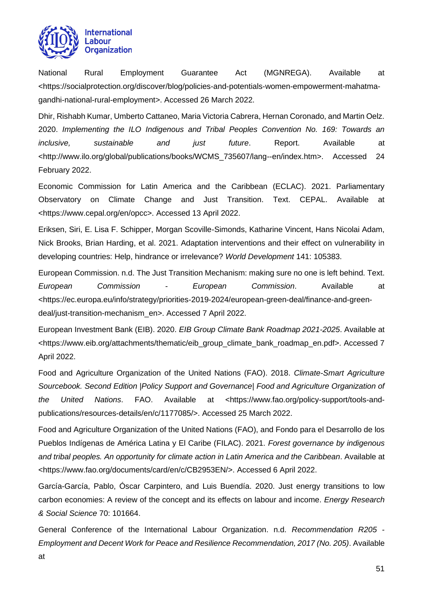

National Rural Employment Guarantee Act (MGNREGA). Available at <https://socialprotection.org/discover/blog/policies-and-potentials-women-empowerment-mahatmagandhi-national-rural-employment>. Accessed 26 March 2022.

Dhir, Rishabh Kumar, Umberto Cattaneo, Maria Victoria Cabrera, Hernan Coronado, and Martin Oelz. 2020. *Implementing the ILO Indigenous and Tribal Peoples Convention No. 169: Towards an inclusive, sustainable and just future*. Report. Available at <http://www.ilo.org/global/publications/books/WCMS\_735607/lang--en/index.htm>. Accessed 24 February 2022.

Economic Commission for Latin America and the Caribbean (ECLAC). 2021. Parliamentary Observatory on Climate Change and Just Transition. Text. CEPAL. Available at <https://www.cepal.org/en/opcc>. Accessed 13 April 2022.

Eriksen, Siri, E. Lisa F. Schipper, Morgan Scoville-Simonds, Katharine Vincent, Hans Nicolai Adam, Nick Brooks, Brian Harding, et al. 2021. Adaptation interventions and their effect on vulnerability in developing countries: Help, hindrance or irrelevance? *World Development* 141: 105383.

European Commission. n.d. The Just Transition Mechanism: making sure no one is left behind. Text. *European Commission - European Commission*. Available at <https://ec.europa.eu/info/strategy/priorities-2019-2024/european-green-deal/finance-and-greendeal/just-transition-mechanism\_en>. Accessed 7 April 2022.

European Investment Bank (EIB). 2020. *EIB Group Climate Bank Roadmap 2021-2025*. Available at <https://www.eib.org/attachments/thematic/eib\_group\_climate\_bank\_roadmap\_en.pdf>. Accessed 7 April 2022.

Food and Agriculture Organization of the United Nations (FAO). 2018. *Climate-Smart Agriculture Sourcebook. Second Edition |Policy Support and Governance| Food and Agriculture Organization of the United Nations*. FAO. Available at <https://www.fao.org/policy-support/tools-andpublications/resources-details/en/c/1177085/>. Accessed 25 March 2022.

Food and Agriculture Organization of the United Nations (FAO), and Fondo para el Desarrollo de los Pueblos Indígenas de América Latina y El Caribe (FILAC). 2021. *Forest governance by indigenous and tribal peoples. An opportunity for climate action in Latin America and the Caribbean*. Available at <https://www.fao.org/documents/card/en/c/CB2953EN/>. Accessed 6 April 2022.

García-García, Pablo, Óscar Carpintero, and Luis Buendía. 2020. Just energy transitions to low carbon economies: A review of the concept and its effects on labour and income. *Energy Research & Social Science* 70: 101664.

General Conference of the International Labour Organization. n.d. *Recommendation R205 - Employment and Decent Work for Peace and Resilience Recommendation, 2017 (No. 205)*. Available at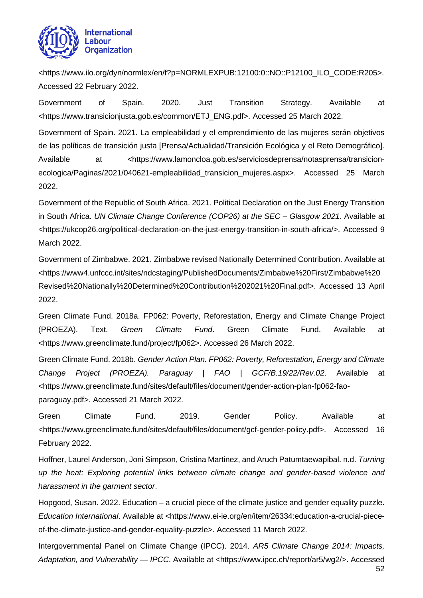

<https://www.ilo.org/dyn/normlex/en/f?p=NORMLEXPUB:12100:0::NO::P12100\_ILO\_CODE:R205>. Accessed 22 February 2022.

Government of Spain. 2020. Just Transition Strategy. Available at <https://www.transicionjusta.gob.es/common/ETJ\_ENG.pdf>. Accessed 25 March 2022.

Government of Spain. 2021. La empleabilidad y el emprendimiento de las mujeres serán objetivos de las políticas de transición justa [Prensa/Actualidad/Transición Ecológica y el Reto Demográfico]. Available at <https://www.lamoncloa.gob.es/serviciosdeprensa/notasprensa/transicionecologica/Paginas/2021/040621-empleabilidad\_transicion\_mujeres.aspx>. Accessed 25 March 2022.

Government of the Republic of South Africa. 2021. Political Declaration on the Just Energy Transition in South Africa. *UN Climate Change Conference (COP26) at the SEC – Glasgow 2021*. Available at <https://ukcop26.org/political-declaration-on-the-just-energy-transition-in-south-africa/>. Accessed 9 March 2022.

Government of Zimbabwe. 2021. Zimbabwe revised Nationally Determined Contribution. Available at <https://www4.unfccc.int/sites/ndcstaging/PublishedDocuments/Zimbabwe%20First/Zimbabwe%20 Revised%20Nationally%20Determined%20Contribution%202021%20Final.pdf>. Accessed 13 April 2022.

Green Climate Fund. 2018a. FP062: Poverty, Reforestation, Energy and Climate Change Project (PROEZA). Text. *Green Climate Fund*. Green Climate Fund. Available at <https://www.greenclimate.fund/project/fp062>. Accessed 26 March 2022.

Green Climate Fund. 2018b. *Gender Action Plan. FP062: Poverty, Reforestation, Energy and Climate Change Project (PROEZA). Paraguay | FAO | GCF/B.19/22/Rev.02*. Available at <https://www.greenclimate.fund/sites/default/files/document/gender-action-plan-fp062-faoparaguay.pdf>. Accessed 21 March 2022.

Green Climate Fund. 2019. Gender Policy. Available at <https://www.greenclimate.fund/sites/default/files/document/gcf-gender-policy.pdf>. Accessed 16 February 2022.

Hoffner, Laurel Anderson, Joni Simpson, Cristina Martinez, and Aruch Patumtaewapibal. n.d. *Turning up the heat: Exploring potential links between climate change and gender-based violence and harassment in the garment sector*.

Hopgood, Susan. 2022. Education – a crucial piece of the climate justice and gender equality puzzle. *Education International*. Available at <https://www.ei-ie.org/en/item/26334:education-a-crucial-pieceof-the-climate-justice-and-gender-equality-puzzle>. Accessed 11 March 2022.

52 Intergovernmental Panel on Climate Change (IPCC). 2014. *AR5 Climate Change 2014: Impacts, Adaptation, and Vulnerability — IPCC*. Available at <https://www.ipcc.ch/report/ar5/wg2/>. Accessed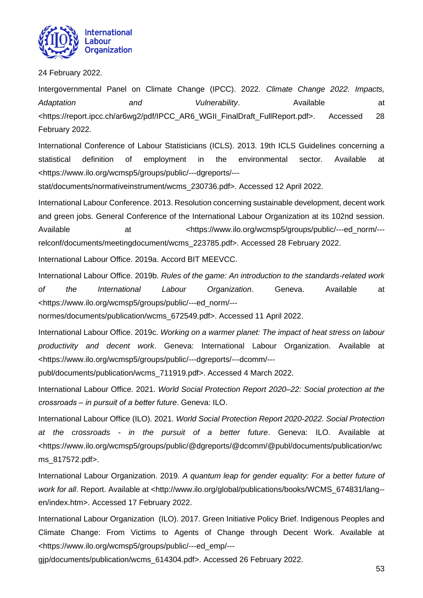

24 February 2022.

Intergovernmental Panel on Climate Change (IPCC). 2022. *Climate Change 2022. Impacts,*  Adaptation and Vulnerability. Available at <https://report.ipcc.ch/ar6wg2/pdf/IPCC\_AR6\_WGII\_FinalDraft\_FullReport.pdf>. Accessed 28 February 2022.

International Conference of Labour Statisticians (ICLS). 2013. 19th ICLS Guidelines concerning a statistical definition of employment in the environmental sector. Available at <https://www.ilo.org/wcmsp5/groups/public/---dgreports/---

stat/documents/normativeinstrument/wcms\_230736.pdf>. Accessed 12 April 2022.

International Labour Conference. 2013. Resolution concerning sustainable development, decent work and green jobs. General Conference of the International Labour Organization at its 102nd session. Available at at  $\leftarrow$  at  $\leftarrow$  thttps://www.ilo.org/wcmsp5/groups/public/---ed\_norm/--relconf/documents/meetingdocument/wcms\_223785.pdf>. Accessed 28 February 2022.

International Labour Office. 2019a. Accord BIT MEEVCC.

International Labour Office. 2019b. *Rules of the game: An introduction to the standards-related work of the International Labour Organization*. Geneva. Available at <https://www.ilo.org/wcmsp5/groups/public/---ed\_norm/---

normes/documents/publication/wcms\_672549.pdf>. Accessed 11 April 2022.

International Labour Office. 2019c. *Working on a warmer planet: The impact of heat stress on labour productivity and decent work*. Geneva: International Labour Organization. Available at <https://www.ilo.org/wcmsp5/groups/public/---dgreports/---dcomm/---

publ/documents/publication/wcms\_711919.pdf>. Accessed 4 March 2022.

International Labour Office. 2021. *World Social Protection Report 2020–22: Social protection at the crossroads ‒ in pursuit of a better future*. Geneva: ILO.

International Labour Office (ILO). 2021. *World Social Protection Report 2020-2022. Social Protection at the crossroads - in the pursuit of a better future*. Geneva: ILO. Available at <https://www.ilo.org/wcmsp5/groups/public/@dgreports/@dcomm/@publ/documents/publication/wc ms\_817572.pdf>.

International Labour Organization. 2019. *A quantum leap for gender equality: For a better future of work for all*. Report. Available at <http://www.ilo.org/global/publications/books/WCMS\_674831/lang- en/index.htm>. Accessed 17 February 2022.

International Labour Organization (ILO). 2017. Green Initiative Policy Brief. Indigenous Peoples and Climate Change: From Victims to Agents of Change through Decent Work. Available at <https://www.ilo.org/wcmsp5/groups/public/---ed\_emp/---

gjp/documents/publication/wcms\_614304.pdf>. Accessed 26 February 2022.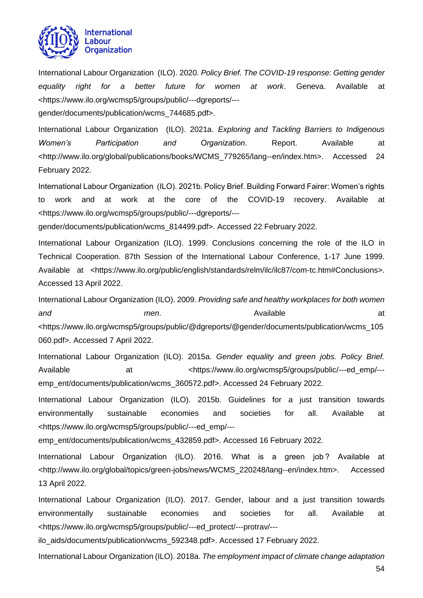

International Labour Organization (ILO). 2020. *Policy Brief. The COVID-19 response: Getting gender equality right for a better future for women at work*. Geneva. Available at <https://www.ilo.org/wcmsp5/groups/public/---dgreports/---

gender/documents/publication/wcms\_744685.pdf>.

International Labour Organization (ILO). 2021a. *Exploring and Tackling Barriers to Indigenous Women's Participation and Organization*. Report. Available at <http://www.ilo.org/global/publications/books/WCMS\_779265/lang--en/index.htm>. Accessed 24 February 2022.

International Labour Organization (ILO). 2021b. Policy Brief. Building Forward Fairer: Women's rights to work and at work at the core of the COVID-19 recovery. Available at <https://www.ilo.org/wcmsp5/groups/public/---dgreports/---

gender/documents/publication/wcms\_814499.pdf>. Accessed 22 February 2022.

International Labour Organization (ILO). 1999. Conclusions concerning the role of the ILO in Technical Cooperation. 87th Session of the International Labour Conference, 1-17 June 1999. Available at <https://www.ilo.org/public/english/standards/relm/ilc/ilc87/com-tc.htm#Conclusions>. Accessed 13 April 2022.

International Labour Organization (ILO). 2009. *Providing safe and healthy workplaces for both women*  and and men. *and* at at a men. **and** at a mention  $\alpha$  at <https://www.ilo.org/wcmsp5/groups/public/@dgreports/@gender/documents/publication/wcms\_105 060.pdf>. Accessed 7 April 2022.

International Labour Organization (ILO). 2015a. *Gender equality and green jobs. Policy Brief.* Available at at  $\langle$ https://www.ilo.org/wcmsp5/groups/public/---ed\_emp/--emp\_ent/documents/publication/wcms\_360572.pdf>. Accessed 24 February 2022.

International Labour Organization (ILO). 2015b. Guidelines for a just transition towards environmentally sustainable economies and societies for all. Available at <https://www.ilo.org/wcmsp5/groups/public/---ed\_emp/---

emp\_ent/documents/publication/wcms\_432859.pdf>. Accessed 16 February 2022.

International Labour Organization (ILO). 2016. What is a green job ? Available at <http://www.ilo.org/global/topics/green-jobs/news/WCMS\_220248/lang--en/index.htm>. Accessed 13 April 2022.

International Labour Organization (ILO). 2017. Gender, labour and a just transition towards environmentally sustainable economies and societies for all. Available at <https://www.ilo.org/wcmsp5/groups/public/---ed\_protect/---protrav/---

ilo\_aids/documents/publication/wcms\_592348.pdf>. Accessed 17 February 2022.

International Labour Organization (ILO). 2018a. *The employment impact of climate change adaptation*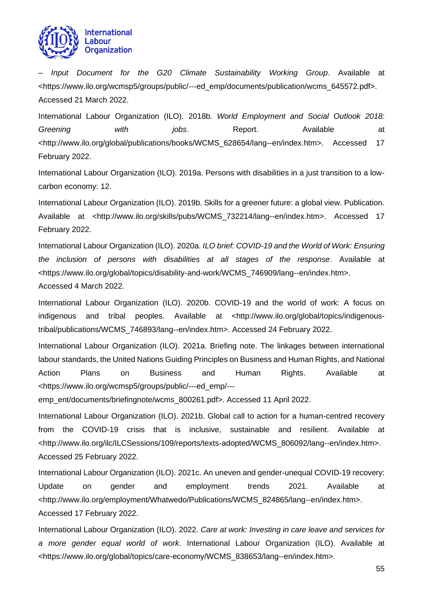

*– Input Document for the G20 Climate Sustainability Working Group*. Available at <https://www.ilo.org/wcmsp5/groups/public/---ed\_emp/documents/publication/wcms\_645572.pdf>. Accessed 21 March 2022.

International Labour Organization (ILO). 2018b. *World Employment and Social Outlook 2018: Greening with jobs.* Report. Available at <http://www.ilo.org/global/publications/books/WCMS\_628654/lang--en/index.htm>. Accessed 17 February 2022.

International Labour Organization (ILO). 2019a. Persons with disabilities in a just transition to a lowcarbon economy: 12.

International Labour Organization (ILO). 2019b. Skills for a greener future: a global view. Publication. Available at <http://www.ilo.org/skills/pubs/WCMS\_732214/lang--en/index.htm>. Accessed 17 February 2022.

International Labour Organization (ILO). 2020a. *ILO brief: COVID-19 and the World of Work: Ensuring the inclusion of persons with disabilities at all stages of the response*. Available at <https://www.ilo.org/global/topics/disability-and-work/WCMS\_746909/lang--en/index.htm>. Accessed 4 March 2022.

International Labour Organization (ILO). 2020b. COVID-19 and the world of work: A focus on indigenous and tribal peoples. Available at <http://www.ilo.org/global/topics/indigenoustribal/publications/WCMS\_746893/lang--en/index.htm>. Accessed 24 February 2022.

International Labour Organization (ILO). 2021a. Briefing note. The linkages between international labour standards, the United Nations Guiding Principles on Business and Human Rights, and National Action Plans on Business and Human Rights. Available at <https://www.ilo.org/wcmsp5/groups/public/---ed\_emp/---

emp\_ent/documents/briefingnote/wcms\_800261.pdf>. Accessed 11 April 2022.

International Labour Organization (ILO). 2021b. Global call to action for a human-centred recovery from the COVID-19 crisis that is inclusive, sustainable and resilient. Available at <http://www.ilo.org/ilc/ILCSessions/109/reports/texts-adopted/WCMS\_806092/lang--en/index.htm>. Accessed 25 February 2022.

International Labour Organization (ILO). 2021c. An uneven and gender-unequal COVID-19 recovery: Update on gender and employment trends 2021. Available at <http://www.ilo.org/employment/Whatwedo/Publications/WCMS\_824865/lang--en/index.htm>. Accessed 17 February 2022.

International Labour Organization (ILO). 2022. *Care at work: Investing in care leave and services for a more gender equal world of work*. International Labour Organization (ILO). Available at <https://www.ilo.org/global/topics/care-economy/WCMS\_838653/lang--en/index.htm>.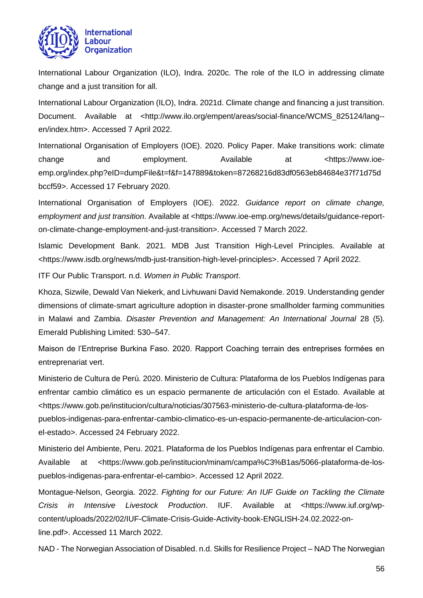

International Labour Organization (ILO), Indra. 2020c. The role of the ILO in addressing climate change and a just transition for all.

International Labour Organization (ILO), Indra. 2021d. Climate change and financing a just transition. Document. Available at <http://www.ilo.org/empent/areas/social-finance/WCMS 825124/lang-en/index.htm>. Accessed 7 April 2022.

International Organisation of Employers (IOE). 2020. Policy Paper. Make transitions work: climate change and employment. Available at <https://www.ioeemp.org/index.php?eID=dumpFile&t=f&f=147889&token=87268216d83df0563eb84684e37f71d75d bccf59>. Accessed 17 February 2020.

International Organisation of Employers (IOE). 2022. *Guidance report on climate change, employment and just transition*. Available at <https://www.ioe-emp.org/news/details/guidance-reporton-climate-change-employment-and-just-transition>. Accessed 7 March 2022.

Islamic Development Bank. 2021. MDB Just Transition High-Level Principles. Available at <https://www.isdb.org/news/mdb-just-transition-high-level-principles>. Accessed 7 April 2022.

ITF Our Public Transport. n.d. *Women in Public Transport*.

Khoza, Sizwile, Dewald Van Niekerk, and Livhuwani David Nemakonde. 2019. Understanding gender dimensions of climate-smart agriculture adoption in disaster-prone smallholder farming communities in Malawi and Zambia. *Disaster Prevention and Management: An International Journal* 28 (5). Emerald Publishing Limited: 530–547.

Maison de l'Entreprise Burkina Faso. 2020. Rapport Coaching terrain des entreprises formées en entreprenariat vert.

Ministerio de Cultura de Perú. 2020. Ministerio de Cultura: Plataforma de los Pueblos Indígenas para enfrentar cambio climático es un espacio permanente de articulación con el Estado. Available at <https://www.gob.pe/institucion/cultura/noticias/307563-ministerio-de-cultura-plataforma-de-lospueblos-indigenas-para-enfrentar-cambio-climatico-es-un-espacio-permanente-de-articulacion-conel-estado>. Accessed 24 February 2022.

Ministerio del Ambiente, Peru. 2021. Plataforma de los Pueblos Indígenas para enfrentar el Cambio. Available at <https://www.gob.pe/institucion/minam/campa%C3%B1as/5066-plataforma-de-lospueblos-indigenas-para-enfrentar-el-cambio>. Accessed 12 April 2022.

Montague-Nelson, Georgia. 2022. *Fighting for our Future: An IUF Guide on Tackling the Climate Crisis in Intensive Livestock Production*. IUF. Available at <https://www.iuf.org/wpcontent/uploads/2022/02/IUF-Climate-Crisis-Guide-Activity-book-ENGLISH-24.02.2022-online.pdf>. Accessed 11 March 2022.

NAD - The Norwegian Association of Disabled. n.d. Skills for Resilience Project – NAD The Norwegian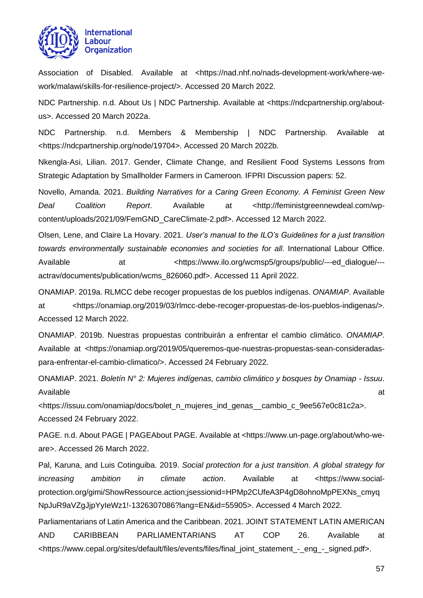

Association of Disabled. Available at <https://nad.nhf.no/nads-development-work/where-wework/malawi/skills-for-resilience-project/>. Accessed 20 March 2022.

NDC Partnership. n.d. About Us | NDC Partnership. Available at <https://ndcpartnership.org/aboutus>. Accessed 20 March 2022a.

NDC Partnership. n.d. Members & Membership | NDC Partnership. Available at <https://ndcpartnership.org/node/19704>. Accessed 20 March 2022b.

Nkengla-Asi, Lilian. 2017. Gender, Climate Change, and Resilient Food Systems Lessons from Strategic Adaptation by Smallholder Farmers in Cameroon. IFPRI Discussion papers: 52.

Novello, Amanda. 2021. *Building Narratives for a Caring Green Economy. A Feminist Green New Deal Coalition Report*. Available at <http://feministgreennewdeal.com/wpcontent/uploads/2021/09/FemGND\_CareClimate-2.pdf>. Accessed 12 March 2022.

Olsen, Lene, and Claire La Hovary. 2021. *User's manual to the ILO's Guidelines for a just transition towards environmentally sustainable economies and societies for all*. International Labour Office. Available at  $\leftarrow$  at  $\leftarrow$  Attps://www.ilo.org/wcmsp5/groups/public/---ed\_dialogue/--actrav/documents/publication/wcms\_826060.pdf>. Accessed 11 April 2022.

ONAMIAP. 2019a. RLMCC debe recoger propuestas de los pueblos indígenas. *ONAMIAP*. Available at <https://onamiap.org/2019/03/rlmcc-debe-recoger-propuestas-de-los-pueblos-indigenas/>. Accessed 12 March 2022.

ONAMIAP. 2019b. Nuestras propuestas contribuirán a enfrentar el cambio climático. *ONAMIAP*. Available at <https://onamiap.org/2019/05/queremos-que-nuestras-propuestas-sean-consideradaspara-enfrentar-el-cambio-climatico/>. Accessed 24 February 2022.

ONAMIAP. 2021. *Boletín N° 2: Mujeres indígenas, cambio climático y bosques by Onamiap - Issuu*. Available at the contract of the contract of the contract of the contract of the contract of the contract of the contract of the contract of the contract of the contract of the contract of the contract of the contract of t

<https://issuu.com/onamiap/docs/bolet\_n\_mujeres\_ind\_genas\_\_cambio\_c\_9ee567e0c81c2a>. Accessed 24 February 2022.

PAGE. n.d. About PAGE | PAGEAbout PAGE. Available at <https://www.un-page.org/about/who-weare>. Accessed 26 March 2022.

Pal, Karuna, and Luis Cotinguiba. 2019. *Social protection for a just transition. A global strategy for increasing ambition in climate action*. Available at <https://www.socialprotection.org/gimi/ShowRessource.action;jsessionid=HPMp2CUfeA3P4gD8ohnoMpPEXNs\_cmyq NpJuR9aVZgJjpYyIeWz1!-1326307086?lang=EN&id=55905>. Accessed 4 March 2022.

Parliamentarians of Latin America and the Caribbean. 2021. JOINT STATEMENT LATIN AMERICAN AND CARIBBEAN PARLIAMENTARIANS AT COP 26. Available at <https://www.cepal.org/sites/default/files/events/files/final\_joint\_statement\_-\_eng\_-\_signed.pdf>.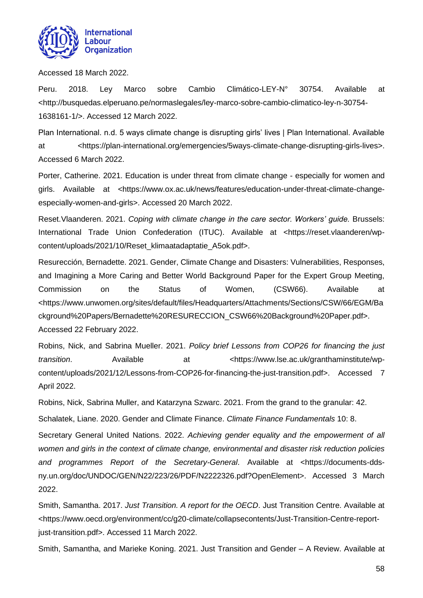

Accessed 18 March 2022.

Peru. 2018. Ley Marco sobre Cambio Climático-LEY-N° 30754. Available at <http://busquedas.elperuano.pe/normaslegales/ley-marco-sobre-cambio-climatico-ley-n-30754- 1638161-1/>. Accessed 12 March 2022.

Plan International. n.d. 5 ways climate change is disrupting girls' lives | Plan International. Available at <https://plan-international.org/emergencies/5ways-climate-change-disrupting-girls-lives>. Accessed 6 March 2022.

Porter, Catherine. 2021. Education is under threat from climate change - especially for women and girls. Available at <https://www.ox.ac.uk/news/features/education-under-threat-climate-changeespecially-women-and-girls>. Accessed 20 March 2022.

Reset.Vlaanderen. 2021. *Coping with climate change in the care sector. Workers' guide.* Brussels: International Trade Union Confederation (ITUC). Available at <https://reset.vlaanderen/wpcontent/uploads/2021/10/Reset\_klimaatadaptatie\_A5ok.pdf>.

Resurección, Bernadette. 2021. Gender, Climate Change and Disasters: Vulnerabilities, Responses, and Imagining a More Caring and Better World Background Paper for the Expert Group Meeting, Commission on the Status of Women, (CSW66). Available at <https://www.unwomen.org/sites/default/files/Headquarters/Attachments/Sections/CSW/66/EGM/Ba ckground%20Papers/Bernadette%20RESURECCION\_CSW66%20Background%20Paper.pdf>. Accessed 22 February 2022.

Robins, Nick, and Sabrina Mueller. 2021. *Policy brief Lessons from COP26 for financing the just transition*. Available at <https://www.lse.ac.uk/granthaminstitute/wpcontent/uploads/2021/12/Lessons-from-COP26-for-financing-the-just-transition.pdf>. Accessed 7 April 2022.

Robins, Nick, Sabrina Muller, and Katarzyna Szwarc. 2021. From the grand to the granular: 42.

Schalatek, Liane. 2020. Gender and Climate Finance. *Climate Finance Fundamentals* 10: 8.

Secretary General United Nations. 2022. *Achieving gender equality and the empowerment of all women and girls in the context of climate change, environmental and disaster risk reduction policies and programmes Report of the Secretary-General*. Available at <https://documents-ddsny.un.org/doc/UNDOC/GEN/N22/223/26/PDF/N2222326.pdf?OpenElement>. Accessed 3 March 2022.

Smith, Samantha. 2017. *Just Transition. A report for the OECD*. Just Transition Centre. Available at <https://www.oecd.org/environment/cc/g20-climate/collapsecontents/Just-Transition-Centre-reportjust-transition.pdf>. Accessed 11 March 2022.

Smith, Samantha, and Marieke Koning. 2021. Just Transition and Gender – A Review. Available at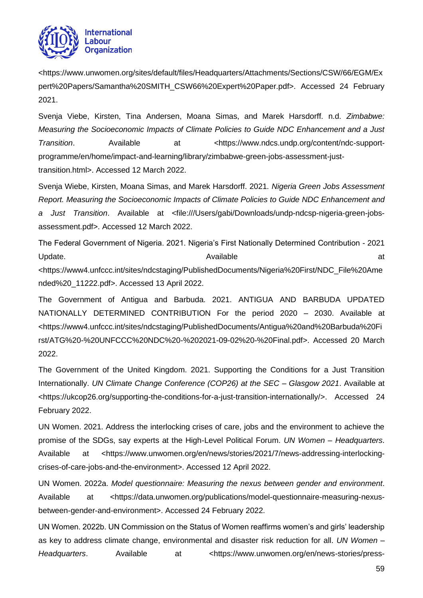

<https://www.unwomen.org/sites/default/files/Headquarters/Attachments/Sections/CSW/66/EGM/Ex pert%20Papers/Samantha%20SMITH\_CSW66%20Expert%20Paper.pdf>. Accessed 24 February 2021.

Svenja Viebe, Kirsten, Tina Andersen, Moana Simas, and Marek Harsdorff. n.d. *Zimbabwe: Measuring the Socioeconomic Impacts of Climate Policies to Guide NDC Enhancement and a Just*  **Transition.** Available at  $\lt$ https://www.ndcs.undp.org/content/ndc-supportprogramme/en/home/impact-and-learning/library/zimbabwe-green-jobs-assessment-justtransition.html>. Accessed 12 March 2022.

Svenja Wiebe, Kirsten, Moana Simas, and Marek Harsdorff. 2021. *Nigeria Green Jobs Assessment Report. Measuring the Socioeconomic Impacts of Climate Policies to Guide NDC Enhancement and a Just Transition*. Available at <file:///Users/gabi/Downloads/undp-ndcsp-nigeria-green-jobsassessment.pdf>. Accessed 12 March 2022.

The Federal Government of Nigeria. 2021. Nigeria's First Nationally Determined Contribution - 2021 Update. Available at

<https://www4.unfccc.int/sites/ndcstaging/PublishedDocuments/Nigeria%20First/NDC\_File%20Ame nded%20\_11222.pdf>. Accessed 13 April 2022.

The Government of Antigua and Barbuda. 2021. ANTIGUA AND BARBUDA UPDATED NATIONALLY DETERMINED CONTRIBUTION For the period 2020 – 2030. Available at <https://www4.unfccc.int/sites/ndcstaging/PublishedDocuments/Antigua%20and%20Barbuda%20Fi rst/ATG%20-%20UNFCCC%20NDC%20-%202021-09-02%20-%20Final.pdf>. Accessed 20 March 2022.

The Government of the United Kingdom. 2021. Supporting the Conditions for a Just Transition Internationally. *UN Climate Change Conference (COP26) at the SEC – Glasgow 2021*. Available at <https://ukcop26.org/supporting-the-conditions-for-a-just-transition-internationally/>. Accessed 24 February 2022.

UN Women. 2021. Address the interlocking crises of care, jobs and the environment to achieve the promise of the SDGs, say experts at the High-Level Political Forum. *UN Women – Headquarters*. Available at <https://www.unwomen.org/en/news/stories/2021/7/news-addressing-interlockingcrises-of-care-jobs-and-the-environment>. Accessed 12 April 2022.

UN Women. 2022a. *Model questionnaire: Measuring the nexus between gender and environment*. Available at <https://data.unwomen.org/publications/model-questionnaire-measuring-nexusbetween-gender-and-environment>. Accessed 24 February 2022.

UN Women. 2022b. UN Commission on the Status of Women reaffirms women's and girls' leadership as key to address climate change, environmental and disaster risk reduction for all. *UN Women – Headquarters.* Available at <https://www.unwomen.org/en/news-stories/press-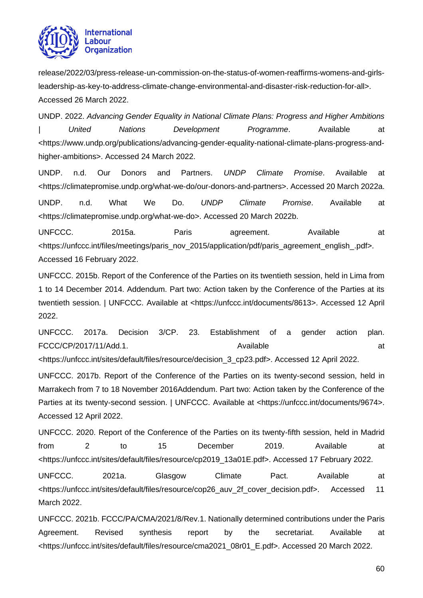

release/2022/03/press-release-un-commission-on-the-status-of-women-reaffirms-womens-and-girlsleadership-as-key-to-address-climate-change-environmental-and-disaster-risk-reduction-for-all>. Accessed 26 March 2022.

UNDP. 2022. *Advancing Gender Equality in National Climate Plans: Progress and Higher Ambitions | United Nations Development Programme*. Available at <https://www.undp.org/publications/advancing-gender-equality-national-climate-plans-progress-andhigher-ambitions>. Accessed 24 March 2022.

UNDP. n.d. Our Donors and Partners. *UNDP Climate Promise*. Available at <https://climatepromise.undp.org/what-we-do/our-donors-and-partners>. Accessed 20 March 2022a.

UNDP. n.d. What We Do. *UNDP Climate Promise*. Available at <https://climatepromise.undp.org/what-we-do>. Accessed 20 March 2022b.

UNFCCC. 2015a. Paris agreement. Available at <https://unfccc.int/files/meetings/paris\_nov\_2015/application/pdf/paris\_agreement\_english\_.pdf>. Accessed 16 February 2022.

UNFCCC. 2015b. Report of the Conference of the Parties on its twentieth session, held in Lima from 1 to 14 December 2014. Addendum. Part two: Action taken by the Conference of the Parties at its twentieth session. | UNFCCC. Available at <https://unfccc.int/documents/8613>. Accessed 12 April 2022.

UNFCCC. 2017a. Decision 3/CP. 23. Establishment of a gender action plan. FCCC/CP/2017/11/Add.1. Available at <https://unfccc.int/sites/default/files/resource/decision\_3\_cp23.pdf>. Accessed 12 April 2022.

UNFCCC. 2017b. Report of the Conference of the Parties on its twenty-second session, held in Marrakech from 7 to 18 November 2016Addendum. Part two: Action taken by the Conference of the Parties at its twenty-second session. | UNFCCC. Available at <https://unfccc.int/documents/9674>. Accessed 12 April 2022.

UNFCCC. 2020. Report of the Conference of the Parties on its twenty-fifth session, held in Madrid from 2 to 15 December 2019. Available at <https://unfccc.int/sites/default/files/resource/cp2019\_13a01E.pdf>. Accessed 17 February 2022.

UNFCCC. 2021a. Glasgow Climate Pact. Available at <https://unfccc.int/sites/default/files/resource/cop26\_auv\_2f\_cover\_decision.pdf>. Accessed 11 March 2022.

UNFCCC. 2021b. FCCC/PA/CMA/2021/8/Rev.1. Nationally determined contributions under the Paris Agreement. Revised synthesis report by the secretariat. Available at <https://unfccc.int/sites/default/files/resource/cma2021\_08r01\_E.pdf>. Accessed 20 March 2022.

60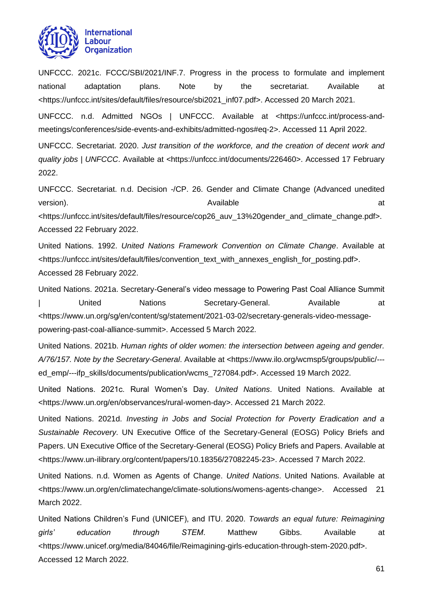

UNFCCC. 2021c. FCCC/SBI/2021/INF.7. Progress in the process to formulate and implement national adaptation plans. Note by the secretariat. Available at <https://unfccc.int/sites/default/files/resource/sbi2021\_inf07.pdf>. Accessed 20 March 2021.

UNFCCC. n.d. Admitted NGOs | UNFCCC. Available at <https://unfccc.int/process-andmeetings/conferences/side-events-and-exhibits/admitted-ngos#eq-2>. Accessed 11 April 2022.

UNFCCC. Secretariat. 2020. *Just transition of the workforce, and the creation of decent work and quality jobs | UNFCCC*. Available at <https://unfccc.int/documents/226460>. Accessed 17 February 2022.

UNFCCC. Secretariat. n.d. Decision -/CP. 26. Gender and Climate Change (Advanced unedited version). Available at

<https://unfccc.int/sites/default/files/resource/cop26\_auv\_13%20gender\_and\_climate\_change.pdf>. Accessed 22 February 2022.

United Nations. 1992. *United Nations Framework Convention on Climate Change*. Available at <https://unfccc.int/sites/default/files/convention\_text\_with\_annexes\_english\_for\_posting.pdf>. Accessed 28 February 2022.

United Nations. 2021a. Secretary-General's video message to Powering Past Coal Alliance Summit | United Nations Secretary-General. Available at <https://www.un.org/sg/en/content/sg/statement/2021-03-02/secretary-generals-video-messagepowering-past-coal-alliance-summit>. Accessed 5 March 2022.

United Nations. 2021b. *Human rights of older women: the intersection between ageing and gender. A/76/157. Note by the Secretary-General*. Available at <https://www.ilo.org/wcmsp5/groups/public/-- ed\_emp/---ifp\_skills/documents/publication/wcms\_727084.pdf>. Accessed 19 March 2022.

United Nations. 2021c. Rural Women's Day. *United Nations*. United Nations. Available at <https://www.un.org/en/observances/rural-women-day>. Accessed 21 March 2022.

United Nations. 2021d. *Investing in Jobs and Social Protection for Poverty Eradication and a Sustainable Recovery*. UN Executive Office of the Secretary-General (EOSG) Policy Briefs and Papers. UN Executive Office of the Secretary-General (EOSG) Policy Briefs and Papers. Available at <https://www.un-ilibrary.org/content/papers/10.18356/27082245-23>. Accessed 7 March 2022.

United Nations. n.d. Women as Agents of Change. *United Nations*. United Nations. Available at <https://www.un.org/en/climatechange/climate-solutions/womens-agents-change>. Accessed 21 March 2022.

United Nations Children's Fund (UNICEF), and ITU. 2020. *Towards an equal future: Reimagining girls' education through STEM*. Matthew Gibbs. Available at <https://www.unicef.org/media/84046/file/Reimagining-girls-education-through-stem-2020.pdf>. Accessed 12 March 2022.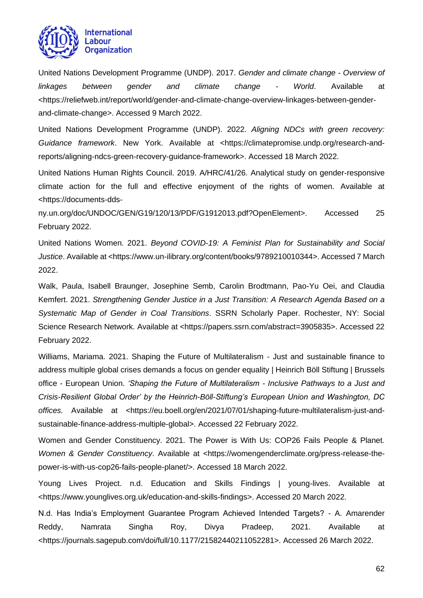

United Nations Development Programme (UNDP). 2017. *Gender and climate change - Overview of linkages between gender and climate change - World*. Available at <https://reliefweb.int/report/world/gender-and-climate-change-overview-linkages-between-genderand-climate-change>. Accessed 9 March 2022.

United Nations Development Programme (UNDP). 2022. *Aligning NDCs with green recovery: Guidance framework*. New York. Available at <https://climatepromise.undp.org/research-andreports/aligning-ndcs-green-recovery-guidance-framework>. Accessed 18 March 2022.

United Nations Human Rights Council. 2019. A/HRC/41/26. Analytical study on gender-responsive climate action for the full and effective enjoyment of the rights of women. Available at <https://documents-dds-

ny.un.org/doc/UNDOC/GEN/G19/120/13/PDF/G1912013.pdf?OpenElement>. Accessed 25 February 2022.

United Nations Women. 2021. *Beyond COVID-19: A Feminist Plan for Sustainability and Social Justice*. Available at <https://www.un-ilibrary.org/content/books/9789210010344>. Accessed 7 March 2022.

Walk, Paula, Isabell Braunger, Josephine Semb, Carolin Brodtmann, Pao-Yu Oei, and Claudia Kemfert. 2021. *Strengthening Gender Justice in a Just Transition: A Research Agenda Based on a Systematic Map of Gender in Coal Transitions*. SSRN Scholarly Paper. Rochester, NY: Social Science Research Network. Available at <https://papers.ssrn.com/abstract=3905835>. Accessed 22 February 2022.

Williams, Mariama. 2021. Shaping the Future of Multilateralism - Just and sustainable finance to address multiple global crises demands a focus on gender equality | Heinrich Böll Stiftung | Brussels office - European Union. *'Shaping the Future of Multilateralism - Inclusive Pathways to a Just and Crisis-Resilient Global Order' by the Heinrich-Böll-Stiftung's European Union and Washington, DC*  offices. Available at <https://eu.boell.org/en/2021/07/01/shaping-future-multilateralism-just-andsustainable-finance-address-multiple-global>. Accessed 22 February 2022.

Women and Gender Constituency. 2021. The Power is With Us: COP26 Fails People & Planet. *Women & Gender Constituency*. Available at <https://womengenderclimate.org/press-release-thepower-is-with-us-cop26-fails-people-planet/>. Accessed 18 March 2022.

Young Lives Project. n.d. Education and Skills Findings | young-lives. Available at <https://www.younglives.org.uk/education-and-skills-findings>. Accessed 20 March 2022.

N.d. Has India's Employment Guarantee Program Achieved Intended Targets? - A. Amarender Reddy, Namrata Singha Roy, Divya Pradeep, 2021. Available at <https://journals.sagepub.com/doi/full/10.1177/21582440211052281>. Accessed 26 March 2022.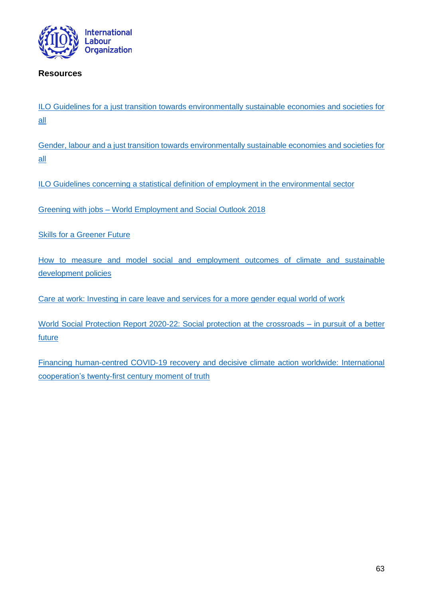

## <span id="page-62-0"></span>**Resources**

[ILO Guidelines for a just transition towards environmentally sustainable economies and societies for](https://www.ilo.org/wcmsp5/groups/public/@ed_emp/@emp_ent/documents/publication/wcms_432859.pdf)  [all](https://www.ilo.org/wcmsp5/groups/public/@ed_emp/@emp_ent/documents/publication/wcms_432859.pdf)

[Gender, labour and a just transition towards environmentally sustainable economies and societies for](https://www.ilo.org/global/topics/equality-and-discrimination/publications/WCMS_592348/lang--en/index.htm)  [all](https://www.ilo.org/global/topics/equality-and-discrimination/publications/WCMS_592348/lang--en/index.htm)

[ILO Guidelines concerning a statistical definition of employment in the environmental sector](https://www.ilo.org/wcmsp5/groups/public/---dgreports/---stat/documents/normativeinstrument/wcms_230736.pdf)

Greening with jobs – [World Employment and Social Outlook 2018](https://www.ilo.org/global/research/global-reports/weso/greening-with-jobs/lang--en/index.htm)

Skills [for a Greener Future](https://www.ilo.org/skills/pubs/WCMS_732214/lang--en/index.htm)

[How to measure and model social and employment outcomes of climate and sustainable](https://www.ilo.org/global/topics/green-jobs/publications/WCMS_613934/lang--en/index.htm)  [development policies](https://www.ilo.org/global/topics/green-jobs/publications/WCMS_613934/lang--en/index.htm)

[Care at work: Investing in care leave and services for a more gender equal world of work](https://www.ilo.org/global/topics/care-economy/WCMS_838653/lang--en/index.htm)

[World Social Protection Report 2020-22: Social protection at the crossroads –](https://www.ilo.org/global/publications/books/WCMS_817574/lang--en/index.htm) in pursuit of a better **[future](https://www.ilo.org/global/publications/books/WCMS_817574/lang--en/index.htm)** 

[Financing human-centred COVID-19 recovery and decisive climate action worldwide: International](https://www.ilo.org/global/publications/working-papers/WCMS_821931/lang--en/index.htm)  [cooperation's twenty-first century moment of truth](https://www.ilo.org/global/publications/working-papers/WCMS_821931/lang--en/index.htm)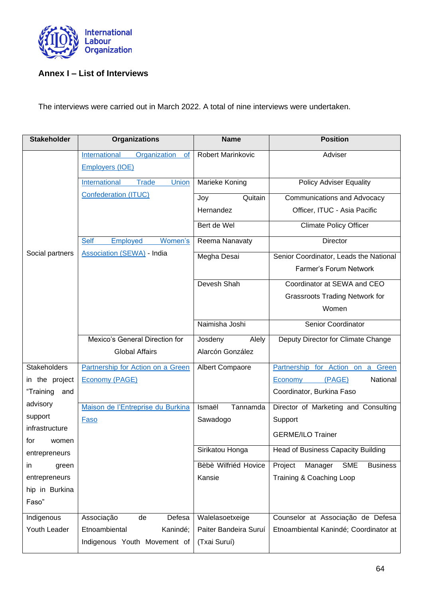

# <span id="page-63-0"></span>**Annex I – List of Interviews**

The interviews were carried out in March 2022. A total of nine interviews were undertaken.

| <b>Stakeholder</b>             | <b>Organizations</b>                                                 | <b>Name</b>           | <b>Position</b>                                     |
|--------------------------------|----------------------------------------------------------------------|-----------------------|-----------------------------------------------------|
|                                | International<br>Organization<br><b>of</b><br><b>Employers (IOE)</b> | Robert Marinkovic     | Adviser                                             |
|                                | International<br><b>Trade</b><br>Union                               | Marieke Koning        | <b>Policy Adviser Equality</b>                      |
|                                | <b>Confederation (ITUC)</b>                                          | Quitain<br>Joy        | Communications and Advocacy                         |
|                                |                                                                      | Hernandez             | Officer, ITUC - Asia Pacific                        |
|                                |                                                                      | Bert de Wel           | <b>Climate Policy Officer</b>                       |
|                                | Employed<br>Women's<br><b>Self</b>                                   | Reema Nanavaty        | Director                                            |
| Social partners                | <b>Association (SEWA) - India</b>                                    | Megha Desai           | Senior Coordinator, Leads the National              |
|                                |                                                                      |                       | Farmer's Forum Network                              |
|                                |                                                                      | Devesh Shah           | Coordinator at SEWA and CEO                         |
|                                |                                                                      |                       | <b>Grassroots Trading Network for</b>               |
|                                |                                                                      |                       | Women                                               |
|                                |                                                                      | Naimisha Joshi        | Senior Coordinator                                  |
|                                | Mexico's General Direction for                                       | Josdeny<br>Alely      | Deputy Director for Climate Change                  |
|                                | <b>Global Affairs</b>                                                | Alarcón González      |                                                     |
| <b>Stakeholders</b>            | Partnership for Action on a Green                                    | Albert Compaore       | Partnership for Action on a Green                   |
| in the project                 | <b>Economy (PAGE)</b>                                                |                       | (PAGE)<br>National<br>Economy                       |
| "Training<br>and               |                                                                      |                       | Coordinator, Burkina Faso                           |
| advisory                       | Maison de l'Entreprise du Burkina                                    | Ismaël<br>Tannamda    | Director of Marketing and Consulting                |
| support                        | Faso                                                                 | Sawadogo              | Support                                             |
| infrastructure<br>for<br>women |                                                                      |                       | <b>GERME/ILO Trainer</b>                            |
| entrepreneurs                  |                                                                      | Sirikatou Honga       | Head of Business Capacity Building                  |
| in<br>green                    |                                                                      | Bèbè Wilfriéd Hovice  | Project<br>Manager<br><b>SME</b><br><b>Business</b> |
| entrepreneurs                  |                                                                      | Kansie                | Training & Coaching Loop                            |
| hip in Burkina                 |                                                                      |                       |                                                     |
| Faso"                          |                                                                      |                       |                                                     |
| Indigenous                     | Associação<br>Defesa<br>de                                           | Walelasoetxeige       | Counselor at Associação de Defesa                   |
| Youth Leader                   | Etnoambiental<br>Kanindé;                                            | Paiter Bandeira Suruí | Etnoambiental Kanindé; Coordinator at               |
|                                | Indigenous Youth Movement of                                         | (Txai Suruí)          |                                                     |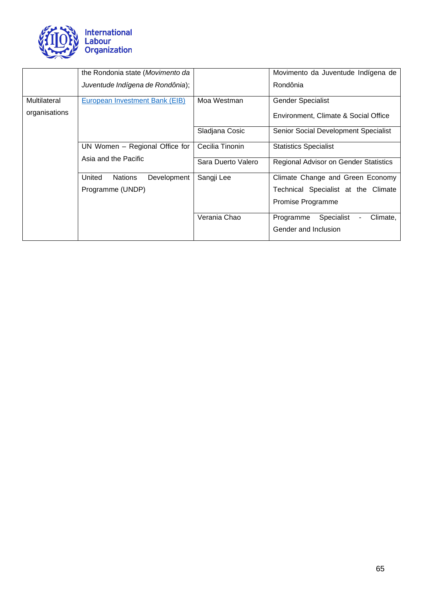

|               | the Rondonia state (Movimento da        |                    | Movimento da Juventude Indígena de           |
|---------------|-----------------------------------------|--------------------|----------------------------------------------|
|               | Juventude Indígena de Rondônia);        |                    | Rondônia                                     |
| Multilateral  | European Investment Bank (EIB)          | Moa Westman        | <b>Gender Specialist</b>                     |
| organisations |                                         |                    | Environment, Climate & Social Office         |
|               |                                         | Sladjana Cosic     | Senior Social Development Specialist         |
|               | UN Women - Regional Office for          | Cecilia Tinonin    | <b>Statistics Specialist</b>                 |
|               | Asia and the Pacific                    | Sara Duerto Valero | <b>Regional Advisor on Gender Statistics</b> |
|               | United<br><b>Nations</b><br>Development | Sangji Lee         | Climate Change and Green Economy             |
|               | Programme (UNDP)                        |                    | Technical Specialist at the Climate          |
|               |                                         |                    | Promise Programme                            |
|               |                                         | Verania Chao       | Specialist<br>Climate,<br>Programme          |
|               |                                         |                    | Gender and Inclusion                         |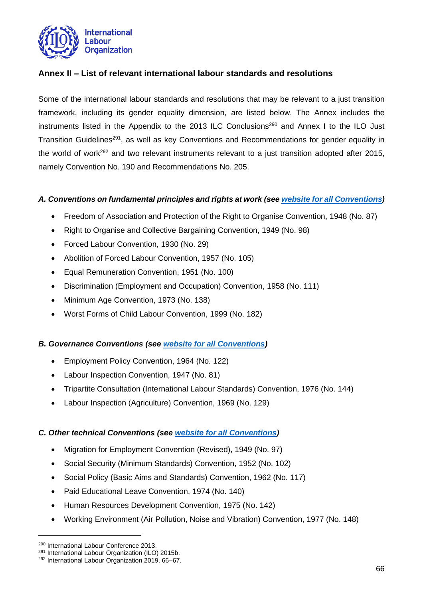

## <span id="page-65-0"></span>**Annex II – List of relevant international labour standards and resolutions**

Some of the international labour standards and resolutions that may be relevant to a just transition framework, including its gender equality dimension, are listed below. The Annex includes the instruments listed in the Appendix to the 2013 ILC Conclusions<sup>290</sup> and Annex I to the ILO Just Transition Guidelines<sup>291</sup>, as well as key Conventions and Recommendations for gender equality in the world of work<sup>292</sup> and two relevant instruments relevant to a just transition adopted after 2015, namely Convention No. 190 and Recommendations No. 205.

## *A. Conventions on fundamental principles and rights at work (see [website for all Conventions\)](https://www.ilo.org/dyn/normlex/en/f?p=1000:12000:::NO:::)*

- Freedom of Association and Protection of the Right to Organise Convention, 1948 (No. 87)
- Right to Organise and Collective Bargaining Convention, 1949 (No. 98)
- Forced Labour Convention, 1930 (No. 29)
- Abolition of Forced Labour Convention, 1957 (No. 105)
- Equal Remuneration Convention, 1951 (No. 100)
- Discrimination (Employment and Occupation) Convention, 1958 (No. 111)
- Minimum Age Convention, 1973 (No. 138)
- Worst Forms of Child Labour Convention, 1999 (No. 182)

#### *B. Governance Conventions (see [website for all Conventions\)](https://www.ilo.org/dyn/normlex/en/f?p=1000:12000:::NO:::)*

- Employment Policy Convention, 1964 (No. 122)
- Labour Inspection Convention, 1947 (No. 81)
- Tripartite Consultation (International Labour Standards) Convention, 1976 (No. 144)
- Labour Inspection (Agriculture) Convention, 1969 (No. 129)

#### *C. Other technical Conventions (see [website for all Conventions\)](https://www.ilo.org/dyn/normlex/en/f?p=1000:12000:::NO:::)*

- Migration for Employment Convention (Revised), 1949 (No. 97)
- Social Security (Minimum Standards) Convention, 1952 (No. 102)
- Social Policy (Basic Aims and Standards) Convention, 1962 (No. 117)
- Paid Educational Leave Convention, 1974 (No. 140)
- Human Resources Development Convention, 1975 (No. 142)
- Working Environment (Air Pollution, Noise and Vibration) Convention, 1977 (No. 148)

<sup>290</sup> International Labour Conference 2013.

<sup>291</sup> International Labour Organization (ILO) 2015b. <sup>292</sup> International Labour Organization 2019, 66–67.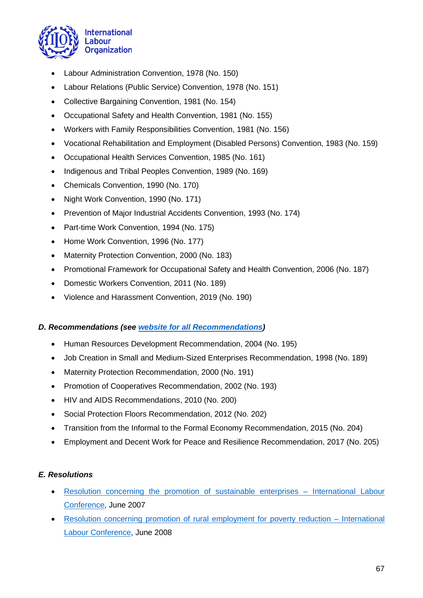

- Labour Administration Convention, 1978 (No. 150)
- Labour Relations (Public Service) Convention, 1978 (No. 151)
- Collective Bargaining Convention, 1981 (No. 154)
- Occupational Safety and Health Convention, 1981 (No. 155)
- Workers with Family Responsibilities Convention, 1981 (No. 156)
- Vocational Rehabilitation and Employment (Disabled Persons) Convention, 1983 (No. 159)
- Occupational Health Services Convention, 1985 (No. 161)
- Indigenous and Tribal Peoples Convention, 1989 (No. 169)
- Chemicals Convention, 1990 (No. 170)
- Night Work Convention, 1990 (No. 171)
- Prevention of Major Industrial Accidents Convention, 1993 (No. 174)
- Part-time Work Convention, 1994 (No. 175)
- Home Work Convention, 1996 (No. 177)
- Maternity Protection Convention, 2000 (No. 183)
- Promotional Framework for Occupational Safety and Health Convention, 2006 (No. 187)
- Domestic Workers Convention, 2011 (No. 189)
- Violence and Harassment Convention, 2019 (No. 190)

## *D. Recommendations (see [website for all Recommendations\)](https://www.ilo.org/dyn/normlex/en/f?p=1000:12010:::NO:::)*

- Human Resources Development Recommendation, 2004 (No. 195)
- Job Creation in Small and Medium-Sized Enterprises Recommendation, 1998 (No. 189)
- Maternity Protection Recommendation, 2000 (No. 191)
- Promotion of Cooperatives Recommendation, 2002 (No. 193)
- HIV and AIDS Recommendations, 2010 (No. 200)
- Social Protection Floors Recommendation, 2012 (No. 202)
- Transition from the Informal to the Formal Economy Recommendation, 2015 (No. 204)
- Employment and Decent Work for Peace and Resilience Recommendation, 2017 (No. 205)

## *E. Resolutions*

- [Resolution concerning the promotion of sustainable enterprises –](https://www.ilo.org/wcmsp5/groups/public/---ed_norm/---relconf/documents/meetingdocument/wcms_223785.pdf) International Labour [Conference,](https://www.ilo.org/wcmsp5/groups/public/---ed_norm/---relconf/documents/meetingdocument/wcms_223785.pdf) June 2007
- [Resolution concerning promotion of rural employment for poverty reduction –](https://www.ilo.org/wcmsp5/groups/public/---ed_norm/---relconf/documents/meetingdocument/wcms_098017.pdf) International [Labour Conference,](https://www.ilo.org/wcmsp5/groups/public/---ed_norm/---relconf/documents/meetingdocument/wcms_098017.pdf) June 2008